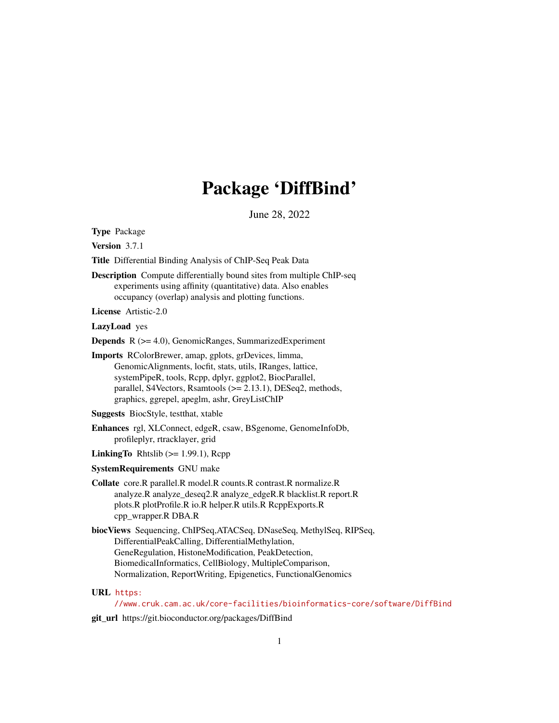# Package 'DiffBind'

June 28, 2022

<span id="page-0-0"></span>Type Package

Version 3.7.1

Title Differential Binding Analysis of ChIP-Seq Peak Data

Description Compute differentially bound sites from multiple ChIP-seq experiments using affinity (quantitative) data. Also enables occupancy (overlap) analysis and plotting functions.

License Artistic-2.0

LazyLoad yes

Depends R (>= 4.0), GenomicRanges, SummarizedExperiment

Imports RColorBrewer, amap, gplots, grDevices, limma, GenomicAlignments, locfit, stats, utils, IRanges, lattice, systemPipeR, tools, Rcpp, dplyr, ggplot2, BiocParallel, parallel, S4Vectors, Rsamtools (>= 2.13.1), DESeq2, methods, graphics, ggrepel, apeglm, ashr, GreyListChIP

Suggests BiocStyle, testthat, xtable

Enhances rgl, XLConnect, edgeR, csaw, BSgenome, GenomeInfoDb, profileplyr, rtracklayer, grid

- LinkingTo Rhtslib  $(>= 1.99.1)$ , Rcpp
- SystemRequirements GNU make

Collate core.R parallel.R model.R counts.R contrast.R normalize.R analyze.R analyze\_deseq2.R analyze\_edgeR.R blacklist.R report.R plots.R plotProfile.R io.R helper.R utils.R RcppExports.R cpp\_wrapper.R DBA.R

biocViews Sequencing, ChIPSeq,ATACSeq, DNaseSeq, MethylSeq, RIPSeq, DifferentialPeakCalling, DifferentialMethylation, GeneRegulation, HistoneModification, PeakDetection, BiomedicalInformatics, CellBiology, MultipleComparison, Normalization, ReportWriting, Epigenetics, FunctionalGenomics

# URL [https:](https://www.cruk.cam.ac.uk/core-facilities/bioinformatics-core/software/DiffBind)

[//www.cruk.cam.ac.uk/core-facilities/bioinformatics-core/software/DiffBind](https://www.cruk.cam.ac.uk/core-facilities/bioinformatics-core/software/DiffBind)

git\_url https://git.bioconductor.org/packages/DiffBind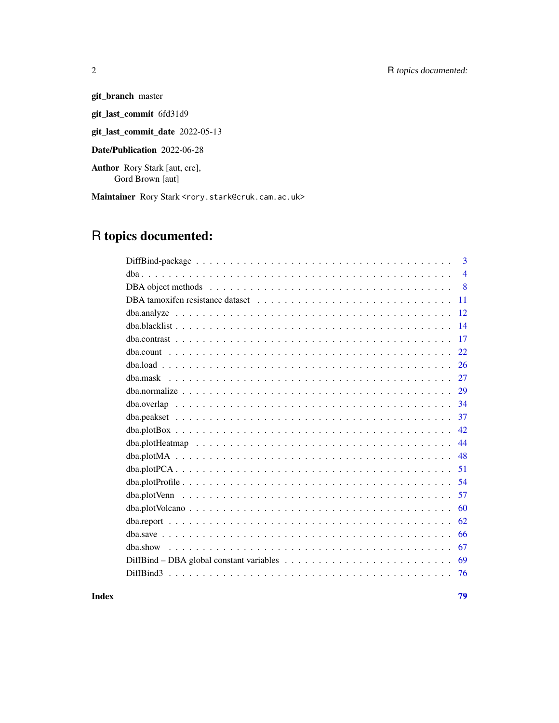# 2 R topics documented:

git\_branch master git\_last\_commit 6fd31d9 git\_last\_commit\_date 2022-05-13 Date/Publication 2022-06-28

Author Rory Stark [aut, cre],

Gord Brown [aut]

Maintainer Rory Stark <rory.stark@cruk.cam.ac.uk>

# R topics documented:

| $\overline{3}$ |
|----------------|
| $\overline{4}$ |
| 8              |
| 11             |
| 12             |
| 14             |
| 17             |
| 22.            |
| 26             |
| 27             |
| 29             |
| 34             |
| 37             |
| 42             |
| 44             |
| 48             |
| 51             |
| 54             |
| 57             |
| 60             |
| 62             |
| 66             |
| 67             |
| 69             |
| 76             |
|                |

**Index** [79](#page-78-0)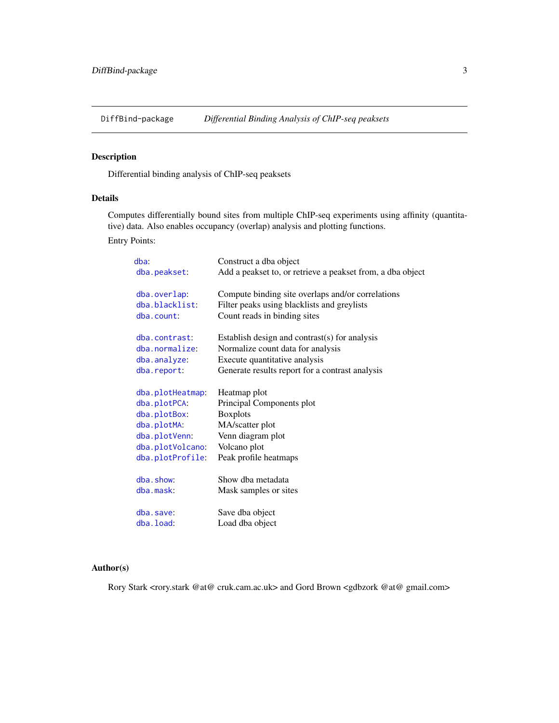<span id="page-2-0"></span>

# <span id="page-2-1"></span>Description

Differential binding analysis of ChIP-seq peaksets

# Details

Computes differentially bound sites from multiple ChIP-seq experiments using affinity (quantitative) data. Also enables occupancy (overlap) analysis and plotting functions.

Entry Points:

| dba:<br>dba.peakset:         | Construct a dba object<br>Add a peakset to, or retrieve a peakset from, a dba object |
|------------------------------|--------------------------------------------------------------------------------------|
| dba.overlap:                 | Compute binding site overlaps and/or correlations                                    |
| dba.blacklist:<br>dba.count: | Filter peaks using blacklists and greylists<br>Count reads in binding sites          |
| dba.contrast:                | Establish design and contrast(s) for analysis                                        |
| dba.normalize:               | Normalize count data for analysis                                                    |
| dba.analyze:                 | Execute quantitative analysis                                                        |
| dba.report:                  | Generate results report for a contrast analysis                                      |
| dba.plotHeatmap:             | Heatmap plot                                                                         |
| dba.plotPCA:                 | Principal Components plot                                                            |
| dba.plotBox:                 | <b>Boxplots</b>                                                                      |
| dba.plotMA:                  | MA/scatter plot                                                                      |
| dba.plotVenn:                | Venn diagram plot                                                                    |
| dba.plotVolcano:             | Volcano plot                                                                         |
| dba.plotProfile:             | Peak profile heatmaps                                                                |
| dba.show:                    | Show dha metadata                                                                    |
| dba.mask:                    | Mask samples or sites                                                                |
|                              |                                                                                      |
| dba.save:                    | Save dba object                                                                      |
| dba.load:                    | Load dba object                                                                      |

# Author(s)

Rory Stark <rory.stark @at@ cruk.cam.ac.uk> and Gord Brown <gdbzork @at@ gmail.com>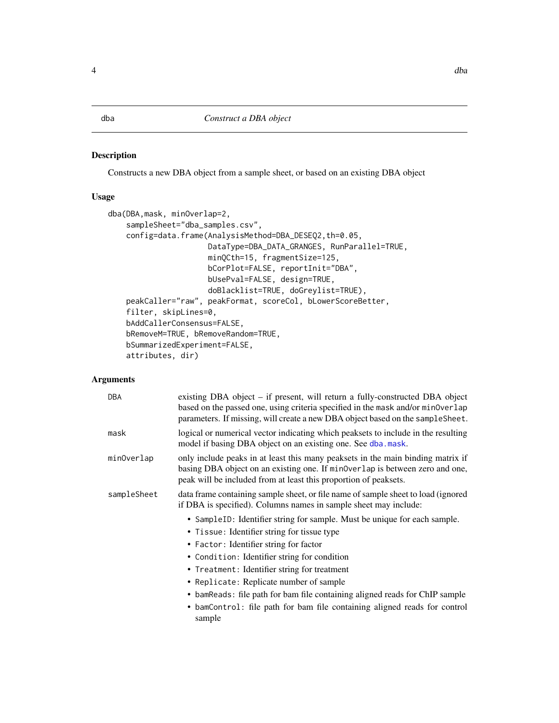# <span id="page-3-1"></span><span id="page-3-0"></span>Description

Constructs a new DBA object from a sample sheet, or based on an existing DBA object

# Usage

```
dba(DBA,mask, minOverlap=2,
   sampleSheet="dba_samples.csv",
   config=data.frame(AnalysisMethod=DBA_DESEQ2,th=0.05,
                      DataType=DBA_DATA_GRANGES, RunParallel=TRUE,
                      minQCth=15, fragmentSize=125,
                      bCorPlot=FALSE, reportInit="DBA",
                      bUsePval=FALSE, design=TRUE,
                      doBlacklist=TRUE, doGreylist=TRUE),
   peakCaller="raw", peakFormat, scoreCol, bLowerScoreBetter,
    filter, skipLines=0,
   bAddCallerConsensus=FALSE,
   bRemoveM=TRUE, bRemoveRandom=TRUE,
   bSummarizedExperiment=FALSE,
   attributes, dir)
```

| <b>DBA</b>  | existing DBA object – if present, will return a fully-constructed DBA object<br>based on the passed one, using criteria specified in the mask and/or minoverlap<br>parameters. If missing, will create a new DBA object based on the sampleSheet. |
|-------------|---------------------------------------------------------------------------------------------------------------------------------------------------------------------------------------------------------------------------------------------------|
| mask        | logical or numerical vector indicating which peaksets to include in the resulting<br>model if basing DBA object on an existing one. See dba.mask.                                                                                                 |
| minOverlap  | only include peaks in at least this many peaksets in the main binding matrix if<br>basing DBA object on an existing one. If min0verlap is between zero and one,<br>peak will be included from at least this proportion of peaksets.               |
| sampleSheet | data frame containing sample sheet, or file name of sample sheet to load (ignored<br>if DBA is specified). Columns names in sample sheet may include:                                                                                             |
|             | • SampleID: Identifier string for sample. Must be unique for each sample.<br>• Tissue: Identifier string for tissue type                                                                                                                          |
|             | • Factor: Identifier string for factor                                                                                                                                                                                                            |
|             | • Condition: Identifier string for condition                                                                                                                                                                                                      |
|             | • Treatment: Identifier string for treatment                                                                                                                                                                                                      |
|             | • Replicate: Replicate number of sample                                                                                                                                                                                                           |
|             | • bamReads: file path for bam file containing aligned reads for ChIP sample                                                                                                                                                                       |
|             | • bamControl: file path for bam file containing aligned reads for control<br>sample                                                                                                                                                               |
|             |                                                                                                                                                                                                                                                   |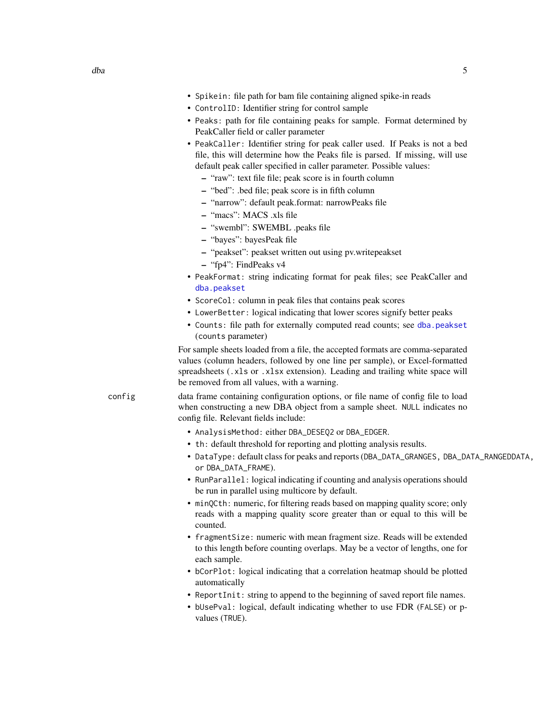- ControlID: Identifier string for control sample
- Peaks: path for file containing peaks for sample. Format determined by PeakCaller field or caller parameter
- PeakCaller: Identifier string for peak caller used. If Peaks is not a bed file, this will determine how the Peaks file is parsed. If missing, will use default peak caller specified in caller parameter. Possible values:
	- "raw": text file file; peak score is in fourth column
	- "bed": .bed file; peak score is in fifth column
	- "narrow": default peak.format: narrowPeaks file
	- "macs": MACS .xls file
	- "swembl": SWEMBL .peaks file
	- "bayes": bayesPeak file
	- "peakset": peakset written out using pv.writepeakset
	- "fp4": FindPeaks v4
- PeakFormat: string indicating format for peak files; see PeakCaller and [dba.peakset](#page-36-1)
- ScoreCol: column in peak files that contains peak scores
- LowerBetter: logical indicating that lower scores signify better peaks
- Counts: file path for externally computed read counts; see [dba.peakset](#page-36-1) (counts parameter)

For sample sheets loaded from a file, the accepted formats are comma-separated values (column headers, followed by one line per sample), or Excel-formatted spreadsheets (.xls or .xlsx extension). Leading and trailing white space will be removed from all values, with a warning.

config data frame containing configuration options, or file name of config file to load when constructing a new DBA object from a sample sheet. NULL indicates no config file. Relevant fields include:

- AnalysisMethod: either DBA\_DESEQ2 or DBA\_EDGER.
- th: default threshold for reporting and plotting analysis results.
- DataType: default class for peaks and reports (DBA\_DATA\_GRANGES, DBA\_DATA\_RANGEDDATA, or DBA\_DATA\_FRAME).
- RunParallel: logical indicating if counting and analysis operations should be run in parallel using multicore by default.
- minQCth: numeric, for filtering reads based on mapping quality score; only reads with a mapping quality score greater than or equal to this will be counted.
- fragmentSize: numeric with mean fragment size. Reads will be extended to this length before counting overlaps. May be a vector of lengths, one for each sample.
- bCorPlot: logical indicating that a correlation heatmap should be plotted automatically
- ReportInit: string to append to the beginning of saved report file names.
- bUsePval: logical, default indicating whether to use FDR (FALSE) or pvalues (TRUE).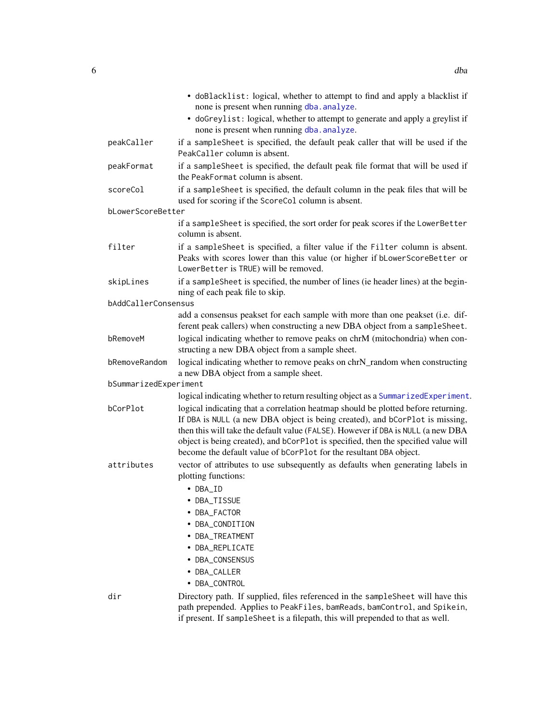|                       | • doBlacklist: logical, whether to attempt to find and apply a blacklist if<br>none is present when running dba. analyze.<br>• doGreylist: logical, whether to attempt to generate and apply a greylist if<br>none is present when running dba. analyze.                                                                                                                                                          |
|-----------------------|-------------------------------------------------------------------------------------------------------------------------------------------------------------------------------------------------------------------------------------------------------------------------------------------------------------------------------------------------------------------------------------------------------------------|
| peakCaller            | if a sampleSheet is specified, the default peak caller that will be used if the<br>PeakCaller column is absent.                                                                                                                                                                                                                                                                                                   |
| peakFormat            | if a sampleSheet is specified, the default peak file format that will be used if<br>the PeakFormat column is absent.                                                                                                                                                                                                                                                                                              |
| scoreCol              | if a sampleSheet is specified, the default column in the peak files that will be<br>used for scoring if the ScoreCol column is absent.                                                                                                                                                                                                                                                                            |
| bLowerScoreBetter     |                                                                                                                                                                                                                                                                                                                                                                                                                   |
|                       | if a sampleSheet is specified, the sort order for peak scores if the LowerBetter<br>column is absent.                                                                                                                                                                                                                                                                                                             |
| filter                | if a sampleSheet is specified, a filter value if the Filter column is absent.<br>Peaks with scores lower than this value (or higher if bLowerScoreBetter or<br>LowerBetter is TRUE) will be removed.                                                                                                                                                                                                              |
| skipLines             | if a sampleSheet is specified, the number of lines (ie header lines) at the begin-<br>ning of each peak file to skip.                                                                                                                                                                                                                                                                                             |
| bAddCallerConsensus   |                                                                                                                                                                                                                                                                                                                                                                                                                   |
|                       | add a consensus peakset for each sample with more than one peakset (i.e. dif-<br>ferent peak callers) when constructing a new DBA object from a sampleSheet.                                                                                                                                                                                                                                                      |
| bRemoveM              | logical indicating whether to remove peaks on chrM (mitochondria) when con-<br>structing a new DBA object from a sample sheet.                                                                                                                                                                                                                                                                                    |
| bRemoveRandom         | logical indicating whether to remove peaks on chrN_random when constructing<br>a new DBA object from a sample sheet.                                                                                                                                                                                                                                                                                              |
| bSummarizedExperiment |                                                                                                                                                                                                                                                                                                                                                                                                                   |
|                       | logical indicating whether to return resulting object as a SummarizedExperiment.                                                                                                                                                                                                                                                                                                                                  |
| bCorPlot              | logical indicating that a correlation heatmap should be plotted before returning.<br>If DBA is NULL (a new DBA object is being created), and bCorPlot is missing,<br>then this will take the default value (FALSE). However if DBA is NULL (a new DBA<br>object is being created), and bCorPlot is specified, then the specified value will<br>become the default value of bCorPlot for the resultant DBA object. |
| attributes            | vector of attributes to use subsequently as defaults when generating labels in<br>plotting functions:                                                                                                                                                                                                                                                                                                             |
|                       | • DBA_ID                                                                                                                                                                                                                                                                                                                                                                                                          |
|                       | DBA_TISSUE                                                                                                                                                                                                                                                                                                                                                                                                        |
|                       |                                                                                                                                                                                                                                                                                                                                                                                                                   |
|                       | • DBA_FACTOR                                                                                                                                                                                                                                                                                                                                                                                                      |
|                       | • DBA_CONDITION                                                                                                                                                                                                                                                                                                                                                                                                   |
|                       | • DBA_TREATMENT                                                                                                                                                                                                                                                                                                                                                                                                   |
|                       | · DBA_REPLICATE                                                                                                                                                                                                                                                                                                                                                                                                   |
|                       | • DBA_CONSENSUS                                                                                                                                                                                                                                                                                                                                                                                                   |
|                       | • DBA_CALLER                                                                                                                                                                                                                                                                                                                                                                                                      |
|                       | • DBA_CONTROL                                                                                                                                                                                                                                                                                                                                                                                                     |
| dir                   | Directory path. If supplied, files referenced in the sampleSheet will have this<br>path prepended. Applies to PeakFiles, bamReads, bamControl, and Spikein,                                                                                                                                                                                                                                                       |

if present. If sampleSheet is a filepath, this will prepended to that as well.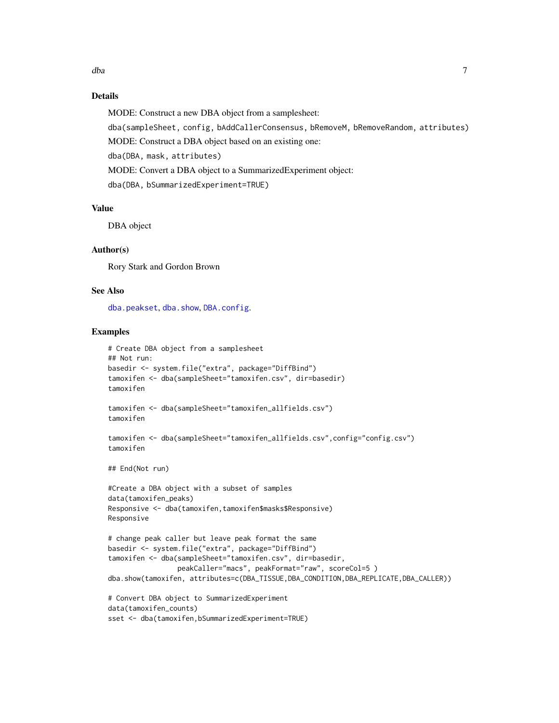# Details

MODE: Construct a new DBA object from a samplesheet:

dba(sampleSheet, config, bAddCallerConsensus, bRemoveM, bRemoveRandom, attributes) MODE: Construct a DBA object based on an existing one: dba(DBA, mask, attributes) MODE: Convert a DBA object to a SummarizedExperiment object: dba(DBA, bSummarizedExperiment=TRUE)

#### Value

DBA object

# Author(s)

Rory Stark and Gordon Brown

# See Also

[dba.peakset](#page-36-1), [dba.show](#page-66-1), [DBA.config](#page-7-1).

#### Examples

```
# Create DBA object from a samplesheet
## Not run:
basedir <- system.file("extra", package="DiffBind")
tamoxifen <- dba(sampleSheet="tamoxifen.csv", dir=basedir)
tamoxifen
tamoxifen <- dba(sampleSheet="tamoxifen_allfields.csv")
tamoxifen
tamoxifen <- dba(sampleSheet="tamoxifen_allfields.csv",config="config.csv")
tamoxifen
## End(Not run)
#Create a DBA object with a subset of samples
data(tamoxifen_peaks)
Responsive <- dba(tamoxifen,tamoxifen$masks$Responsive)
Responsive
# change peak caller but leave peak format the same
basedir <- system.file("extra", package="DiffBind")
tamoxifen <- dba(sampleSheet="tamoxifen.csv", dir=basedir,
                 peakCaller="macs", peakFormat="raw", scoreCol=5 )
dba.show(tamoxifen, attributes=c(DBA_TISSUE,DBA_CONDITION,DBA_REPLICATE,DBA_CALLER))
# Convert DBA object to SummarizedExperiment
data(tamoxifen_counts)
sset <- dba(tamoxifen,bSummarizedExperiment=TRUE)
```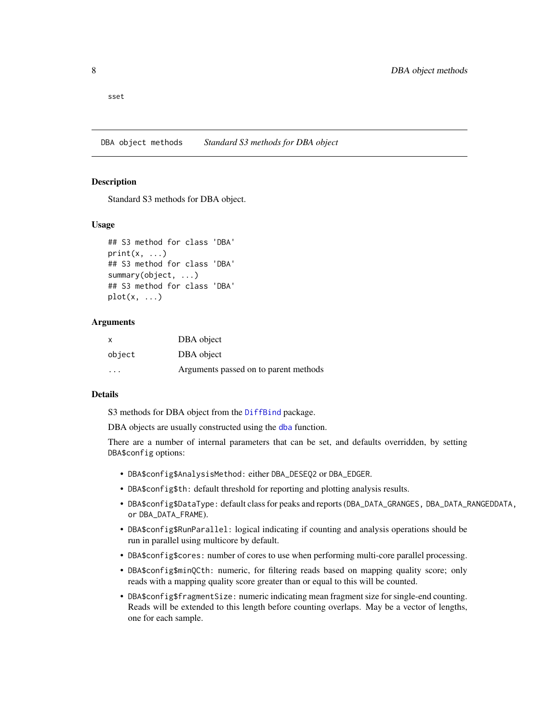<span id="page-7-0"></span>sset

DBA object methods *Standard S3 methods for DBA object*

#### <span id="page-7-1"></span>**Description**

Standard S3 methods for DBA object.

# Usage

```
## S3 method for class 'DBA'
print(x, \ldots)## S3 method for class 'DBA'
summary(object, ...)
## S3 method for class 'DBA'
plot(x, \ldots)
```
#### Arguments

| X       | DBA object                            |
|---------|---------------------------------------|
| object  | DBA object                            |
| $\cdot$ | Arguments passed on to parent methods |

#### Details

S3 methods for DBA object from the [DiffBind](#page-2-1) package.

DBA objects are usually constructed using the [dba](#page-3-1) function.

There are a number of internal parameters that can be set, and defaults overridden, by setting DBA\$config options:

- DBA\$config\$AnalysisMethod: either DBA\_DESEQ2 or DBA\_EDGER.
- DBA\$config\$th: default threshold for reporting and plotting analysis results.
- DBA\$config\$DataType: default class for peaks and reports (DBA\_DATA\_GRANGES, DBA\_DATA\_RANGEDDATA, or DBA\_DATA\_FRAME).
- DBA\$config\$RunParallel: logical indicating if counting and analysis operations should be run in parallel using multicore by default.
- DBA\$config\$cores: number of cores to use when performing multi-core parallel processing.
- DBA\$config\$minQCth: numeric, for filtering reads based on mapping quality score; only reads with a mapping quality score greater than or equal to this will be counted.
- DBA\$config\$fragmentSize: numeric indicating mean fragment size for single-end counting. Reads will be extended to this length before counting overlaps. May be a vector of lengths, one for each sample.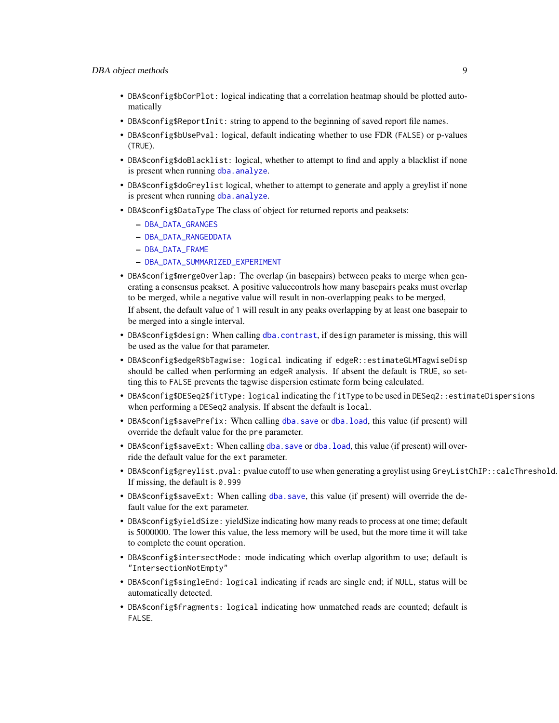- DBA\$config\$bCorPlot: logical indicating that a correlation heatmap should be plotted automatically
- DBA\$config\$ReportInit: string to append to the beginning of saved report file names.
- DBA\$config\$bUsePval: logical, default indicating whether to use FDR (FALSE) or p-values (TRUE).
- DBA\$config\$doBlacklist: logical, whether to attempt to find and apply a blacklist if none is present when running [dba.analyze](#page-11-1).
- DBA\$config\$doGreylist logical, whether to attempt to generate and apply a greylist if none is present when running [dba.analyze](#page-11-1).
- DBA\$config\$DataType The class of object for returned reports and peaksets:
	- [DBA\\_DATA\\_GRANGES](#page-68-1)
	- [DBA\\_DATA\\_RANGEDDATA](#page-68-1)
	- [DBA\\_DATA\\_FRAME](#page-68-1)
	- [DBA\\_DATA\\_SUMMARIZED\\_EXPERIMENT](#page-68-1)
- DBA\$config\$mergeOverlap: The overlap (in basepairs) between peaks to merge when generating a consensus peakset. A positive valuecontrols how many basepairs peaks must overlap to be merged, while a negative value will result in non-overlapping peaks to be merged, If absent, the default value of 1 will result in any peaks overlapping by at least one basepair to be merged into a single interval.
- DBA\$config\$design: When calling [dba.contrast](#page-16-1), if design parameter is missing, this will be used as the value for that parameter.
- DBA\$config\$edgeR\$bTagwise: logical indicating if edgeR::estimateGLMTagwiseDisp should be called when performing an edgeR analysis. If absent the default is TRUE, so setting this to FALSE prevents the tagwise dispersion estimate form being calculated.
- DBA\$config\$DESeq2\$fitType: logical indicating the fitType to be used in DESeq2::estimateDispersions when performing a DESeq2 analysis. If absent the default is local.
- DBA\$config\$savePrefix: When calling [dba.save](#page-65-1) or [dba.load](#page-25-1), this value (if present) will override the default value for the pre parameter.
- DBA\$config\$saveExt: When calling [dba.save](#page-65-1) or [dba.load](#page-25-1), this value (if present) will override the default value for the ext parameter.
- DBA\$config\$greylist.pval: pvalue cutoff to use when generating a greylist using GreyListChIP::calcThreshold. If missing, the default is 0.999
- DBA\$config\$saveExt: When calling [dba.save](#page-65-1), this value (if present) will override the default value for the ext parameter.
- DBA\$config\$yieldSize: yieldSize indicating how many reads to process at one time; default is 5000000. The lower this value, the less memory will be used, but the more time it will take to complete the count operation.
- DBA\$config\$intersectMode: mode indicating which overlap algorithm to use; default is "IntersectionNotEmpty"
- DBA\$config\$singleEnd: logical indicating if reads are single end; if NULL, status will be automatically detected.
- DBA\$config\$fragments: logical indicating how unmatched reads are counted; default is FALSE.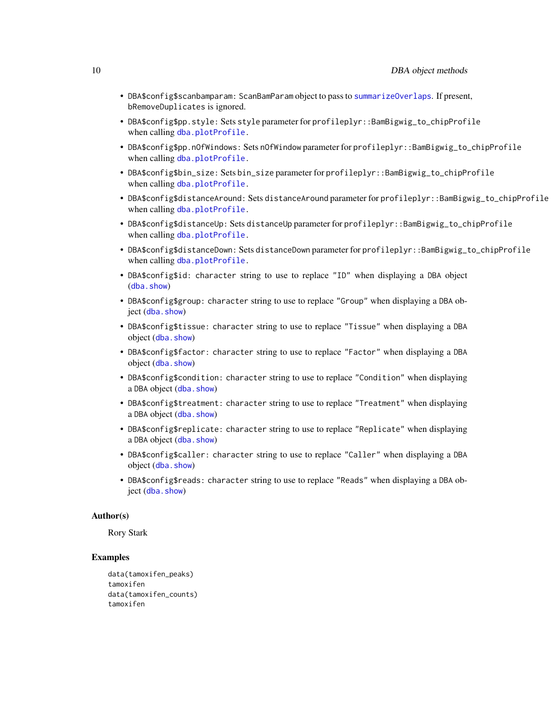- DBA\$config\$scanbamparam: ScanBamParam object to pass to [summarizeOverlaps](#page-0-0). If present, bRemoveDuplicates is ignored.
- DBA\$config\$pp.style: Sets style parameter for profileplyr::BamBigwig\_to\_chipProfile when calling [dba.plotProfile.](#page-53-1)
- DBA\$config\$pp.nOfWindows: Sets nOfWindow parameter for profileplyr::BamBigwig\_to\_chipProfile when calling [dba.plotProfile.](#page-53-1)
- DBA\$config\$bin\_size: Sets bin\_size parameter for profileplyr::BamBigwig\_to\_chipProfile when calling [dba.plotProfile.](#page-53-1)
- DBA\$config\$distanceAround: Sets distanceAround parameter for profileplyr::BamBigwig\_to\_chipProfile when calling [dba.plotProfile.](#page-53-1)
- DBA\$config\$distanceUp: Sets distanceUp parameter for profileplyr::BamBigwig\_to\_chipProfile when calling [dba.plotProfile.](#page-53-1)
- DBA\$config\$distanceDown: Sets distanceDown parameter for profileplyr::BamBigwig\_to\_chipProfile when calling [dba.plotProfile.](#page-53-1)
- DBA\$config\$id: character string to use to replace "ID" when displaying a DBA object ([dba.show](#page-66-1))
- DBA\$config\$group: character string to use to replace "Group" when displaying a DBA object ([dba.show](#page-66-1))
- DBA\$config\$tissue: character string to use to replace "Tissue" when displaying a DBA object (dba. show)
- DBA\$config\$factor: character string to use to replace "Factor" when displaying a DBA object ([dba.show](#page-66-1))
- DBA\$config\$condition: character string to use to replace "Condition" when displaying a DBA object ([dba.show](#page-66-1))
- DBA\$config\$treatment: character string to use to replace "Treatment" when displaying a DBA object ([dba.show](#page-66-1))
- DBA\$config\$replicate: character string to use to replace "Replicate" when displaying a DBA object ([dba.show](#page-66-1))
- DBA\$config\$caller: character string to use to replace "Caller" when displaying a DBA object ([dba.show](#page-66-1))
- DBA\$config\$reads: character string to use to replace "Reads" when displaying a DBA object ([dba.show](#page-66-1))

# Author(s)

Rory Stark

# Examples

```
data(tamoxifen_peaks)
tamoxifen
data(tamoxifen_counts)
tamoxifen
```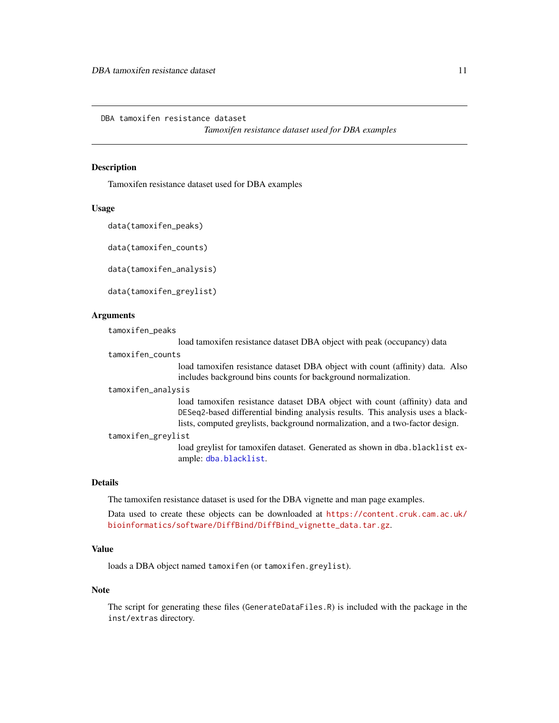<span id="page-10-0"></span>DBA tamoxifen resistance dataset

*Tamoxifen resistance dataset used for DBA examples*

#### Description

Tamoxifen resistance dataset used for DBA examples

#### Usage

```
data(tamoxifen_peaks)
```
data(tamoxifen\_counts)

data(tamoxifen\_analysis)

data(tamoxifen\_greylist)

# Arguments

| tamoxifen_peaks |                 |
|-----------------|-----------------|
|                 | $1$ aad tamarif |

load tamoxifen resistance dataset DBA object with peak (occupancy) data

```
tamoxifen_counts
```
load tamoxifen resistance dataset DBA object with count (affinity) data. Also includes background bins counts for background normalization.

tamoxifen\_analysis

load tamoxifen resistance dataset DBA object with count (affinity) data and DESeq2-based differential binding analysis results. This analysis uses a blacklists, computed greylists, background normalization, and a two-factor design.

tamoxifen\_greylist

load greylist for tamoxifen dataset. Generated as shown in dba.blacklist example: [dba.blacklist](#page-13-1).

# Details

The tamoxifen resistance dataset is used for the DBA vignette and man page examples.

Data used to create these objects can be downloaded at [https://content.cruk.cam.ac.uk/](https://content.cruk.cam.ac.uk/bioinformatics/software/DiffBind/DiffBind_vignette_data.tar.gz) [bioinformatics/software/DiffBind/DiffBind\\_vignette\\_data.tar.gz](https://content.cruk.cam.ac.uk/bioinformatics/software/DiffBind/DiffBind_vignette_data.tar.gz).

#### Value

loads a DBA object named tamoxifen (or tamoxifen.greylist).

#### Note

The script for generating these files (GenerateDataFiles.R) is included with the package in the inst/extras directory.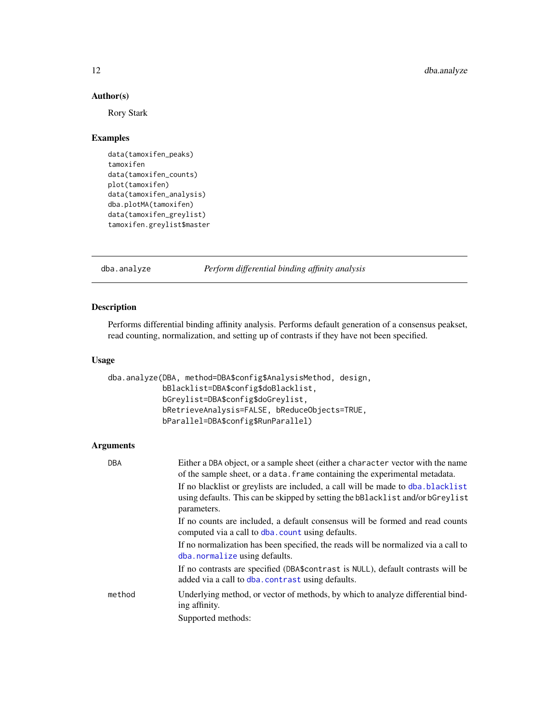# Author(s)

Rory Stark

# Examples

```
data(tamoxifen_peaks)
tamoxifen
data(tamoxifen_counts)
plot(tamoxifen)
data(tamoxifen_analysis)
dba.plotMA(tamoxifen)
data(tamoxifen_greylist)
tamoxifen.greylist$master
```
<span id="page-11-1"></span>dba.analyze *Perform differential binding affinity analysis*

# Description

Performs differential binding affinity analysis. Performs default generation of a consensus peakset, read counting, normalization, and setting up of contrasts if they have not been specified.

#### Usage

```
dba.analyze(DBA, method=DBA$config$AnalysisMethod, design,
            bBlacklist=DBA$config$doBlacklist,
            bGreylist=DBA$config$doGreylist,
            bRetrieveAnalysis=FALSE, bReduceObjects=TRUE,
            bParallel=DBA$config$RunParallel)
```

| <b>DBA</b> | Either a DBA object, or a sample sheet (either a character vector with the name<br>of the sample sheet, or a data. Frame containing the experimental metadata.<br>If no blacklist or greylists are included, a call will be made to dba.blacklist<br>using defaults. This can be skipped by setting the bBlacklist and/or bGreylist<br>parameters. |
|------------|----------------------------------------------------------------------------------------------------------------------------------------------------------------------------------------------------------------------------------------------------------------------------------------------------------------------------------------------------|
|            | If no counts are included, a default consensus will be formed and read counts<br>computed via a call to dba. count using defaults.                                                                                                                                                                                                                 |
|            | If no normalization has been specified, the reads will be normalized via a call to<br>dba.normalize using defaults.                                                                                                                                                                                                                                |
|            | If no contrasts are specified (DBA\$contrast is NULL), default contrasts will be<br>added via a call to dba. contrast using defaults.                                                                                                                                                                                                              |
| method     | Underlying method, or vector of methods, by which to analyze differential bind-<br>ing affinity.                                                                                                                                                                                                                                                   |
|            | Supported methods:                                                                                                                                                                                                                                                                                                                                 |

<span id="page-11-0"></span>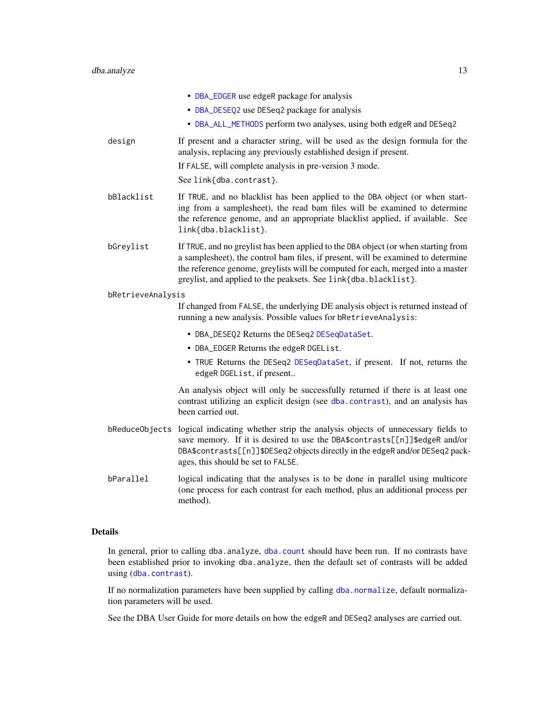|                   | • DBA_EDGER use edgeR package for analysis                                                                                                                                                                                                                                                                                   |
|-------------------|------------------------------------------------------------------------------------------------------------------------------------------------------------------------------------------------------------------------------------------------------------------------------------------------------------------------------|
|                   | • DBA_DESEQ2 use DESeq2 package for analysis                                                                                                                                                                                                                                                                                 |
|                   | • DBA_ALL_METHODS perform two analyses, using both edgeR and DESeq2                                                                                                                                                                                                                                                          |
| design            | If present and a character string, will be used as the design formula for the<br>analysis, replacing any previously established design if present.                                                                                                                                                                           |
|                   | If FALSE, will complete analysis in pre-version 3 mode.                                                                                                                                                                                                                                                                      |
|                   | See link{dba.contrast}.                                                                                                                                                                                                                                                                                                      |
| bBlacklist        | If TRUE, and no blacklist has been applied to the DBA object (or when start-<br>ing from a samplesheet), the read bam files will be examined to determine<br>the reference genome, and an appropriate blacklist applied, if available. See<br>link{dba.blacklist}.                                                           |
| bGreylist         | If TRUE, and no greylist has been applied to the DBA object (or when starting from<br>a samplesheet), the control bam files, if present, will be examined to determine<br>the reference genome, greylists will be computed for each, merged into a master<br>greylist, and applied to the peaksets. See link{dba.blacklist}. |
| bRetrieveAnalysis |                                                                                                                                                                                                                                                                                                                              |
|                   | If changed from FALSE, the underlying DE analysis object is returned instead of<br>running a new analysis. Possible values for bRetrieveAnalysis:                                                                                                                                                                            |
|                   | • DBA_DESEQ2 Returns the DESeq2 DESeqDataSet.                                                                                                                                                                                                                                                                                |
|                   | • DBA_EDGER Returns the edgeR DGEList.                                                                                                                                                                                                                                                                                       |
|                   | • TRUE Returns the DESeq2 DESeqDataSet, if present. If not, returns the<br>edgeR DGEList, if present                                                                                                                                                                                                                         |
|                   | An analysis object will only be successfully returned if there is at least one<br>contrast utilizing an explicit design (see dba.contrast), and an analysis has<br>been carried out.                                                                                                                                         |
|                   | bReduceObjects logical indicating whether strip the analysis objects of unnecessary fields to<br>save memory. If it is desired to use the DBA\$contrasts[[n]]\$edgeR and/or<br>DBA\$contrasts[[n]]\$DESeq2 objects directly in the edgeR and/or DESeq2 pack-<br>ages, this should be set to FALSE.                           |
| bParallel         | logical indicating that the analyses is to be done in parallel using multicore<br>(one process for each contrast for each method, plus an additional process per<br>method).                                                                                                                                                 |
|                   |                                                                                                                                                                                                                                                                                                                              |

# Details

In general, prior to calling dba.analyze, [dba.count](#page-21-1) should have been run. If no contrasts have been established prior to invoking dba.analyze, then the default set of contrasts will be added using ([dba.contrast](#page-16-1)).

If no normalization parameters have been supplied by calling [dba.normalize](#page-28-1), default normalization parameters will be used.

See the DBA User Guide for more details on how the edgeR and DESeq2 analyses are carried out.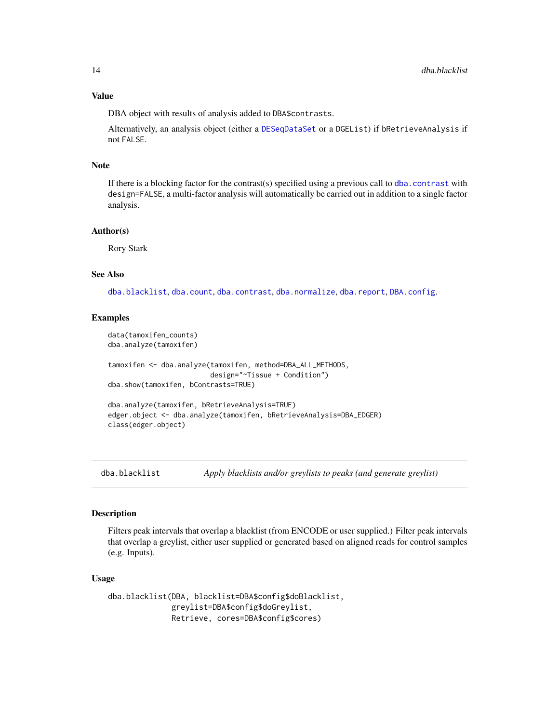DBA object with results of analysis added to DBA\$contrasts.

Alternatively, an analysis object (either a [DESeqDataSet](#page-0-0) or a DGEList) if bRetrieveAnalysis if not FALSE.

#### Note

If there is a blocking factor for the contrast(s) specified using a previous call to [dba.contrast](#page-16-1) with design=FALSE, a multi-factor analysis will automatically be carried out in addition to a single factor analysis.

#### Author(s)

Rory Stark

# See Also

[dba.blacklist](#page-13-1), [dba.count](#page-21-1), [dba.contrast](#page-16-1), [dba.normalize](#page-28-1), [dba.report](#page-61-1), [DBA.config](#page-7-1).

#### Examples

```
data(tamoxifen_counts)
dba.analyze(tamoxifen)
tamoxifen <- dba.analyze(tamoxifen, method=DBA_ALL_METHODS,
                         design="~Tissue + Condition")
dba.show(tamoxifen, bContrasts=TRUE)
dba.analyze(tamoxifen, bRetrieveAnalysis=TRUE)
edger.object <- dba.analyze(tamoxifen, bRetrieveAnalysis=DBA_EDGER)
```
<span id="page-13-1"></span>dba.blacklist *Apply blacklists and/or greylists to peaks (and generate greylist)*

#### **Description**

Filters peak intervals that overlap a blacklist (from ENCODE or user supplied.) Filter peak intervals that overlap a greylist, either user supplied or generated based on aligned reads for control samples (e.g. Inputs).

#### Usage

```
dba.blacklist(DBA, blacklist=DBA$config$doBlacklist,
             greylist=DBA$config$doGreylist,
             Retrieve, cores=DBA$config$cores)
```
<span id="page-13-0"></span>

class(edger.object)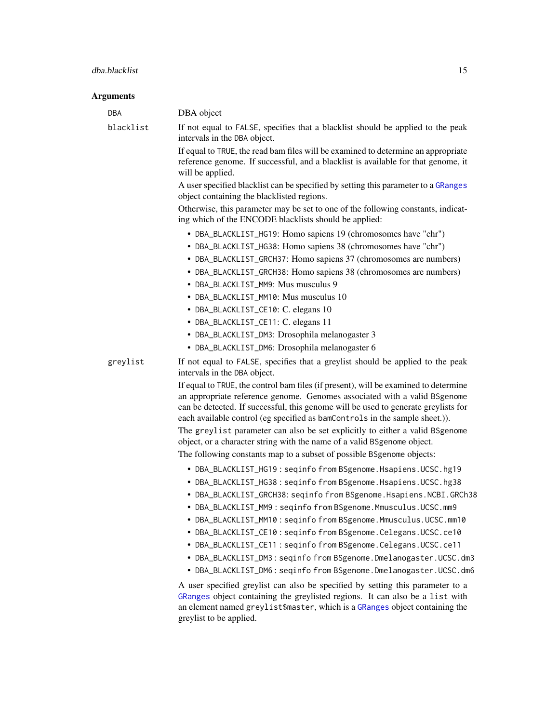# dba.blacklist 15

| <b>DBA</b> | DBA object                                                                                                                                                                                                                                                                                                                                                                                                                                                                                                                                                                                                                                                                                                                                                                                                                                                                                                                                                                                                                                                                                                                                                                                                                                                                                                                                                                                                               |
|------------|--------------------------------------------------------------------------------------------------------------------------------------------------------------------------------------------------------------------------------------------------------------------------------------------------------------------------------------------------------------------------------------------------------------------------------------------------------------------------------------------------------------------------------------------------------------------------------------------------------------------------------------------------------------------------------------------------------------------------------------------------------------------------------------------------------------------------------------------------------------------------------------------------------------------------------------------------------------------------------------------------------------------------------------------------------------------------------------------------------------------------------------------------------------------------------------------------------------------------------------------------------------------------------------------------------------------------------------------------------------------------------------------------------------------------|
| blacklist  | If not equal to FALSE, specifies that a blacklist should be applied to the peak<br>intervals in the DBA object.                                                                                                                                                                                                                                                                                                                                                                                                                                                                                                                                                                                                                                                                                                                                                                                                                                                                                                                                                                                                                                                                                                                                                                                                                                                                                                          |
|            | If equal to TRUE, the read bam files will be examined to determine an appropriate<br>reference genome. If successful, and a blacklist is available for that genome, it<br>will be applied.                                                                                                                                                                                                                                                                                                                                                                                                                                                                                                                                                                                                                                                                                                                                                                                                                                                                                                                                                                                                                                                                                                                                                                                                                               |
|            | A user specified blacklist can be specified by setting this parameter to a GRanges<br>object containing the blacklisted regions.                                                                                                                                                                                                                                                                                                                                                                                                                                                                                                                                                                                                                                                                                                                                                                                                                                                                                                                                                                                                                                                                                                                                                                                                                                                                                         |
|            | Otherwise, this parameter may be set to one of the following constants, indicat-<br>ing which of the ENCODE blacklists should be applied:                                                                                                                                                                                                                                                                                                                                                                                                                                                                                                                                                                                                                                                                                                                                                                                                                                                                                                                                                                                                                                                                                                                                                                                                                                                                                |
|            | • DBA_BLACKLIST_HG19: Homo sapiens 19 (chromosomes have "chr")<br>• DBA_BLACKLIST_HG38: Homo sapiens 38 (chromosomes have "chr")<br>• DBA_BLACKLIST_GRCH37: Homo sapiens 37 (chromosomes are numbers)<br>• DBA_BLACKLIST_GRCH38: Homo sapiens 38 (chromosomes are numbers)<br>• DBA_BLACKLIST_MM9: Mus musculus 9<br>• DBA_BLACKLIST_MM10: Mus musculus 10<br>• DBA_BLACKLIST_CE10: C. elegans 10<br>• DBA_BLACKLIST_CE11: C. elegans 11<br>• DBA_BLACKLIST_DM3: Drosophila melanogaster 3<br>• DBA_BLACKLIST_DM6: Drosophila melanogaster 6                                                                                                                                                                                                                                                                                                                                                                                                                                                                                                                                                                                                                                                                                                                                                                                                                                                                             |
| greylist   | If not equal to FALSE, specifies that a greylist should be applied to the peak<br>intervals in the DBA object.<br>If equal to TRUE, the control bam files (if present), will be examined to determine<br>an appropriate reference genome. Genomes associated with a valid BSgenome<br>can be detected. If successful, this genome will be used to generate greylists for<br>each available control (eg specified as bamControls in the sample sheet.)).<br>The greylist parameter can also be set explicitly to either a valid BSgenome<br>object, or a character string with the name of a valid BSgenome object.<br>The following constants map to a subset of possible BSgenome objects:<br>• DBA_BLACKLIST_HG19: seqinfo from BSgenome. Hsapiens. UCSC. hg19<br>• DBA_BLACKLIST_HG38: seqinfo from BSgenome. Hsapiens. UCSC. hg38<br>• DBA_BLACKLIST_GRCH38: seqinfo from BSgenome. Hsapiens. NCBI. GRCh38<br>• DBA_BLACKLIST_MM9: seginfo from BSgenome.Mmusculus.UCSC.mm9<br>• DBA_BLACKLIST_MM10: seqinfo from BSgenome.Mmusculus.UCSC.mm10<br>• DBA_BLACKLIST_CE10: seqinfo from BSgenome. Celegans. UCSC. ce10<br>• DBA_BLACKLIST_CE11: seqinfo from BSgenome. Celegans. UCSC. ce11<br>• DBA_BLACKLIST_DM3: seqinfo from BSgenome.Dmelanogaster.UCSC.dm3<br>• DBA_BLACKLIST_DM6: seqinfo from BSgenome.Dmelanogaster.UCSC.dm6<br>A user specified greylist can also be specified by setting this parameter to a |
|            | GRanges object containing the greylisted regions. It can also be a list with<br>an element named greylist\$master, which is a GRanges object containing the<br>greylist to be applied.                                                                                                                                                                                                                                                                                                                                                                                                                                                                                                                                                                                                                                                                                                                                                                                                                                                                                                                                                                                                                                                                                                                                                                                                                                   |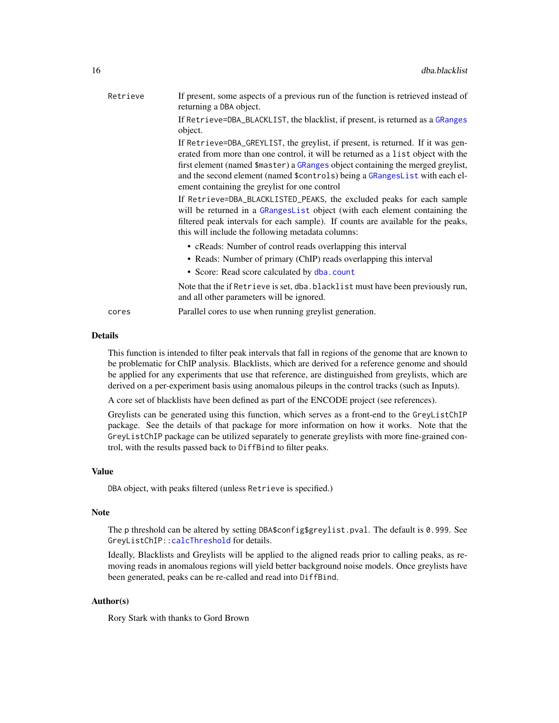| Retrieve | If present, some aspects of a previous run of the function is retrieved instead of<br>returning a DBA object.                                                                                                                                                                                                                                                                                                                                                                                                                                                                                                                                                                          |
|----------|----------------------------------------------------------------------------------------------------------------------------------------------------------------------------------------------------------------------------------------------------------------------------------------------------------------------------------------------------------------------------------------------------------------------------------------------------------------------------------------------------------------------------------------------------------------------------------------------------------------------------------------------------------------------------------------|
|          | If Retrieve=DBA_BLACKLIST, the blacklist, if present, is returned as a GRanges<br>object.                                                                                                                                                                                                                                                                                                                                                                                                                                                                                                                                                                                              |
|          | If Retrieve=DBA_GREYLIST, the greylist, if present, is returned. If it was gen-<br>erated from more than one control, it will be returned as a list object with the<br>first element (named \$master) a GRanges object containing the merged greylist,<br>and the second element (named \$controls) being a GRangesList with each el-<br>ement containing the greylist for one control<br>If Retrieve=DBA_BLACKLISTED_PEAKS, the excluded peaks for each sample<br>will be returned in a GRangesList object (with each element containing the<br>filtered peak intervals for each sample). If counts are available for the peaks,<br>this will include the following metadata columns: |
|          | • cReads: Number of control reads overlapping this interval<br>• Reads: Number of primary (ChIP) reads overlapping this interval<br>• Score: Read score calculated by dba.count                                                                                                                                                                                                                                                                                                                                                                                                                                                                                                        |
|          | Note that the if Retrieve is set, dba.blacklist must have been previously run,<br>and all other parameters will be ignored.                                                                                                                                                                                                                                                                                                                                                                                                                                                                                                                                                            |
| cores    | Parallel cores to use when running greylist generation.                                                                                                                                                                                                                                                                                                                                                                                                                                                                                                                                                                                                                                |

# Details

This function is intended to filter peak intervals that fall in regions of the genome that are known to be problematic for ChIP analysis. Blacklists, which are derived for a reference genome and should be applied for any experiments that use that reference, are distinguished from greylists, which are derived on a per-experiment basis using anomalous pileups in the control tracks (such as Inputs).

A core set of blacklists have been defined as part of the ENCODE project (see references).

Greylists can be generated using this function, which serves as a front-end to the GreyListChIP package. See the details of that package for more information on how it works. Note that the GreyListChIP package can be utilized separately to generate greylists with more fine-grained control, with the results passed back to DiffBind to filter peaks.

# Value

DBA object, with peaks filtered (unless Retrieve is specified.)

#### Note

The p threshold can be altered by setting DBA\$config\$greylist.pval. The default is 0.999. See GreyListChIP:[:calcThreshold](#page-0-0) for details.

Ideally, Blacklists and Greylists will be applied to the aligned reads prior to calling peaks, as removing reads in anomalous regions will yield better background noise models. Once greylists have been generated, peaks can be re-called and read into DiffBind.

# Author(s)

Rory Stark with thanks to Gord Brown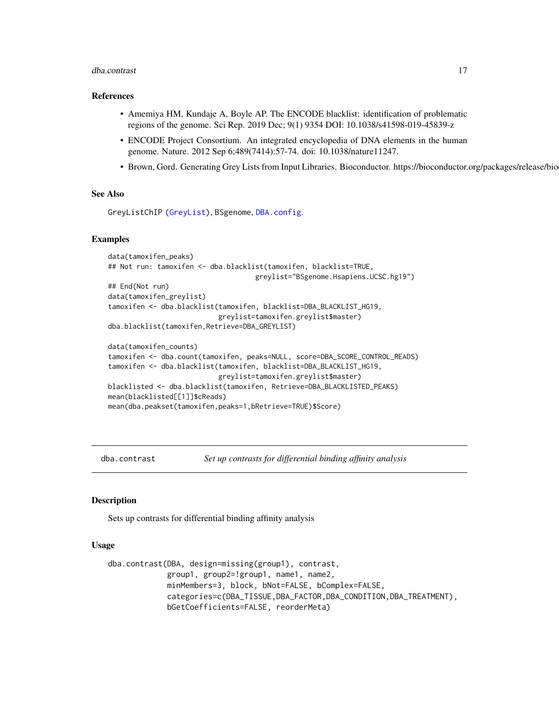#### <span id="page-16-0"></span>dba.contrast 17

#### References

- Amemiya HM, Kundaje A, Boyle AP. The ENCODE blacklist: identification of problematic regions of the genome. Sci Rep. 2019 Dec; 9(1) 9354 DOI: 10.1038/s41598-019-45839-z
- ENCODE Project Consortium. An integrated encyclopedia of DNA elements in the human genome. Nature. 2012 Sep 6;489(7414):57-74. doi: 10.1038/nature11247.
- Brown, Gord. Generating Grey Lists from Input Libraries. Bioconductor. https://bioconductor.org/packages/release/bio

#### See Also

GreyListChIP [\(GreyList\)](#page-0-0), BSgenome, [DBA.config](#page-7-1).

# Examples

```
data(tamoxifen_peaks)
## Not run: tamoxifen <- dba.blacklist(tamoxifen, blacklist=TRUE,
                                    greylist="BSgenome.Hsapiens.UCSC.hg19")
## End(Not run)
data(tamoxifen_greylist)
tamoxifen <- dba.blacklist(tamoxifen, blacklist=DBA_BLACKLIST_HG19,
                           greylist=tamoxifen.greylist$master)
dba.blacklist(tamoxifen,Retrieve=DBA_GREYLIST)
data(tamoxifen_counts)
tamoxifen <- dba.count(tamoxifen, peaks=NULL, score=DBA_SCORE_CONTROL_READS)
tamoxifen <- dba.blacklist(tamoxifen, blacklist=DBA_BLACKLIST_HG19,
                           greylist=tamoxifen.greylist$master)
```

```
blacklisted <- dba.blacklist(tamoxifen, Retrieve=DBA_BLACKLISTED_PEAKS)
mean(blacklisted[[1]]$cReads)
mean(dba.peakset(tamoxifen,peaks=1,bRetrieve=TRUE)$Score)
```
<span id="page-16-1"></span>dba.contrast *Set up contrasts for differential binding affinity analysis*

#### Description

Sets up contrasts for differential binding affinity analysis

#### Usage

```
dba.contrast(DBA, design=missing(group1), contrast,
            group1, group2=!group1, name1, name2,
            minMembers=3, block, bNot=FALSE, bComplex=FALSE,
            categories=c(DBA_TISSUE,DBA_FACTOR,DBA_CONDITION,DBA_TREATMENT),
            bGetCoefficients=FALSE, reorderMeta)
```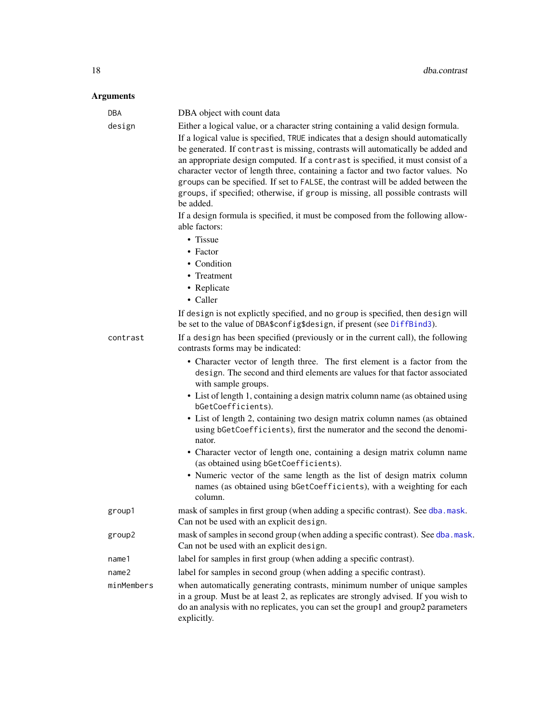| <b>DBA</b><br>design<br>contrast | DBA object with count data<br>Either a logical value, or a character string containing a valid design formula.<br>If a logical value is specified, TRUE indicates that a design should automatically<br>be generated. If contrast is missing, contrasts will automatically be added and<br>an appropriate design computed. If a contrast is specified, it must consist of a<br>character vector of length three, containing a factor and two factor values. No<br>groups can be specified. If set to FALSE, the contrast will be added between the<br>groups, if specified; otherwise, if group is missing, all possible contrasts will<br>be added.<br>If a design formula is specified, it must be composed from the following allow-<br>able factors:<br>• Tissue<br>• Factor<br>• Condition<br>• Treatment<br>• Replicate<br>• Caller<br>If design is not explictly specified, and no group is specified, then design will<br>be set to the value of DBA\$config\$design, if present (see DiffBind3).<br>If a design has been specified (previously or in the current call), the following<br>contrasts forms may be indicated:<br>• Character vector of length three. The first element is a factor from the<br>design. The second and third elements are values for that factor associated<br>with sample groups.<br>• List of length 1, containing a design matrix column name (as obtained using<br>bGetCoefficients). |
|----------------------------------|--------------------------------------------------------------------------------------------------------------------------------------------------------------------------------------------------------------------------------------------------------------------------------------------------------------------------------------------------------------------------------------------------------------------------------------------------------------------------------------------------------------------------------------------------------------------------------------------------------------------------------------------------------------------------------------------------------------------------------------------------------------------------------------------------------------------------------------------------------------------------------------------------------------------------------------------------------------------------------------------------------------------------------------------------------------------------------------------------------------------------------------------------------------------------------------------------------------------------------------------------------------------------------------------------------------------------------------------------------------------------------------------------------------------------------|
|                                  | • List of length 2, containing two design matrix column names (as obtained<br>using bGetCoefficients), first the numerator and the second the denomi-<br>nator.<br>• Character vector of length one, containing a design matrix column name<br>(as obtained using bGetCoefficients).<br>• Numeric vector of the same length as the list of design matrix column<br>names (as obtained using bGetCoefficients), with a weighting for each<br>column.                                                                                                                                                                                                                                                                                                                                                                                                                                                                                                                                                                                                                                                                                                                                                                                                                                                                                                                                                                            |
| group1                           | mask of samples in first group (when adding a specific contrast). See dba.mask.<br>Can not be used with an explicit design.                                                                                                                                                                                                                                                                                                                                                                                                                                                                                                                                                                                                                                                                                                                                                                                                                                                                                                                                                                                                                                                                                                                                                                                                                                                                                                    |
| group2                           | mask of samples in second group (when adding a specific contrast). See dba.mask.<br>Can not be used with an explicit design.                                                                                                                                                                                                                                                                                                                                                                                                                                                                                                                                                                                                                                                                                                                                                                                                                                                                                                                                                                                                                                                                                                                                                                                                                                                                                                   |
| name1                            | label for samples in first group (when adding a specific contrast).                                                                                                                                                                                                                                                                                                                                                                                                                                                                                                                                                                                                                                                                                                                                                                                                                                                                                                                                                                                                                                                                                                                                                                                                                                                                                                                                                            |
| name <sub>2</sub>                | label for samples in second group (when adding a specific contrast).                                                                                                                                                                                                                                                                                                                                                                                                                                                                                                                                                                                                                                                                                                                                                                                                                                                                                                                                                                                                                                                                                                                                                                                                                                                                                                                                                           |
| minMembers                       | when automatically generating contrasts, minimum number of unique samples<br>in a group. Must be at least 2, as replicates are strongly advised. If you wish to<br>do an analysis with no replicates, you can set the group1 and group2 parameters<br>explicitly.                                                                                                                                                                                                                                                                                                                                                                                                                                                                                                                                                                                                                                                                                                                                                                                                                                                                                                                                                                                                                                                                                                                                                              |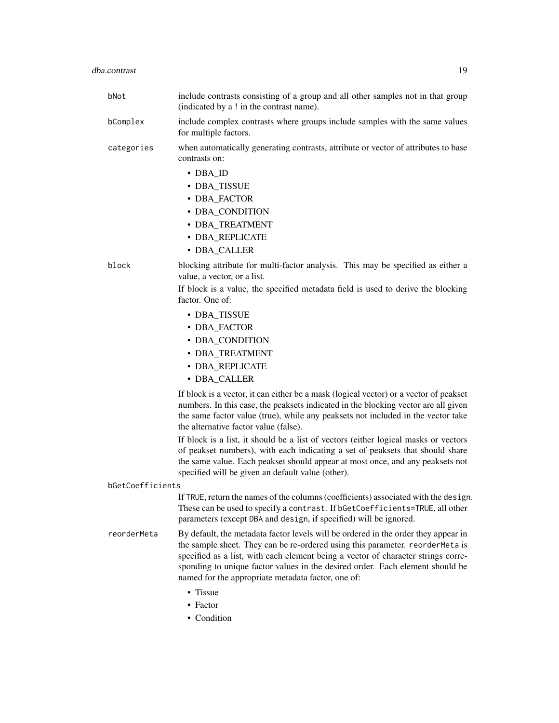|                  | bNot        | include contrasts consisting of a group and all other samples not in that group<br>(indicated by a ! in the contrast name).                                                                                                                                                                                                                                                                     |
|------------------|-------------|-------------------------------------------------------------------------------------------------------------------------------------------------------------------------------------------------------------------------------------------------------------------------------------------------------------------------------------------------------------------------------------------------|
|                  | bComplex    | include complex contrasts where groups include samples with the same values<br>for multiple factors.                                                                                                                                                                                                                                                                                            |
|                  | categories  | when automatically generating contrasts, attribute or vector of attributes to base<br>contrasts on:                                                                                                                                                                                                                                                                                             |
|                  |             | $\cdot$ DBA_ID                                                                                                                                                                                                                                                                                                                                                                                  |
|                  |             | • DBA_TISSUE                                                                                                                                                                                                                                                                                                                                                                                    |
|                  |             | • DBA_FACTOR                                                                                                                                                                                                                                                                                                                                                                                    |
|                  |             | • DBA_CONDITION<br>• DBA_TREATMENT                                                                                                                                                                                                                                                                                                                                                              |
|                  |             | • DBA_REPLICATE                                                                                                                                                                                                                                                                                                                                                                                 |
|                  |             | • DBA_CALLER                                                                                                                                                                                                                                                                                                                                                                                    |
|                  | block       | blocking attribute for multi-factor analysis. This may be specified as either a<br>value, a vector, or a list.                                                                                                                                                                                                                                                                                  |
|                  |             | If block is a value, the specified metadata field is used to derive the blocking<br>factor. One of:                                                                                                                                                                                                                                                                                             |
|                  |             | • DBA_TISSUE                                                                                                                                                                                                                                                                                                                                                                                    |
|                  |             | • DBA_FACTOR                                                                                                                                                                                                                                                                                                                                                                                    |
|                  |             | • DBA_CONDITION                                                                                                                                                                                                                                                                                                                                                                                 |
|                  |             | • DBA_TREATMENT                                                                                                                                                                                                                                                                                                                                                                                 |
|                  |             | · DBA_REPLICATE                                                                                                                                                                                                                                                                                                                                                                                 |
|                  |             | • DBA_CALLER                                                                                                                                                                                                                                                                                                                                                                                    |
|                  |             | If block is a vector, it can either be a mask (logical vector) or a vector of peakset<br>numbers. In this case, the peaksets indicated in the blocking vector are all given<br>the same factor value (true), while any peaksets not included in the vector take<br>the alternative factor value (false).                                                                                        |
|                  |             | If block is a list, it should be a list of vectors (either logical masks or vectors<br>of peakset numbers), with each indicating a set of peaksets that should share<br>the same value. Each peakset should appear at most once, and any peaksets not<br>specified will be given an default value (other).                                                                                      |
| bGetCoefficients |             |                                                                                                                                                                                                                                                                                                                                                                                                 |
|                  |             | If TRUE, return the names of the columns (coefficients) associated with the design.<br>These can be used to specify a contrast. If bGetCoefficients=TRUE, all other<br>parameters (except DBA and design, if specified) will be ignored.                                                                                                                                                        |
|                  | reorderMeta | By default, the metadata factor levels will be ordered in the order they appear in<br>the sample sheet. They can be re-ordered using this parameter. reorderMeta is<br>specified as a list, with each element being a vector of character strings corre-<br>sponding to unique factor values in the desired order. Each element should be<br>named for the appropriate metadata factor, one of: |
|                  |             | • Tissue                                                                                                                                                                                                                                                                                                                                                                                        |
|                  |             | • Factor                                                                                                                                                                                                                                                                                                                                                                                        |
|                  |             | • Condition                                                                                                                                                                                                                                                                                                                                                                                     |
|                  |             |                                                                                                                                                                                                                                                                                                                                                                                                 |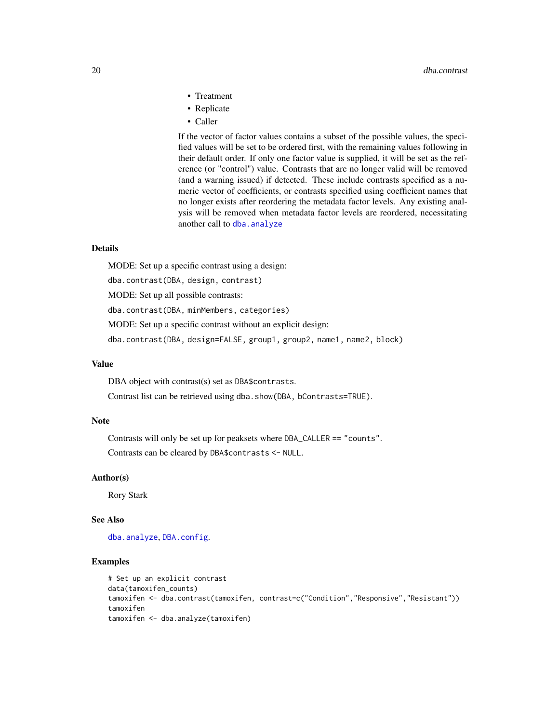- Treatment
- Replicate
- Caller

If the vector of factor values contains a subset of the possible values, the specified values will be set to be ordered first, with the remaining values following in their default order. If only one factor value is supplied, it will be set as the reference (or "control") value. Contrasts that are no longer valid will be removed (and a warning issued) if detected. These include contrasts specified as a numeric vector of coefficients, or contrasts specified using coefficient names that no longer exists after reordering the metadata factor levels. Any existing analysis will be removed when metadata factor levels are reordered, necessitating another call to [dba.analyze](#page-11-1)

#### Details

MODE: Set up a specific contrast using a design:

dba.contrast(DBA, design, contrast)

MODE: Set up all possible contrasts:

dba.contrast(DBA, minMembers, categories)

MODE: Set up a specific contrast without an explicit design:

dba.contrast(DBA, design=FALSE, group1, group2, name1, name2, block)

#### Value

DBA object with contrast(s) set as DBA\$contrasts.

Contrast list can be retrieved using dba.show(DBA, bContrasts=TRUE).

# Note

Contrasts will only be set up for peaksets where DBA\_CALLER == "counts".

Contrasts can be cleared by DBA\$contrasts <- NULL.

# Author(s)

Rory Stark

# See Also

[dba.analyze](#page-11-1), [DBA.config](#page-7-1).

# Examples

```
# Set up an explicit contrast
data(tamoxifen_counts)
tamoxifen <- dba.contrast(tamoxifen, contrast=c("Condition","Responsive","Resistant"))
tamoxifen
tamoxifen <- dba.analyze(tamoxifen)
```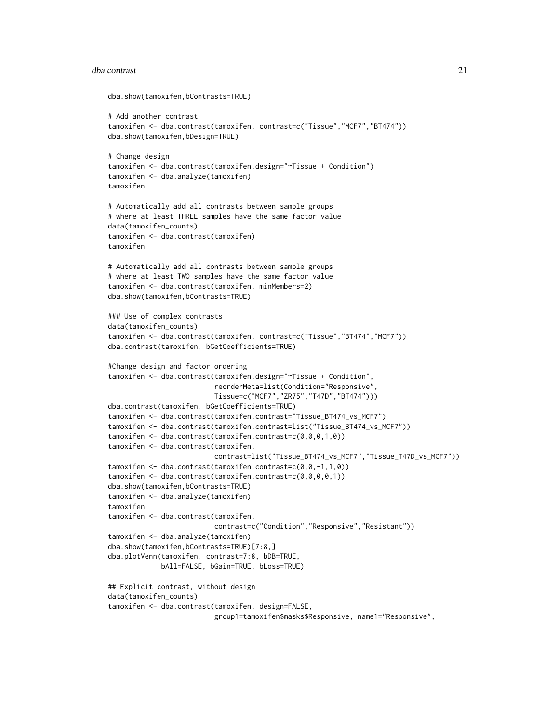#### dba.contrast 21

```
dba.show(tamoxifen,bContrasts=TRUE)
# Add another contrast
tamoxifen <- dba.contrast(tamoxifen, contrast=c("Tissue","MCF7","BT474"))
dba.show(tamoxifen,bDesign=TRUE)
# Change design
tamoxifen <- dba.contrast(tamoxifen,design="~Tissue + Condition")
tamoxifen <- dba.analyze(tamoxifen)
tamoxifen
# Automatically add all contrasts between sample groups
# where at least THREE samples have the same factor value
data(tamoxifen_counts)
tamoxifen <- dba.contrast(tamoxifen)
tamoxifen
# Automatically add all contrasts between sample groups
# where at least TWO samples have the same factor value
tamoxifen <- dba.contrast(tamoxifen, minMembers=2)
dba.show(tamoxifen,bContrasts=TRUE)
### Use of complex contrasts
data(tamoxifen_counts)
tamoxifen <- dba.contrast(tamoxifen, contrast=c("Tissue","BT474","MCF7"))
dba.contrast(tamoxifen, bGetCoefficients=TRUE)
#Change design and factor ordering
tamoxifen <- dba.contrast(tamoxifen,design="~Tissue + Condition",
                          reorderMeta=list(Condition="Responsive",
                          Tissue=c("MCF7","ZR75","T47D","BT474")))
dba.contrast(tamoxifen, bGetCoefficients=TRUE)
tamoxifen <- dba.contrast(tamoxifen,contrast="Tissue_BT474_vs_MCF7")
tamoxifen <- dba.contrast(tamoxifen,contrast=list("Tissue_BT474_vs_MCF7"))
tamoxifen <- dba.contrast(tamoxifen,contrast=c(0,0,0,1,0))
tamoxifen <- dba.contrast(tamoxifen,
                          contrast=list("Tissue_BT474_vs_MCF7","Tissue_T47D_vs_MCF7"))
tamoxifen <- dba.contrast(tamoxifen,contrast=c(0,0,-1,1,0))
tamoxifen <- dba.contrast(tamoxifen,contrast=c(0,0,0,0,1))
dba.show(tamoxifen,bContrasts=TRUE)
tamoxifen <- dba.analyze(tamoxifen)
tamoxifen
tamoxifen <- dba.contrast(tamoxifen,
                          contrast=c("Condition","Responsive","Resistant"))
tamoxifen <- dba.analyze(tamoxifen)
dba.show(tamoxifen,bContrasts=TRUE)[7:8,]
dba.plotVenn(tamoxifen, contrast=7:8, bDB=TRUE,
             bAll=FALSE, bGain=TRUE, bLoss=TRUE)
## Explicit contrast, without design
data(tamoxifen_counts)
tamoxifen <- dba.contrast(tamoxifen, design=FALSE,
                          group1=tamoxifen$masks$Responsive, name1="Responsive",
```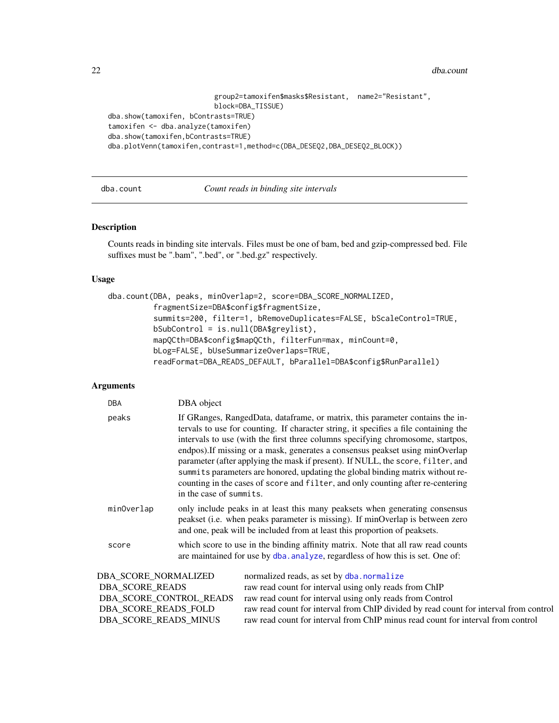<span id="page-21-0"></span>22 dba.count and the set of the set of the set of the set of the set of the set of the set of the set of the set of the set of the set of the set of the set of the set of the set of the set of the set of the set of the set

```
group2=tamoxifen$masks$Resistant, name2="Resistant",
                          block=DBA_TISSUE)
dba.show(tamoxifen, bContrasts=TRUE)
tamoxifen <- dba.analyze(tamoxifen)
dba.show(tamoxifen,bContrasts=TRUE)
dba.plotVenn(tamoxifen,contrast=1,method=c(DBA_DESEQ2,DBA_DESEQ2_BLOCK))
```
<span id="page-21-1"></span>dba.count *Count reads in binding site intervals*

# Description

Counts reads in binding site intervals. Files must be one of bam, bed and gzip-compressed bed. File suffixes must be ".bam", ".bed", or ".bed.gz" respectively.

#### Usage

```
dba.count(DBA, peaks, minOverlap=2, score=DBA_SCORE_NORMALIZED,
          fragmentSize=DBA$config$fragmentSize,
          summits=200, filter=1, bRemoveDuplicates=FALSE, bScaleControl=TRUE,
          bSubControl = is.null(DBA$greylist),
          mapQCth=DBA$config$mapQCth, filterFun=max, minCount=0,
         bLog=FALSE, bUseSummarizeOverlaps=TRUE,
          readFormat=DBA_READS_DEFAULT, bParallel=DBA$config$RunParallel)
```

| <b>DBA</b>           | DBA object                                                                                                                                                                                                                                                                                                                                                                                                                                                                                                                                                                                                                   |  |
|----------------------|------------------------------------------------------------------------------------------------------------------------------------------------------------------------------------------------------------------------------------------------------------------------------------------------------------------------------------------------------------------------------------------------------------------------------------------------------------------------------------------------------------------------------------------------------------------------------------------------------------------------------|--|
| peaks                | If GRanges, RangedData, dataframe, or matrix, this parameter contains the in-<br>tervals to use for counting. If character string, it specifies a file containing the<br>intervals to use (with the first three columns specifying chromosome, startpos,<br>endpos). If missing or a mask, generates a consensus peakset using minOverlap<br>parameter (after applying the mask if present). If NULL, the score, filter, and<br>summits parameters are honored, updating the global binding matrix without re-<br>counting in the cases of score and filter, and only counting after re-centering<br>in the case of summits. |  |
| minOverlap           | only include peaks in at least this many peaksets when generating consensus<br>peakset (i.e. when peaks parameter is missing). If minOverlap is between zero<br>and one, peak will be included from at least this proportion of peaksets.                                                                                                                                                                                                                                                                                                                                                                                    |  |
| score                | which score to use in the binding affinity matrix. Note that all raw read counts<br>are maintained for use by dba. analyze, regardless of how this is set. One of:                                                                                                                                                                                                                                                                                                                                                                                                                                                           |  |
| DBA SCORE NORMALIZED | normalized reads, as set by dba. normalize                                                                                                                                                                                                                                                                                                                                                                                                                                                                                                                                                                                   |  |

| DBA SCORE NORMALIZED  | normalized reads, as set by dba.normalize                                             |
|-----------------------|---------------------------------------------------------------------------------------|
| DBA SCORE READS       | raw read count for interval using only reads from ChIP                                |
|                       | DBA SCORE CONTROL READS raw read count for interval using only reads from Control     |
| DBA SCORE READS FOLD  | raw read count for interval from ChIP divided by read count for interval from control |
| DBA SCORE READS MINUS | raw read count for interval from ChIP minus read count for interval from control      |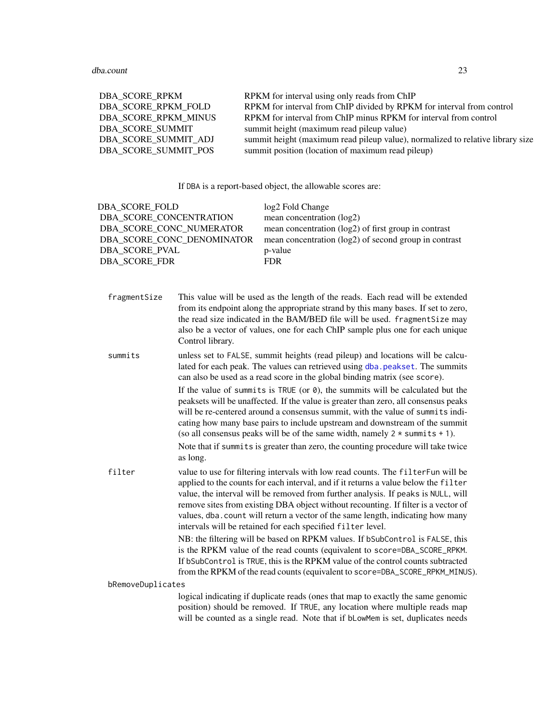| DBA SCORE RPKM       | RPKM for interval using only reads from ChIP                                   |
|----------------------|--------------------------------------------------------------------------------|
| DBA SCORE RPKM FOLD  | RPKM for interval from ChIP divided by RPKM for interval from control          |
| DBA SCORE RPKM MINUS | RPKM for interval from ChIP minus RPKM for interval from control               |
| DBA SCORE SUMMIT     | summit height (maximum read pileup value)                                      |
| DBA SCORE SUMMIT ADJ | summit height (maximum read pileup value), normalized to relative library size |
| DBA SCORE SUMMIT POS | summit position (location of maximum read pileup)                              |

If DBA is a report-based object, the allowable scores are:

| DBA SCORE FOLD             | log2 Fold Change                                      |
|----------------------------|-------------------------------------------------------|
| DBA SCORE CONCENTRATION    | mean concentration (log2)                             |
| DBA SCORE CONC NUMERATOR   | mean concentration (log2) of first group in contrast  |
| DBA SCORE CONC DENOMINATOR | mean concentration (log2) of second group in contrast |
| DBA SCORE PVAL             | p-value                                               |
| DBA SCORE FDR              | FDR.                                                  |

fragmentSize This value will be used as the length of the reads. Each read will be extended from its endpoint along the appropriate strand by this many bases. If set to zero, the read size indicated in the BAM/BED file will be used. fragmentSize may also be a vector of values, one for each ChIP sample plus one for each unique Control library.

summits unless set to FALSE, summit heights (read pileup) and locations will be calculated for each peak. The values can retrieved using [dba.peakset](#page-36-1). The summits can also be used as a read score in the global binding matrix (see score).

> If the value of summits is TRUE (or  $\theta$ ), the summits will be calculated but the peaksets will be unaffected. If the value is greater than zero, all consensus peaks will be re-centered around a consensus summit, with the value of summits indicating how many base pairs to include upstream and downstream of the summit (so all consensus peaks will be of the same width, namely  $2 \times$  summits  $+ 1$ ). Note that if summits is greater than zero, the counting procedure will take twice as long.

filter value to use for filtering intervals with low read counts. The filterFun will be applied to the counts for each interval, and if it returns a value below the filter value, the interval will be removed from further analysis. If peaks is NULL, will remove sites from existing DBA object without recounting. If filter is a vector of values, dba.count will return a vector of the same length, indicating how many intervals will be retained for each specified filter level.

> NB: the filtering will be based on RPKM values. If bSubControl is FALSE, this is the RPKM value of the read counts (equivalent to score=DBA\_SCORE\_RPKM. If bSubControl is TRUE, this is the RPKM value of the control counts subtracted from the RPKM of the read counts (equivalent to score=DBA\_SCORE\_RPKM\_MINUS).

bRemoveDuplicates

logical indicating if duplicate reads (ones that map to exactly the same genomic position) should be removed. If TRUE, any location where multiple reads map will be counted as a single read. Note that if bLowMem is set, duplicates needs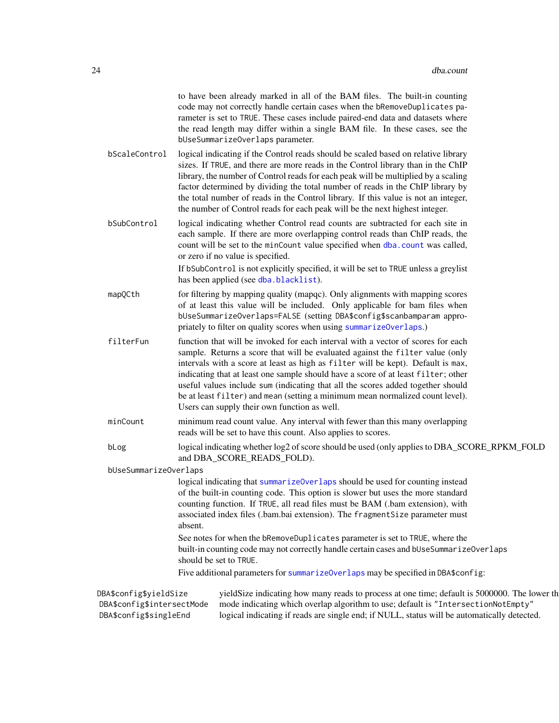|               | to have been already marked in all of the BAM files. The built-in counting                                                                                             |
|---------------|------------------------------------------------------------------------------------------------------------------------------------------------------------------------|
|               | code may not correctly handle certain cases when the bRemoveDuplicates pa-                                                                                             |
|               | rameter is set to TRUE. These cases include paired-end data and datasets where                                                                                         |
|               | the read length may differ within a single BAM file. In these cases, see the<br>bUseSummarizeOverlaps parameter.                                                       |
| bScaleControl | logical indicating if the Control reads should be scaled based on relative library<br>sizes. If TRUE, and there are more reads in the Control library than in the ChIP |

- library, the number of Control reads for each peak will be multiplied by a scaling factor determined by dividing the total number of reads in the ChIP library by the total number of reads in the Control library. If this value is not an integer, the number of Control reads for each peak will be the next highest integer.
- bSubControl logical indicating whether Control read counts are subtracted for each site in each sample. If there are more overlapping control reads than ChIP reads, the count will be set to the minCount value specified when [dba.count](#page-21-1) was called, or zero if no value is specified.

If bSubControl is not explicitly specified, it will be set to TRUE unless a greylist has been applied (see [dba.blacklist](#page-13-1)).

- mapQCth for filtering by mapping quality (mapqc). Only alignments with mapping scores of at least this value will be included. Only applicable for bam files when bUseSummarizeOverlaps=FALSE (setting DBA\$config\$scanbamparam appropriately to filter on quality scores when using [summarizeOverlaps](#page-0-0).)
- filterFun function that will be invoked for each interval with a vector of scores for each sample. Returns a score that will be evaluated against the filter value (only intervals with a score at least as high as filter will be kept). Default is max, indicating that at least one sample should have a score of at least filter; other useful values include sum (indicating that all the scores added together should be at least filter) and mean (setting a minimum mean normalized count level). Users can supply their own function as well.
- minCount minimum read count value. Any interval with fewer than this many overlapping reads will be set to have this count. Also applies to scores.
- bLog logical indicating whether log2 of score should be used (only applies to DBA\_SCORE\_RPKM\_FOLD and DBA\_SCORE\_READS\_FOLD).

bUseSummarizeOverlaps

logical indicating that [summarizeOverlaps](#page-0-0) should be used for counting instead of the built-in counting code. This option is slower but uses the more standard counting function. If TRUE, all read files must be BAM (.bam extension), with associated index files (.bam.bai extension). The fragmentSize parameter must absent.

See notes for when the bRemoveDuplicates parameter is set to TRUE, where the built-in counting code may not correctly handle certain cases and bUseSummarizeOverlaps should be set to TRUE.

Five additional parameters for [summarizeOverlaps](#page-0-0) may be specified in DBA\$config:

DBA\$config\$yieldSize yieldSize indicating how many reads to process at one time; default is 5000000. The lower th DBA\$config\$intersectMode mode indicating which overlap algorithm to use; default is "IntersectionNotEmpty" DBA\$config\$singleEnd logical indicating if reads are single end; if NULL, status will be automatically detected.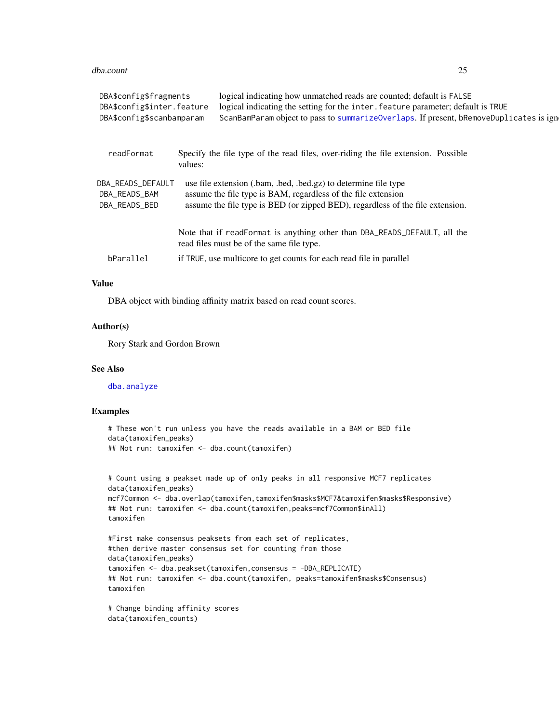#### dba.count 25

| DBA\$config\$fragments<br>DBA\$config\$inter.feature |         | logical indicating how unmatched reads are counted; default is FALSE<br>logical indicating the setting for the inter. feature parameter; default is TRUE                                                           |  |
|------------------------------------------------------|---------|--------------------------------------------------------------------------------------------------------------------------------------------------------------------------------------------------------------------|--|
|                                                      |         |                                                                                                                                                                                                                    |  |
| readFormat                                           | values: | Specify the file type of the read files, over-riding the file extension. Possible                                                                                                                                  |  |
| DBA_READS_DEFAULT<br>DBA_READS_BAM<br>DBA_READS_BED  |         | use file extension (.bam, .bed, .bed.gz) to determine file type<br>assume the file type is BAM, regardless of the file extension<br>assume the file type is BED (or zipped BED), regardless of the file extension. |  |
|                                                      |         | Note that if readFormat is anything other than DBA_READS_DEFAULT, all the<br>read files must be of the same file type.                                                                                             |  |
| bParallel                                            |         | if TRUE, use multicore to get counts for each read file in parallel                                                                                                                                                |  |
|                                                      |         |                                                                                                                                                                                                                    |  |

#### Value

DBA object with binding affinity matrix based on read count scores.

# Author(s)

Rory Stark and Gordon Brown

#### See Also

[dba.analyze](#page-11-1)

# Examples

```
# These won't run unless you have the reads available in a BAM or BED file
data(tamoxifen_peaks)
## Not run: tamoxifen <- dba.count(tamoxifen)
```

```
# Count using a peakset made up of only peaks in all responsive MCF7 replicates
data(tamoxifen_peaks)
mcf7Common <- dba.overlap(tamoxifen,tamoxifen$masks$MCF7&tamoxifen$masks$Responsive)
## Not run: tamoxifen <- dba.count(tamoxifen,peaks=mcf7Common$inAll)
tamoxifen
```

```
#First make consensus peaksets from each set of replicates,
#then derive master consensus set for counting from those
data(tamoxifen_peaks)
tamoxifen <- dba.peakset(tamoxifen,consensus = -DBA_REPLICATE)
## Not run: tamoxifen <- dba.count(tamoxifen, peaks=tamoxifen$masks$Consensus)
tamoxifen
```

```
# Change binding affinity scores
data(tamoxifen_counts)
```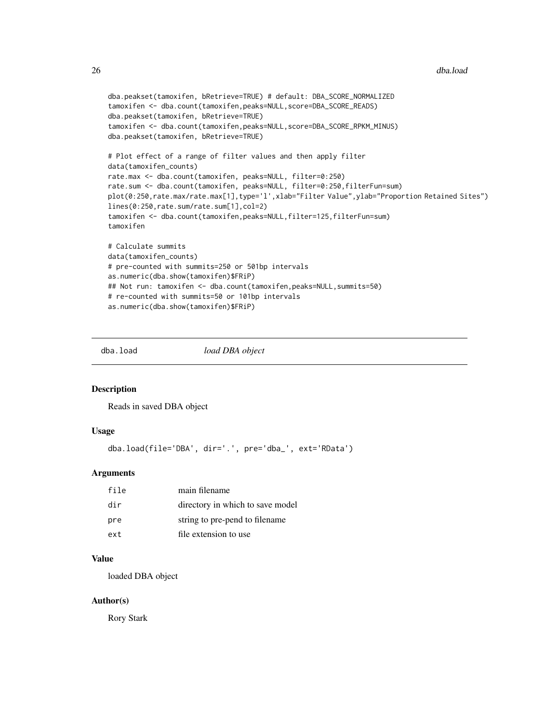#### <span id="page-25-0"></span>26 dba.load

```
dba.peakset(tamoxifen, bRetrieve=TRUE) # default: DBA_SCORE_NORMALIZED
tamoxifen <- dba.count(tamoxifen,peaks=NULL,score=DBA_SCORE_READS)
dba.peakset(tamoxifen, bRetrieve=TRUE)
tamoxifen <- dba.count(tamoxifen,peaks=NULL,score=DBA_SCORE_RPKM_MINUS)
dba.peakset(tamoxifen, bRetrieve=TRUE)
# Plot effect of a range of filter values and then apply filter
data(tamoxifen_counts)
rate.max <- dba.count(tamoxifen, peaks=NULL, filter=0:250)
rate.sum <- dba.count(tamoxifen, peaks=NULL, filter=0:250,filterFun=sum)
plot(0:250,rate.max/rate.max[1],type='l',xlab="Filter Value",ylab="Proportion Retained Sites")
lines(0:250,rate.sum/rate.sum[1],col=2)
tamoxifen <- dba.count(tamoxifen,peaks=NULL,filter=125,filterFun=sum)
tamoxifen
# Calculate summits
data(tamoxifen_counts)
# pre-counted with summits=250 or 501bp intervals
as.numeric(dba.show(tamoxifen)$FRiP)
## Not run: tamoxifen <- dba.count(tamoxifen,peaks=NULL,summits=50)
# re-counted with summits=50 or 101bp intervals
as.numeric(dba.show(tamoxifen)$FRiP)
```
<span id="page-25-1"></span>

dba.load *load DBA object*

#### Description

Reads in saved DBA object

#### Usage

dba.load(file='DBA', dir='.', pre='dba\_', ext='RData')

# **Arguments**

| file | main filename                    |
|------|----------------------------------|
| dir  | directory in which to save model |
| pre  | string to pre-pend to filename.  |
| ext  | file extension to use            |

# Value

loaded DBA object

#### Author(s)

Rory Stark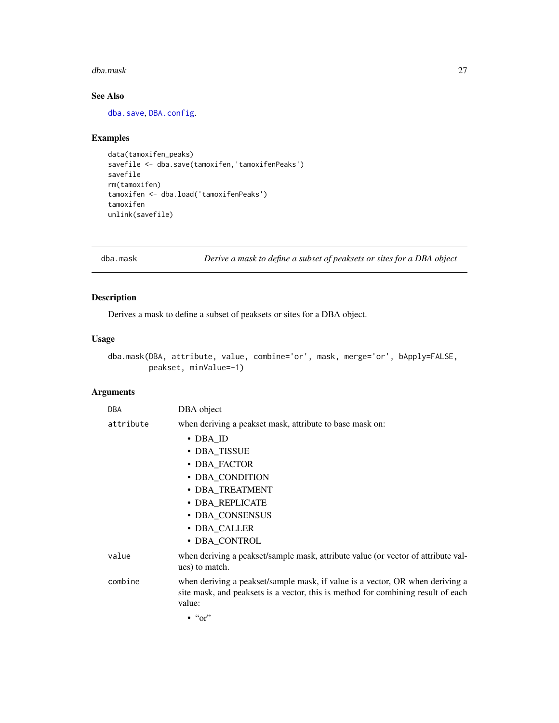#### <span id="page-26-0"></span>dba.mask 27

# See Also

[dba.save](#page-65-1), [DBA.config](#page-7-1).

# Examples

```
data(tamoxifen_peaks)
savefile <- dba.save(tamoxifen,'tamoxifenPeaks')
savefile
rm(tamoxifen)
tamoxifen <- dba.load('tamoxifenPeaks')
tamoxifen
unlink(savefile)
```
<span id="page-26-1"></span>dba.mask *Derive a mask to define a subset of peaksets or sites for a DBA object*

# Description

Derives a mask to define a subset of peaksets or sites for a DBA object.

#### Usage

```
dba.mask(DBA, attribute, value, combine='or', mask, merge='or', bApply=FALSE,
        peakset, minValue=-1)
```

| <b>DBA</b> | DBA object                                                                                                                                                                  |
|------------|-----------------------------------------------------------------------------------------------------------------------------------------------------------------------------|
| attribute  | when deriving a peakset mask, attribute to base mask on:                                                                                                                    |
|            | $\cdot$ DBA_ID                                                                                                                                                              |
|            | • DBA_TISSUE                                                                                                                                                                |
|            | • DBA_FACTOR                                                                                                                                                                |
|            | • DBA_CONDITION                                                                                                                                                             |
|            | • DBA_TREATMENT                                                                                                                                                             |
|            | · DBA_REPLICATE                                                                                                                                                             |
|            | • DBA CONSENSUS                                                                                                                                                             |
|            | • DBA_CALLER                                                                                                                                                                |
|            | · DBA_CONTROL                                                                                                                                                               |
| value      | when deriving a peakset/sample mask, attribute value (or vector of attribute val-<br>ues) to match.                                                                         |
| combine    | when deriving a peakset/sample mask, if value is a vector, OR when deriving a<br>site mask, and peaksets is a vector, this is method for combining result of each<br>value: |
|            | $\cdot$ " $\circ$ "                                                                                                                                                         |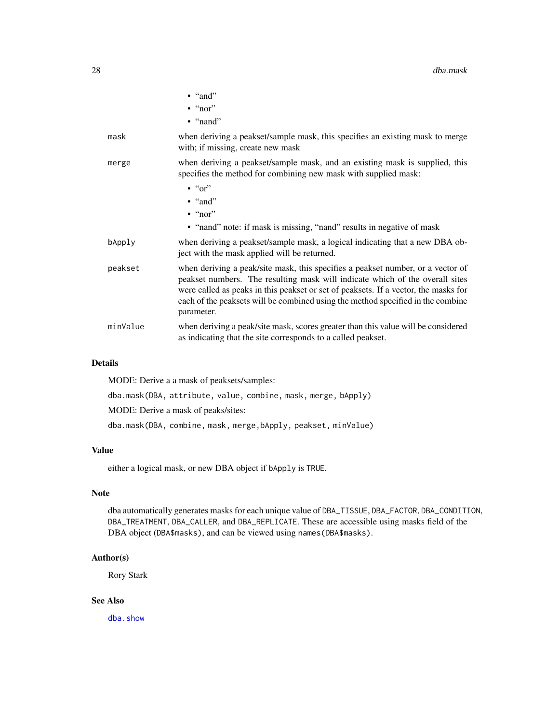|          | $\bullet$ "and"                                                                                                                                                                                                                                                                                                                                         |
|----------|---------------------------------------------------------------------------------------------------------------------------------------------------------------------------------------------------------------------------------------------------------------------------------------------------------------------------------------------------------|
|          | $\cdot$ "nor"                                                                                                                                                                                                                                                                                                                                           |
|          | $\bullet$ "nand"                                                                                                                                                                                                                                                                                                                                        |
| mask     | when deriving a peakset/sample mask, this specifies an existing mask to merge<br>with; if missing, create new mask                                                                                                                                                                                                                                      |
| merge    | when deriving a peakset/sample mask, and an existing mask is supplied, this<br>specifies the method for combining new mask with supplied mask:                                                                                                                                                                                                          |
|          | $\cdot$ " $\circ$ "                                                                                                                                                                                                                                                                                                                                     |
|          | $\bullet$ "and"                                                                                                                                                                                                                                                                                                                                         |
|          | $\cdot$ "nor"                                                                                                                                                                                                                                                                                                                                           |
|          | • "nand" note: if mask is missing, "nand" results in negative of mask                                                                                                                                                                                                                                                                                   |
| bApply   | when deriving a peakset/sample mask, a logical indicating that a new DBA ob-<br>ject with the mask applied will be returned.                                                                                                                                                                                                                            |
| peakset  | when deriving a peak/site mask, this specifies a peakset number, or a vector of<br>peakset numbers. The resulting mask will indicate which of the overall sites<br>were called as peaks in this peakset or set of peaksets. If a vector, the masks for<br>each of the peaksets will be combined using the method specified in the combine<br>parameter. |
| minValue | when deriving a peak/site mask, scores greater than this value will be considered<br>as indicating that the site corresponds to a called peakset.                                                                                                                                                                                                       |

# Details

MODE: Derive a a mask of peaksets/samples:

dba.mask(DBA, attribute, value, combine, mask, merge, bApply)

MODE: Derive a mask of peaks/sites:

dba.mask(DBA, combine, mask, merge,bApply, peakset, minValue)

# Value

either a logical mask, or new DBA object if bApply is TRUE.

#### Note

dba automatically generates masks for each unique value of DBA\_TISSUE, DBA\_FACTOR, DBA\_CONDITION, DBA\_TREATMENT, DBA\_CALLER, and DBA\_REPLICATE. These are accessible using masks field of the DBA object (DBA\$masks), and can be viewed using names(DBA\$masks).

# Author(s)

Rory Stark

# See Also

[dba.show](#page-66-1)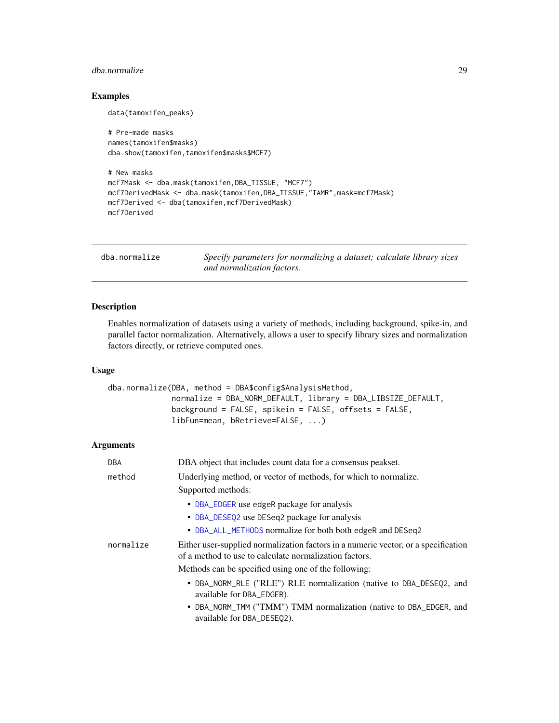# <span id="page-28-0"></span>dba.normalize 29

# Examples

data(tamoxifen\_peaks)

```
# Pre-made masks
names(tamoxifen$masks)
dba.show(tamoxifen,tamoxifen$masks$MCF7)
# New masks
mcf7Mask <- dba.mask(tamoxifen,DBA_TISSUE, "MCF7")
mcf7DerivedMask <- dba.mask(tamoxifen,DBA_TISSUE,"TAMR",mask=mcf7Mask)
mcf7Derived <- dba(tamoxifen,mcf7DerivedMask)
mcf7Derived
```
<span id="page-28-1"></span>dba.normalize *Specify parameters for normalizing a dataset; calculate library sizes and normalization factors.*

# Description

Enables normalization of datasets using a variety of methods, including background, spike-in, and parallel factor normalization. Alternatively, allows a user to specify library sizes and normalization factors directly, or retrieve computed ones.

#### Usage

```
dba.normalize(DBA, method = DBA$config$AnalysisMethod,
              normalize = DBA_NORM_DEFAULT, library = DBA_LIBSIZE_DEFAULT,
              background = FALSE, spikein = FALSE, offsets = FALSE,
              libFun=mean, bRetrieve=FALSE, ...)
```

| <b>DBA</b> | DBA object that includes count data for a consensus peakset.                                                                                 |
|------------|----------------------------------------------------------------------------------------------------------------------------------------------|
| method     | Underlying method, or vector of methods, for which to normalize.                                                                             |
|            | Supported methods:                                                                                                                           |
|            | • DBA_EDGER use edgeR package for analysis                                                                                                   |
|            | • DBA_DESEQ2 use DESeq2 package for analysis                                                                                                 |
|            | • DBA_ALL_METHODS normalize for both both edgeR and DESeq2                                                                                   |
| normalize  | Either user-supplied normalization factors in a numeric vector, or a specification<br>of a method to use to calculate normalization factors. |
|            | Methods can be specified using one of the following:                                                                                         |
|            | • DBA_NORM_RLE ("RLE") RLE normalization (native to DBA_DESEO2, and<br>available for DBA_EDGER).                                             |
|            | • DBA_NORM_TMM ("TMM") TMM normalization (native to DBA_EDGER, and<br>available for DBA_DESEQ2).                                             |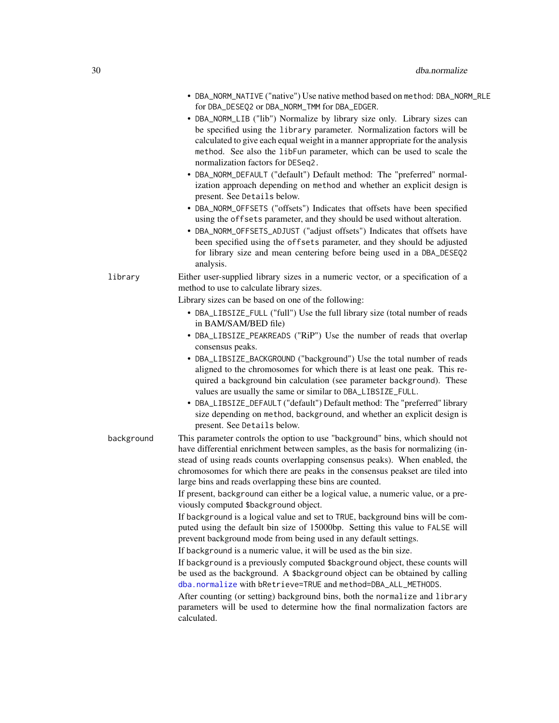|            | • DBA_NORM_NATIVE ("native") Use native method based on method: DBA_NORM_RLE<br>for DBA_DESEQ2 or DBA_NORM_TMM for DBA_EDGER.<br>• DBA_NORM_LIB ("lib") Normalize by library size only. Library sizes can<br>be specified using the library parameter. Normalization factors will be<br>calculated to give each equal weight in a manner appropriate for the analysis<br>method. See also the libFun parameter, which can be used to scale the<br>normalization factors for DESeq2.<br>• DBA_NORM_DEFAULT ("default") Default method: The "preferred" normal-<br>ization approach depending on method and whether an explicit design is<br>present. See Details below.<br>• DBA_NORM_OFFSETS ("offsets") Indicates that offsets have been specified<br>using the offsets parameter, and they should be used without alteration.<br>• DBA_NORM_OFFSETS_ADJUST ("adjust offsets") Indicates that offsets have<br>been specified using the offsets parameter, and they should be adjusted<br>for library size and mean centering before being used in a DBA_DESEQ2<br>analysis.                                                                                                                                                                          |
|------------|-------------------------------------------------------------------------------------------------------------------------------------------------------------------------------------------------------------------------------------------------------------------------------------------------------------------------------------------------------------------------------------------------------------------------------------------------------------------------------------------------------------------------------------------------------------------------------------------------------------------------------------------------------------------------------------------------------------------------------------------------------------------------------------------------------------------------------------------------------------------------------------------------------------------------------------------------------------------------------------------------------------------------------------------------------------------------------------------------------------------------------------------------------------------------------------------------------------------------------------------------------|
| library    | Either user-supplied library sizes in a numeric vector, or a specification of a<br>method to use to calculate library sizes.<br>Library sizes can be based on one of the following:<br>• DBA_LIBSIZE_FULL ("full") Use the full library size (total number of reads<br>in BAM/SAM/BED file)<br>• DBA_LIBSIZE_PEAKREADS ("RiP") Use the number of reads that overlap<br>consensus peaks.<br>• DBA_LIBSIZE_BACKGROUND ("background") Use the total number of reads<br>aligned to the chromosomes for which there is at least one peak. This re-<br>quired a background bin calculation (see parameter background). These<br>values are usually the same or similar to DBA_LIBSIZE_FULL.<br>• DBA_LIBSIZE_DEFAULT ("default") Default method: The "preferred" library<br>size depending on method, background, and whether an explicit design is<br>present. See Details below.                                                                                                                                                                                                                                                                                                                                                                          |
| background | This parameter controls the option to use "background" bins, which should not<br>have differential enrichment between samples, as the basis for normalizing (in-<br>stead of using reads counts overlapping consensus peaks). When enabled, the<br>chromosomes for which there are peaks in the consensus peakset are tiled into<br>large bins and reads overlapping these bins are counted.<br>If present, background can either be a logical value, a numeric value, or a pre-<br>viously computed \$background object.<br>If background is a logical value and set to TRUE, background bins will be com-<br>puted using the default bin size of 15000bp. Setting this value to FALSE will<br>prevent background mode from being used in any default settings.<br>If background is a numeric value, it will be used as the bin size.<br>If background is a previously computed \$background object, these counts will<br>be used as the background. A \$background object can be obtained by calling<br>dba.normalize with bRetrieve=TRUE and method=DBA_ALL_METHODS.<br>After counting (or setting) background bins, both the normalize and library<br>parameters will be used to determine how the final normalization factors are<br>calculated. |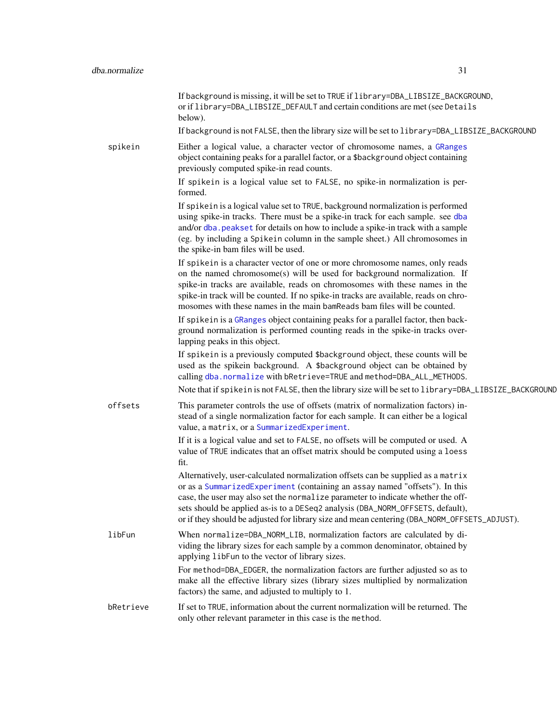|           | If background is missing, it will be set to TRUE if library=DBA_LIBSIZE_BACKGROUND,<br>or if library=DBA_LIBSIZE_DEFAULT and certain conditions are met (see Details<br>below).                                                                                                                                                                                                                                                       |
|-----------|---------------------------------------------------------------------------------------------------------------------------------------------------------------------------------------------------------------------------------------------------------------------------------------------------------------------------------------------------------------------------------------------------------------------------------------|
|           | If background is not FALSE, then the library size will be set to library=DBA_LIBSIZE_BACKGROUND                                                                                                                                                                                                                                                                                                                                       |
| spikein   | Either a logical value, a character vector of chromosome names, a GRanges<br>object containing peaks for a parallel factor, or a \$background object containing<br>previously computed spike-in read counts.<br>If spike in is a logical value set to FALSE, no spike-in normalization is per-                                                                                                                                        |
|           | formed.                                                                                                                                                                                                                                                                                                                                                                                                                               |
|           | If spikein is a logical value set to TRUE, background normalization is performed<br>using spike-in tracks. There must be a spike-in track for each sample. see dba<br>and/or dba. peakset for details on how to include a spike-in track with a sample<br>(eg. by including a Spikein column in the sample sheet.) All chromosomes in<br>the spike-in bam files will be used.                                                         |
|           | If spike in is a character vector of one or more chromosome names, only reads<br>on the named chromosome(s) will be used for background normalization. If<br>spike-in tracks are available, reads on chromosomes with these names in the<br>spike-in track will be counted. If no spike-in tracks are available, reads on chro-<br>mosomes with these names in the main bamReads bam files will be counted.                           |
|           | If spike in is a GRanges object containing peaks for a parallel factor, then back-<br>ground normalization is performed counting reads in the spike-in tracks over-<br>lapping peaks in this object.                                                                                                                                                                                                                                  |
|           | If spikein is a previously computed \$background object, these counts will be<br>used as the spikein background. A \$background object can be obtained by<br>calling dba. normalize with bRetrieve=TRUE and method=DBA_ALL_METHODS.                                                                                                                                                                                                   |
|           | Note that if spikein is not FALSE, then the library size will be set to library=DBA_LIBSIZE_BACKGROUND                                                                                                                                                                                                                                                                                                                                |
| offsets   | This parameter controls the use of offsets (matrix of normalization factors) in-<br>stead of a single normalization factor for each sample. It can either be a logical<br>value, a matrix, or a SummarizedExperiment.                                                                                                                                                                                                                 |
|           | If it is a logical value and set to FALSE, no offsets will be computed or used. A<br>value of TRUE indicates that an offset matrix should be computed using a loess<br>fit.                                                                                                                                                                                                                                                           |
|           | Alternatively, user-calculated normalization offsets can be supplied as a matrix<br>or as a SummarizedExperiment (containing an assay named "offsets"). In this<br>case, the user may also set the normalize parameter to indicate whether the off-<br>sets should be applied as-is to a DESeq2 analysis (DBA_NORM_OFFSETS, default),<br>or if they should be adjusted for library size and mean centering (DBA_NORM_OFFSETS_ADJUST). |
| libFun    | When normalize=DBA_NORM_LIB, normalization factors are calculated by di-<br>viding the library sizes for each sample by a common denominator, obtained by<br>applying libFun to the vector of library sizes.                                                                                                                                                                                                                          |
|           | For method=DBA_EDGER, the normalization factors are further adjusted so as to<br>make all the effective library sizes (library sizes multiplied by normalization<br>factors) the same, and adjusted to multiply to 1.                                                                                                                                                                                                                 |
| bRetrieve | If set to TRUE, information about the current normalization will be returned. The<br>only other relevant parameter in this case is the method.                                                                                                                                                                                                                                                                                        |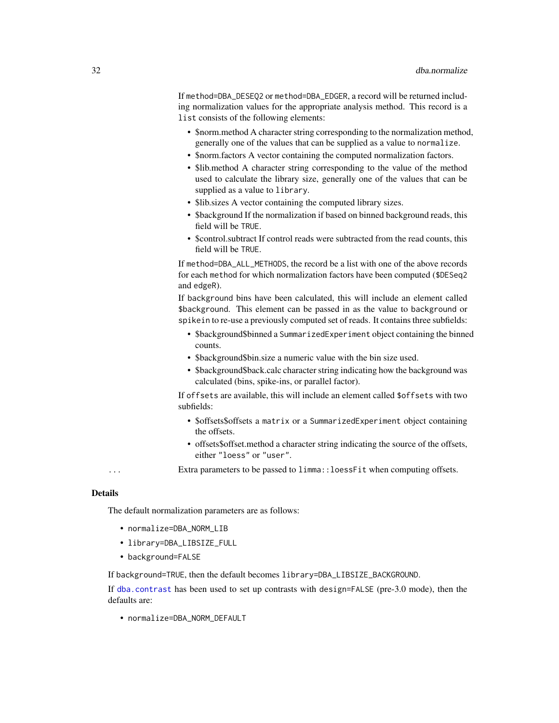If method=DBA\_DESEQ2 or method=DBA\_EDGER, a record will be returned including normalization values for the appropriate analysis method. This record is a list consists of the following elements:

- \$norm.method A character string corresponding to the normalization method, generally one of the values that can be supplied as a value to normalize.
- \$norm.factors A vector containing the computed normalization factors.
- \$lib.method A character string corresponding to the value of the method used to calculate the library size, generally one of the values that can be supplied as a value to library.
- \$lib.sizes A vector containing the computed library sizes.
- \$background If the normalization if based on binned background reads, this field will be TRUE.
- \$control.subtract If control reads were subtracted from the read counts, this field will be TRUE.

If method=DBA\_ALL\_METHODS, the record be a list with one of the above records for each method for which normalization factors have been computed (\$DESeq2 and edgeR).

If background bins have been calculated, this will include an element called \$background. This element can be passed in as the value to background or spikein to re-use a previously computed set of reads. It contains three subfields:

- \$background\$binned a SummarizedExperiment object containing the binned counts.
- \$background\$bin.size a numeric value with the bin size used.
- \$background\$back.calc character string indicating how the background was calculated (bins, spike-ins, or parallel factor).

If offsets are available, this will include an element called \$offsets with two subfields:

- \$offsets\$offsets a matrix or a SummarizedExperiment object containing the offsets.
- offsets\$offset.method a character string indicating the source of the offsets, either "loess" or "user".

... Extra parameters to be passed to limma::loessFit when computing offsets.

#### Details

The default normalization parameters are as follows:

- normalize=DBA\_NORM\_LIB
- library=DBA\_LIBSIZE\_FULL
- background=FALSE

If background=TRUE, then the default becomes library=DBA\_LIBSIZE\_BACKGROUND.

If [dba.contrast](#page-16-1) has been used to set up contrasts with design=FALSE (pre-3.0 mode), then the defaults are:

• normalize=DBA\_NORM\_DEFAULT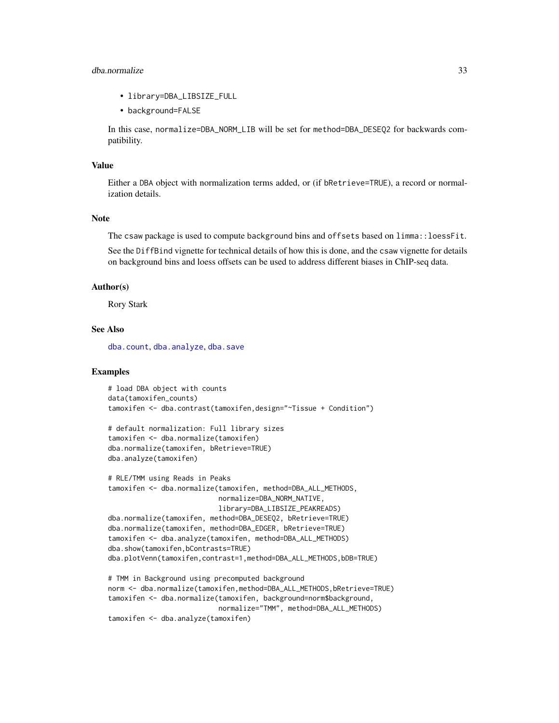# dba.normalize 33

- library=DBA\_LIBSIZE\_FULL
- background=FALSE

In this case, normalize=DBA\_NORM\_LIB will be set for method=DBA\_DESEQ2 for backwards compatibility.

# Value

Either a DBA object with normalization terms added, or (if bRetrieve=TRUE), a record or normalization details.

#### Note

The csaw package is used to compute background bins and offsets based on limma::loessFit.

See the DiffBind vignette for technical details of how this is done, and the csaw vignette for details on background bins and loess offsets can be used to address different biases in ChIP-seq data.

#### Author(s)

Rory Stark

#### See Also

[dba.count](#page-21-1), [dba.analyze](#page-11-1), [dba.save](#page-65-1)

# Examples

```
# load DBA object with counts
data(tamoxifen_counts)
tamoxifen <- dba.contrast(tamoxifen,design="~Tissue + Condition")
```

```
# default normalization: Full library sizes
tamoxifen <- dba.normalize(tamoxifen)
dba.normalize(tamoxifen, bRetrieve=TRUE)
dba.analyze(tamoxifen)
```

```
# RLE/TMM using Reads in Peaks
tamoxifen <- dba.normalize(tamoxifen, method=DBA_ALL_METHODS,
                           normalize=DBA_NORM_NATIVE,
                           library=DBA_LIBSIZE_PEAKREADS)
dba.normalize(tamoxifen, method=DBA_DESEQ2, bRetrieve=TRUE)
dba.normalize(tamoxifen, method=DBA_EDGER, bRetrieve=TRUE)
tamoxifen <- dba.analyze(tamoxifen, method=DBA_ALL_METHODS)
dba.show(tamoxifen,bContrasts=TRUE)
dba.plotVenn(tamoxifen,contrast=1,method=DBA_ALL_METHODS,bDB=TRUE)
```

```
# TMM in Background using precomputed background
norm <- dba.normalize(tamoxifen,method=DBA_ALL_METHODS,bRetrieve=TRUE)
tamoxifen <- dba.normalize(tamoxifen, background=norm$background,
                          normalize="TMM", method=DBA_ALL_METHODS)
tamoxifen <- dba.analyze(tamoxifen)
```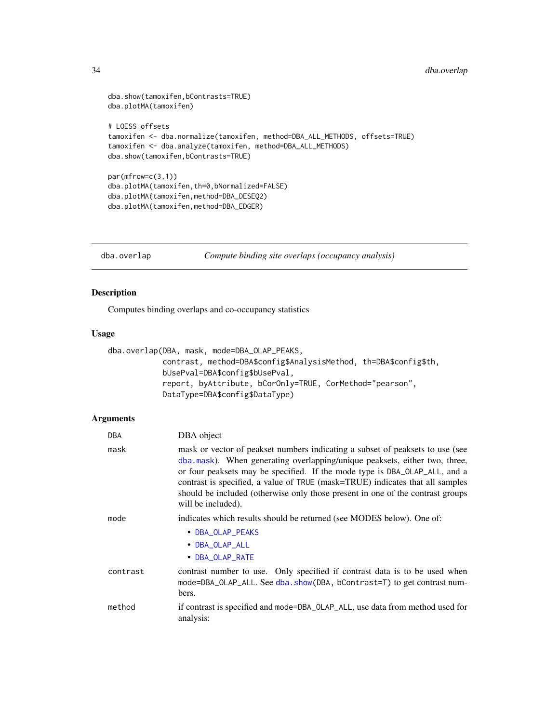# <span id="page-33-0"></span>34 dba.overlap

```
dba.show(tamoxifen,bContrasts=TRUE)
dba.plotMA(tamoxifen)
# LOESS offsets
tamoxifen <- dba.normalize(tamoxifen, method=DBA_ALL_METHODS, offsets=TRUE)
tamoxifen <- dba.analyze(tamoxifen, method=DBA_ALL_METHODS)
dba.show(tamoxifen,bContrasts=TRUE)
par(mfrow=c(3,1))
dba.plotMA(tamoxifen,th=0,bNormalized=FALSE)
dba.plotMA(tamoxifen,method=DBA_DESEQ2)
dba.plotMA(tamoxifen,method=DBA_EDGER)
```
<span id="page-33-1"></span>dba.overlap *Compute binding site overlaps (occupancy analysis)*

# Description

Computes binding overlaps and co-occupancy statistics

# Usage

```
dba.overlap(DBA, mask, mode=DBA_OLAP_PEAKS,
            contrast, method=DBA$config$AnalysisMethod, th=DBA$config$th,
            bUsePval=DBA$config$bUsePval,
            report, byAttribute, bCorOnly=TRUE, CorMethod="pearson",
            DataType=DBA$config$DataType)
```

| DBA      | DBA object                                                                                                                                                                                                                                                                                                                                                                                                                         |
|----------|------------------------------------------------------------------------------------------------------------------------------------------------------------------------------------------------------------------------------------------------------------------------------------------------------------------------------------------------------------------------------------------------------------------------------------|
| mask     | mask or vector of peakset numbers indicating a subset of peaksets to use (see<br>dba.mask). When generating overlapping/unique peaksets, either two, three,<br>or four peaksets may be specified. If the mode type is DBA_OLAP_ALL, and a<br>contrast is specified, a value of TRUE (mask=TRUE) indicates that all samples<br>should be included (otherwise only those present in one of the contrast groups<br>will be included). |
| mode     | indicates which results should be returned (see MODES below). One of:                                                                                                                                                                                                                                                                                                                                                              |
|          | • DBA_OLAP_PEAKS<br>• DBA_OLAP_ALL<br>• DBA_OLAP_RATE                                                                                                                                                                                                                                                                                                                                                                              |
| contrast | contrast number to use. Only specified if contrast data is to be used when<br>mode=DBA_OLAP_ALL. See dba.show(DBA, bContrast=T) to get contrast num-<br>bers.                                                                                                                                                                                                                                                                      |
| method   | if contrast is specified and mode=DBA_OLAP_ALL, use data from method used for<br>analysis:                                                                                                                                                                                                                                                                                                                                         |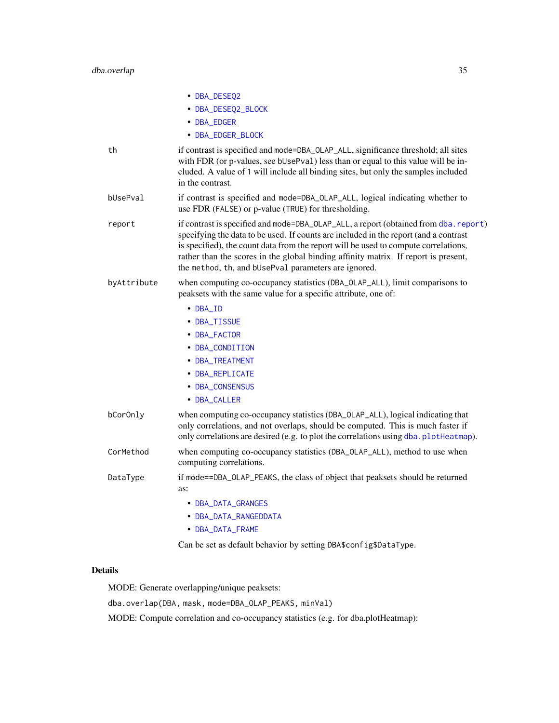|             | • DBA_DESEQ2                                                                                                                                                                                                                                                                                                                                                                                                       |
|-------------|--------------------------------------------------------------------------------------------------------------------------------------------------------------------------------------------------------------------------------------------------------------------------------------------------------------------------------------------------------------------------------------------------------------------|
|             | • DBA_DESEQ2_BLOCK                                                                                                                                                                                                                                                                                                                                                                                                 |
|             | • DBA_EDGER                                                                                                                                                                                                                                                                                                                                                                                                        |
|             | • DBA_EDGER_BLOCK                                                                                                                                                                                                                                                                                                                                                                                                  |
| th          | if contrast is specified and mode=DBA_OLAP_ALL, significance threshold; all sites<br>with FDR (or p-values, see bUsePval) less than or equal to this value will be in-<br>cluded. A value of 1 will include all binding sites, but only the samples included<br>in the contrast.                                                                                                                                   |
| bUsePval    | if contrast is specified and mode=DBA_OLAP_ALL, logical indicating whether to<br>use FDR (FALSE) or p-value (TRUE) for thresholding.                                                                                                                                                                                                                                                                               |
| report      | if contrast is specified and mode=DBA_OLAP_ALL, a report (obtained from dba. report)<br>specifying the data to be used. If counts are included in the report (and a contrast<br>is specified), the count data from the report will be used to compute correlations,<br>rather than the scores in the global binding affinity matrix. If report is present,<br>the method, th, and bUsePval parameters are ignored. |
| byAttribute | when computing co-occupancy statistics (DBA_OLAP_ALL), limit comparisons to<br>peaksets with the same value for a specific attribute, one of:                                                                                                                                                                                                                                                                      |
|             | • DBA_ID                                                                                                                                                                                                                                                                                                                                                                                                           |
|             | • DBA_TISSUE                                                                                                                                                                                                                                                                                                                                                                                                       |
|             | • DBA_FACTOR                                                                                                                                                                                                                                                                                                                                                                                                       |
|             | • DBA_CONDITION                                                                                                                                                                                                                                                                                                                                                                                                    |
|             | • DBA_TREATMENT                                                                                                                                                                                                                                                                                                                                                                                                    |
|             | • DBA_REPLICATE                                                                                                                                                                                                                                                                                                                                                                                                    |
|             | • DBA_CONSENSUS                                                                                                                                                                                                                                                                                                                                                                                                    |
|             | • DBA_CALLER                                                                                                                                                                                                                                                                                                                                                                                                       |
| bCorOnly    | when computing co-occupancy statistics (DBA_OLAP_ALL), logical indicating that<br>only correlations, and not overlaps, should be computed. This is much faster if<br>only correlations are desired (e.g. to plot the correlations using dba.plotHeatmap).                                                                                                                                                          |
| CorMethod   | when computing co-occupancy statistics (DBA_OLAP_ALL), method to use when<br>computing correlations.                                                                                                                                                                                                                                                                                                               |
| DataType    | if mode==DBA_OLAP_PEAKS, the class of object that peaksets should be returned<br>as:                                                                                                                                                                                                                                                                                                                               |
|             | • DBA_DATA_GRANGES                                                                                                                                                                                                                                                                                                                                                                                                 |
|             | • DBA_DATA_RANGEDDATA                                                                                                                                                                                                                                                                                                                                                                                              |
|             | • DBA_DATA_FRAME                                                                                                                                                                                                                                                                                                                                                                                                   |

Can be set as default behavior by setting DBA\$config\$DataType.

# Details

MODE: Generate overlapping/unique peaksets:

dba.overlap(DBA, mask, mode=DBA\_OLAP\_PEAKS, minVal)

MODE: Compute correlation and co-occupancy statistics (e.g. for dba.plotHeatmap):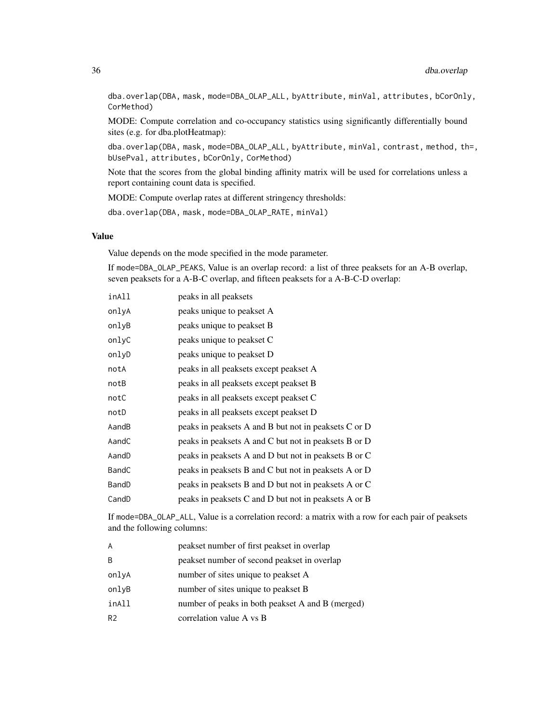dba.overlap(DBA, mask, mode=DBA\_OLAP\_ALL, byAttribute, minVal, attributes, bCorOnly, CorMethod)

MODE: Compute correlation and co-occupancy statistics using significantly differentially bound sites (e.g. for dba.plotHeatmap):

dba.overlap(DBA, mask, mode=DBA\_OLAP\_ALL, byAttribute, minVal, contrast, method, th=, bUsePval, attributes, bCorOnly, CorMethod)

Note that the scores from the global binding affinity matrix will be used for correlations unless a report containing count data is specified.

MODE: Compute overlap rates at different stringency thresholds:

dba.overlap(DBA, mask, mode=DBA\_OLAP\_RATE, minVal)

# Value

Value depends on the mode specified in the mode parameter.

If mode=DBA\_OLAP\_PEAKS, Value is an overlap record: a list of three peaksets for an A-B overlap, seven peaksets for a A-B-C overlap, and fifteen peaksets for a A-B-C-D overlap:

| inAll | peaks in all peaksets                                |
|-------|------------------------------------------------------|
| onlyA | peaks unique to peakset A                            |
| onlyB | peaks unique to peakset B                            |
| onlyC | peaks unique to peakset C                            |
| onlyD | peaks unique to peakset D                            |
| notA  | peaks in all peaksets except peakset A               |
| notB  | peaks in all peaksets except peakset B               |
| notC  | peaks in all peaksets except peakset C               |
| notD  | peaks in all peaksets except peakset D               |
| AandB | peaks in peaksets A and B but not in peaksets C or D |
| AandC | peaks in peaksets A and C but not in peaksets B or D |
| AandD | peaks in peaksets A and D but not in peaksets B or C |
| BandC | peaks in peaksets B and C but not in peaksets A or D |
| BandD | peaks in peaksets B and D but not in peaksets A or C |
| CandD | peaks in peaksets C and D but not in peaksets A or B |

If mode=DBA\_OLAP\_ALL, Value is a correlation record: a matrix with a row for each pair of peaksets and the following columns:

| A     | peakset number of first peakset in overlap       |
|-------|--------------------------------------------------|
| B     | peakset number of second peakset in overlap      |
| onlyA | number of sites unique to peak set A             |
| onlyB | number of sites unique to peak set B             |
| inAll | number of peaks in both peakset A and B (merged) |
| R2    | correlation value A vs B                         |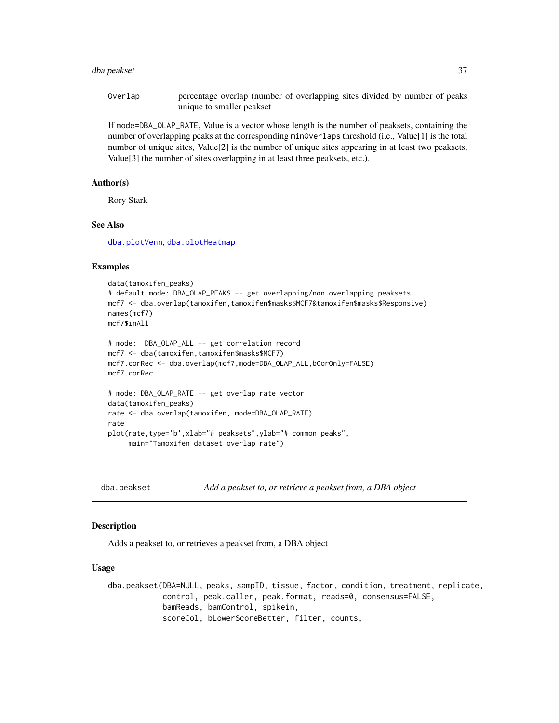## dba.peakset 37

Overlap percentage overlap (number of overlapping sites divided by number of peaks unique to smaller peakset

If mode=DBA\_OLAP\_RATE, Value is a vector whose length is the number of peaksets, containing the number of overlapping peaks at the corresponding minOverlaps threshold (i.e., Value[1] is the total number of unique sites, Value[2] is the number of unique sites appearing in at least two peaksets, Value[3] the number of sites overlapping in at least three peaksets, etc.).

## Author(s)

Rory Stark

# See Also

[dba.plotVenn](#page-56-0), [dba.plotHeatmap](#page-43-0)

## Examples

```
data(tamoxifen_peaks)
# default mode: DBA_OLAP_PEAKS -- get overlapping/non overlapping peaksets
mcf7 <- dba.overlap(tamoxifen,tamoxifen$masks$MCF7&tamoxifen$masks$Responsive)
names(mcf7)
mcf7$inAll
# mode: DBA_OLAP_ALL -- get correlation record
mcf7 <- dba(tamoxifen,tamoxifen$masks$MCF7)
mcf7.corRec <- dba.overlap(mcf7,mode=DBA_OLAP_ALL,bCorOnly=FALSE)
mcf7.corRec
# mode: DBA_OLAP_RATE -- get overlap rate vector
data(tamoxifen_peaks)
rate <- dba.overlap(tamoxifen, mode=DBA_OLAP_RATE)
rate
plot(rate,type='b',xlab="# peaksets",ylab="# common peaks",
     main="Tamoxifen dataset overlap rate")
```
<span id="page-36-0"></span>dba.peakset *Add a peakset to, or retrieve a peakset from, a DBA object*

## **Description**

Adds a peakset to, or retrieves a peakset from, a DBA object

#### Usage

dba.peakset(DBA=NULL, peaks, sampID, tissue, factor, condition, treatment, replicate, control, peak.caller, peak.format, reads=0, consensus=FALSE, bamReads, bamControl, spikein, scoreCol, bLowerScoreBetter, filter, counts,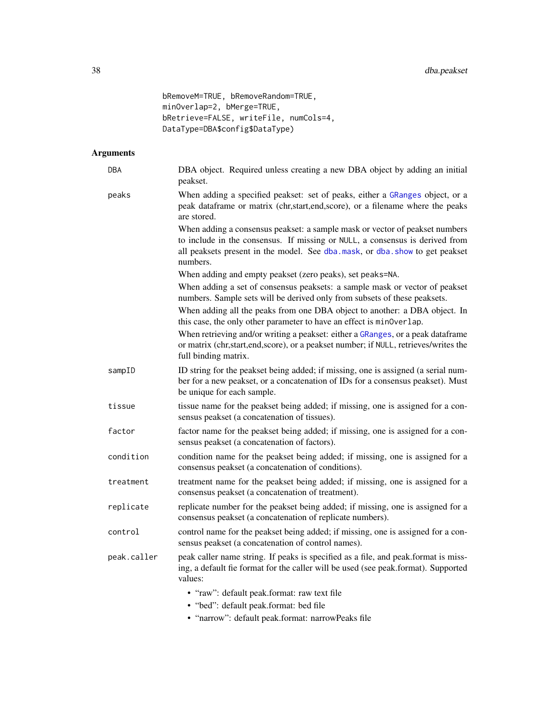```
bRemoveM=TRUE, bRemoveRandom=TRUE,
minOverlap=2, bMerge=TRUE,
bRetrieve=FALSE, writeFile, numCols=4,
DataType=DBA$config$DataType)
```
# Arguments

| DBA         | DBA object. Required unless creating a new DBA object by adding an initial<br>peakset.                                                                                                                                                                 |
|-------------|--------------------------------------------------------------------------------------------------------------------------------------------------------------------------------------------------------------------------------------------------------|
| peaks       | When adding a specified peakset: set of peaks, either a GRanges object, or a<br>peak dataframe or matrix (chr,start,end,score), or a filename where the peaks<br>are stored.                                                                           |
|             | When adding a consensus peakset: a sample mask or vector of peakset numbers<br>to include in the consensus. If missing or NULL, a consensus is derived from<br>all peaksets present in the model. See dba.mask, or dba.show to get peakset<br>numbers. |
|             | When adding and empty peakset (zero peaks), set peaks=NA.                                                                                                                                                                                              |
|             | When adding a set of consensus peaksets: a sample mask or vector of peakset<br>numbers. Sample sets will be derived only from subsets of these peaksets.                                                                                               |
|             | When adding all the peaks from one DBA object to another: a DBA object. In<br>this case, the only other parameter to have an effect is minOverlap.                                                                                                     |
|             | When retrieving and/or writing a peakset: either a GRanges, or a peak dataframe<br>or matrix (chr, start, end, score), or a peakset number; if NULL, retrieves/writes the<br>full binding matrix.                                                      |
| sampID      | ID string for the peakset being added; if missing, one is assigned (a serial num-<br>ber for a new peakset, or a concatenation of IDs for a consensus peakset). Must<br>be unique for each sample.                                                     |
| tissue      | tissue name for the peakset being added; if missing, one is assigned for a con-<br>sensus peakset (a concatenation of tissues).                                                                                                                        |
| factor      | factor name for the peakset being added; if missing, one is assigned for a con-<br>sensus peakset (a concatenation of factors).                                                                                                                        |
| condition   | condition name for the peakset being added; if missing, one is assigned for a<br>consensus peakset (a concatenation of conditions).                                                                                                                    |
| treatment   | treatment name for the peakset being added; if missing, one is assigned for a<br>consensus peakset (a concatenation of treatment).                                                                                                                     |
| replicate   | replicate number for the peakset being added; if missing, one is assigned for a<br>consensus peakset (a concatenation of replicate numbers).                                                                                                           |
| control     | control name for the peakset being added; if missing, one is assigned for a con-<br>sensus peakset (a concatenation of control names).                                                                                                                 |
| peak.caller | peak caller name string. If peaks is specified as a file, and peak.format is miss-<br>ing, a default fie format for the caller will be used (see peak.format). Supported<br>values:                                                                    |
|             | • "raw": default peak.format: raw text file<br>• "bed": default peak.format: bed file                                                                                                                                                                  |

• "narrow": default peak.format: narrowPeaks file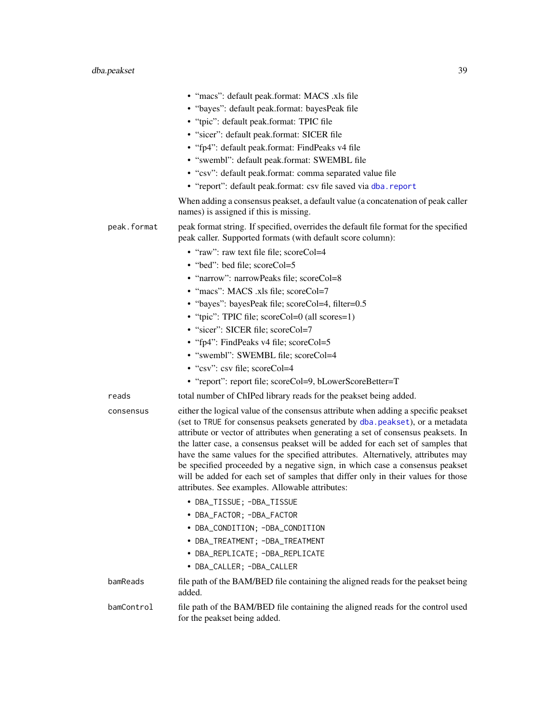|             | • "macs": default peak.format: MACS .xls file<br>• "bayes": default peak.format: bayesPeak file<br>• "tpic": default peak.format: TPIC file<br>· "sicer": default peak.format: SICER file<br>• "fp4": default peak.format: FindPeaks v4 file                                                                                                                                                                                                                                                                                                                                                                                                           |
|-------------|--------------------------------------------------------------------------------------------------------------------------------------------------------------------------------------------------------------------------------------------------------------------------------------------------------------------------------------------------------------------------------------------------------------------------------------------------------------------------------------------------------------------------------------------------------------------------------------------------------------------------------------------------------|
|             | • "swembl": default peak.format: SWEMBL file<br>• "csv": default peak.format: comma separated value file<br>• "report": default peak.format: csv file saved via dba.report                                                                                                                                                                                                                                                                                                                                                                                                                                                                             |
|             | When adding a consensus peakset, a default value (a concatenation of peak caller<br>names) is assigned if this is missing.                                                                                                                                                                                                                                                                                                                                                                                                                                                                                                                             |
| peak.format | peak format string. If specified, overrides the default file format for the specified<br>peak caller. Supported formats (with default score column):                                                                                                                                                                                                                                                                                                                                                                                                                                                                                                   |
|             | • "raw": raw text file file; scoreCol=4                                                                                                                                                                                                                                                                                                                                                                                                                                                                                                                                                                                                                |
|             | • "bed": bed file; scoreCol=5                                                                                                                                                                                                                                                                                                                                                                                                                                                                                                                                                                                                                          |
|             | • "narrow": narrowPeaks file; scoreCol=8                                                                                                                                                                                                                                                                                                                                                                                                                                                                                                                                                                                                               |
|             | • "macs": MACS .xls file; scoreCol=7                                                                                                                                                                                                                                                                                                                                                                                                                                                                                                                                                                                                                   |
|             | • "bayes": bayesPeak file; scoreCol=4, filter=0.5                                                                                                                                                                                                                                                                                                                                                                                                                                                                                                                                                                                                      |
|             | • "tpic": TPIC file; scoreCol=0 (all scores=1)                                                                                                                                                                                                                                                                                                                                                                                                                                                                                                                                                                                                         |
|             | · "sicer": SICER file; scoreCol=7                                                                                                                                                                                                                                                                                                                                                                                                                                                                                                                                                                                                                      |
|             | • "fp4": FindPeaks v4 file; scoreCol=5                                                                                                                                                                                                                                                                                                                                                                                                                                                                                                                                                                                                                 |
|             | • "swembl": SWEMBL file; scoreCol=4                                                                                                                                                                                                                                                                                                                                                                                                                                                                                                                                                                                                                    |
|             | • "csv": csv file; scoreCol=4                                                                                                                                                                                                                                                                                                                                                                                                                                                                                                                                                                                                                          |
|             | • "report": report file; scoreCol=9, bLowerScoreBetter=T                                                                                                                                                                                                                                                                                                                                                                                                                                                                                                                                                                                               |
| reads       | total number of ChIPed library reads for the peakset being added.                                                                                                                                                                                                                                                                                                                                                                                                                                                                                                                                                                                      |
| consensus   | either the logical value of the consensus attribute when adding a specific peakset<br>(set to TRUE for consensus peaksets generated by dba. peakset), or a metadata<br>attribute or vector of attributes when generating a set of consensus peaksets. In<br>the latter case, a consensus peakset will be added for each set of samples that<br>have the same values for the specified attributes. Alternatively, attributes may<br>be specified proceeded by a negative sign, in which case a consensus peakset<br>will be added for each set of samples that differ only in their values for those<br>attributes. See examples. Allowable attributes: |
|             | • DBA_TISSUE; -DBA_TISSUE                                                                                                                                                                                                                                                                                                                                                                                                                                                                                                                                                                                                                              |
|             | • DBA_FACTOR; -DBA_FACTOR                                                                                                                                                                                                                                                                                                                                                                                                                                                                                                                                                                                                                              |
|             | • DBA_CONDITION; -DBA_CONDITION                                                                                                                                                                                                                                                                                                                                                                                                                                                                                                                                                                                                                        |
|             | • DBA_TREATMENT; -DBA_TREATMENT                                                                                                                                                                                                                                                                                                                                                                                                                                                                                                                                                                                                                        |
|             | • DBA_REPLICATE; -DBA_REPLICATE                                                                                                                                                                                                                                                                                                                                                                                                                                                                                                                                                                                                                        |
|             | • DBA_CALLER; -DBA_CALLER                                                                                                                                                                                                                                                                                                                                                                                                                                                                                                                                                                                                                              |
| bamReads    | file path of the BAM/BED file containing the aligned reads for the peakset being<br>added.                                                                                                                                                                                                                                                                                                                                                                                                                                                                                                                                                             |
| bamControl  | file path of the BAM/BED file containing the aligned reads for the control used<br>for the peakset being added.                                                                                                                                                                                                                                                                                                                                                                                                                                                                                                                                        |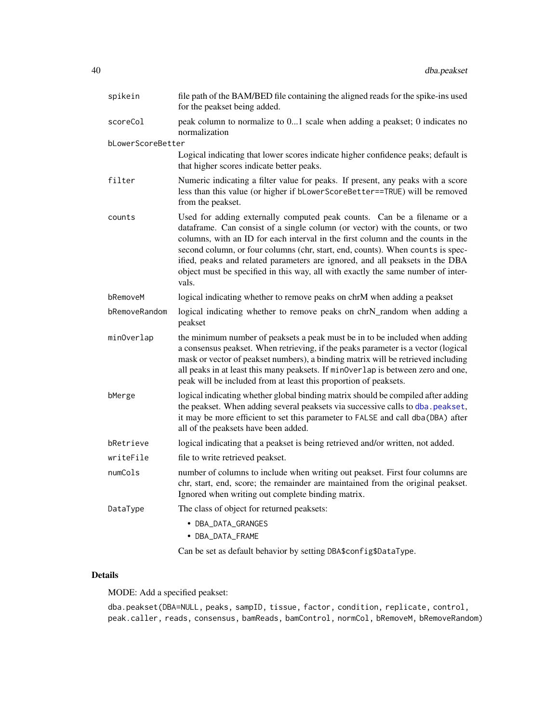| spikein           | file path of the BAM/BED file containing the aligned reads for the spike-ins used<br>for the peakset being added.                                                                                                                                                                                                                                                                                                                                                                                          |
|-------------------|------------------------------------------------------------------------------------------------------------------------------------------------------------------------------------------------------------------------------------------------------------------------------------------------------------------------------------------------------------------------------------------------------------------------------------------------------------------------------------------------------------|
| scoreCol          | peak column to normalize to 01 scale when adding a peakset; 0 indicates no<br>normalization                                                                                                                                                                                                                                                                                                                                                                                                                |
| bLowerScoreBetter |                                                                                                                                                                                                                                                                                                                                                                                                                                                                                                            |
|                   | Logical indicating that lower scores indicate higher confidence peaks; default is<br>that higher scores indicate better peaks.                                                                                                                                                                                                                                                                                                                                                                             |
| filter            | Numeric indicating a filter value for peaks. If present, any peaks with a score<br>less than this value (or higher if bLowerScoreBetter==TRUE) will be removed<br>from the peakset.                                                                                                                                                                                                                                                                                                                        |
| counts            | Used for adding externally computed peak counts. Can be a filename or a<br>dataframe. Can consist of a single column (or vector) with the counts, or two<br>columns, with an ID for each interval in the first column and the counts in the<br>second column, or four columns (chr, start, end, counts). When counts is spec-<br>ified, peaks and related parameters are ignored, and all peaksets in the DBA<br>object must be specified in this way, all with exactly the same number of inter-<br>vals. |
| bRemoveM          | logical indicating whether to remove peaks on chrM when adding a peakset                                                                                                                                                                                                                                                                                                                                                                                                                                   |
| bRemoveRandom     | logical indicating whether to remove peaks on chrN_random when adding a<br>peakset                                                                                                                                                                                                                                                                                                                                                                                                                         |
| minOverlap        | the minimum number of peaksets a peak must be in to be included when adding<br>a consensus peakset. When retrieving, if the peaks parameter is a vector (logical<br>mask or vector of peakset numbers), a binding matrix will be retrieved including<br>all peaks in at least this many peaksets. If minOverlap is between zero and one,<br>peak will be included from at least this proportion of peaksets.                                                                                               |
| bMerge            | logical indicating whether global binding matrix should be compiled after adding<br>the peakset. When adding several peaksets via successive calls to dba. peakset,<br>it may be more efficient to set this parameter to FALSE and call dba (DBA) after<br>all of the peaksets have been added.                                                                                                                                                                                                            |
| bRetrieve         | logical indicating that a peakset is being retrieved and/or written, not added.                                                                                                                                                                                                                                                                                                                                                                                                                            |
| writeFile         | file to write retrieved peakset.                                                                                                                                                                                                                                                                                                                                                                                                                                                                           |
| numCols           | number of columns to include when writing out peakset. First four columns are<br>chr, start, end, score; the remainder are maintained from the original peakset.<br>Ignored when writing out complete binding matrix.                                                                                                                                                                                                                                                                                      |
| DataType          | The class of object for returned peaksets:                                                                                                                                                                                                                                                                                                                                                                                                                                                                 |
|                   | • DBA_DATA_GRANGES<br>• DBA_DATA_FRAME                                                                                                                                                                                                                                                                                                                                                                                                                                                                     |
|                   |                                                                                                                                                                                                                                                                                                                                                                                                                                                                                                            |

Can be set as default behavior by setting DBA\$config\$DataType.

# Details

MODE: Add a specified peakset:

dba.peakset(DBA=NULL, peaks, sampID, tissue, factor, condition, replicate, control, peak.caller, reads, consensus, bamReads, bamControl, normCol, bRemoveM, bRemoveRandom)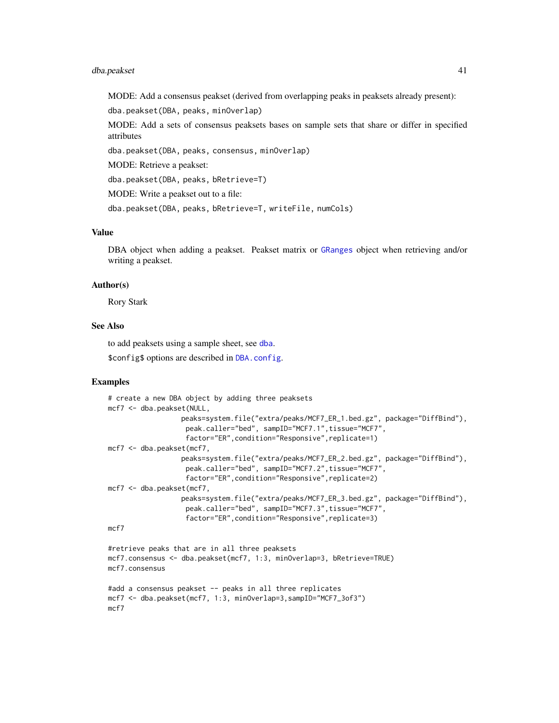## dba.peakset 41

MODE: Add a consensus peakset (derived from overlapping peaks in peaksets already present):

dba.peakset(DBA, peaks, minOverlap)

MODE: Add a sets of consensus peaksets bases on sample sets that share or differ in specified attributes

dba.peakset(DBA, peaks, consensus, minOverlap)

MODE: Retrieve a peakset:

dba.peakset(DBA, peaks, bRetrieve=T)

MODE: Write a peakset out to a file:

dba.peakset(DBA, peaks, bRetrieve=T, writeFile, numCols)

## Value

DBA object when adding a peakset. Peakset matrix or [GRanges](#page-0-0) object when retrieving and/or writing a peakset.

## Author(s)

Rory Stark

# See Also

to add peaksets using a sample sheet, see [dba](#page-3-0).

\$config\$ options are described in [DBA.config](#page-7-0).

## Examples

```
# create a new DBA object by adding three peaksets
mcf7 <- dba.peakset(NULL,
                  peaks=system.file("extra/peaks/MCF7_ER_1.bed.gz", package="DiffBind"),
                   peak.caller="bed", sampID="MCF7.1",tissue="MCF7",
                   factor="ER",condition="Responsive",replicate=1)
mcf7 <- dba.peakset(mcf7,
                  peaks=system.file("extra/peaks/MCF7_ER_2.bed.gz", package="DiffBind"),
                   peak.caller="bed", sampID="MCF7.2",tissue="MCF7",
                   factor="ER",condition="Responsive",replicate=2)
mcf7 <- dba.peakset(mcf7,
                  peaks=system.file("extra/peaks/MCF7_ER_3.bed.gz", package="DiffBind"),
                   peak.caller="bed", sampID="MCF7.3",tissue="MCF7",
                   factor="ER",condition="Responsive",replicate=3)
mcf7
#retrieve peaks that are in all three peaksets
mcf7.consensus <- dba.peakset(mcf7, 1:3, minOverlap=3, bRetrieve=TRUE)
mcf7.consensus
#add a consensus peakset -- peaks in all three replicates
mcf7 <- dba.peakset(mcf7, 1:3, minOverlap=3,sampID="MCF7_3of3")
```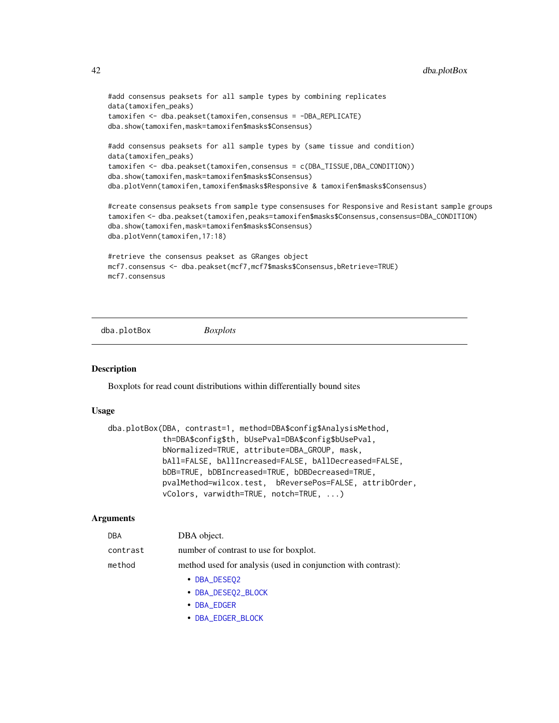```
#add consensus peaksets for all sample types by combining replicates
data(tamoxifen_peaks)
tamoxifen <- dba.peakset(tamoxifen,consensus = -DBA_REPLICATE)
dba.show(tamoxifen,mask=tamoxifen$masks$Consensus)
#add consensus peaksets for all sample types by (same tissue and condition)
data(tamoxifen_peaks)
tamoxifen <- dba.peakset(tamoxifen,consensus = c(DBA_TISSUE,DBA_CONDITION))
dba.show(tamoxifen,mask=tamoxifen$masks$Consensus)
dba.plotVenn(tamoxifen,tamoxifen$masks$Responsive & tamoxifen$masks$Consensus)
#create consensus peaksets from sample type consensuses for Responsive and Resistant sample groups
tamoxifen <- dba.peakset(tamoxifen,peaks=tamoxifen$masks$Consensus,consensus=DBA_CONDITION)
dba.show(tamoxifen,mask=tamoxifen$masks$Consensus)
dba.plotVenn(tamoxifen,17:18)
#retrieve the consensus peakset as GRanges object
mcf7.consensus <- dba.peakset(mcf7,mcf7$masks$Consensus,bRetrieve=TRUE)
mcf7.consensus
```
dba.plotBox *Boxplots*

## Description

Boxplots for read count distributions within differentially bound sites

## Usage

```
dba.plotBox(DBA, contrast=1, method=DBA$config$AnalysisMethod,
           th=DBA$config$th, bUsePval=DBA$config$bUsePval,
           bNormalized=TRUE, attribute=DBA_GROUP, mask,
           bAll=FALSE, bAllIncreased=FALSE, bAllDecreased=FALSE,
           bDB=TRUE, bDBIncreased=TRUE, bDBDecreased=TRUE,
           pvalMethod=wilcox.test, bReversePos=FALSE, attribOrder,
           vColors, varwidth=TRUE, notch=TRUE, ...)
```

| <b>DBA</b> | DBA object.                                                   |
|------------|---------------------------------------------------------------|
| contrast   | number of contrast to use for boxplot.                        |
| method     | method used for analysis (used in conjunction with contrast): |
|            | • DBA_DESEQ2                                                  |
|            | • DBA_DESE02_BLOCK                                            |

- [DBA\\_EDGER](#page-68-0)
- 
- [DBA\\_EDGER\\_BLOCK](#page-68-0)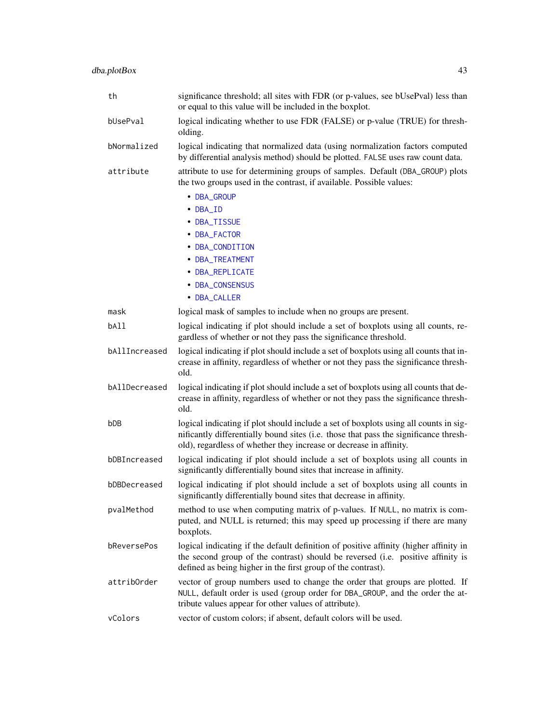| th            | significance threshold; all sites with FDR (or p-values, see bUsePval) less than<br>or equal to this value will be included in the boxplot.                                                                                                        |
|---------------|----------------------------------------------------------------------------------------------------------------------------------------------------------------------------------------------------------------------------------------------------|
| bUsePval      | logical indicating whether to use FDR (FALSE) or p-value (TRUE) for thresh-<br>olding.                                                                                                                                                             |
| bNormalized   | logical indicating that normalized data (using normalization factors computed<br>by differential analysis method) should be plotted. FALSE uses raw count data.                                                                                    |
| attribute     | attribute to use for determining groups of samples. Default (DBA_GROUP) plots<br>the two groups used in the contrast, if available. Possible values:<br>• DBA_GROUP<br>• DBA ID                                                                    |
|               | • DBA_TISSUE<br>• DBA_FACTOR                                                                                                                                                                                                                       |
|               | • DBA_CONDITION<br>• DBA_TREATMENT                                                                                                                                                                                                                 |
|               | • DBA_REPLICATE<br>• DBA_CONSENSUS                                                                                                                                                                                                                 |
|               | • DBA_CALLER                                                                                                                                                                                                                                       |
| mask<br>bA11  | logical mask of samples to include when no groups are present.<br>logical indicating if plot should include a set of boxplots using all counts, re-                                                                                                |
|               | gardless of whether or not they pass the significance threshold.                                                                                                                                                                                   |
| bAllIncreased | logical indicating if plot should include a set of boxplots using all counts that in-<br>crease in affinity, regardless of whether or not they pass the significance thresh-<br>old.                                                               |
| bAllDecreased | logical indicating if plot should include a set of boxplots using all counts that de-<br>crease in affinity, regardless of whether or not they pass the significance thresh-<br>old.                                                               |
| bDB           | logical indicating if plot should include a set of boxplots using all counts in sig-<br>nificantly differentially bound sites (i.e. those that pass the significance thresh-<br>old), regardless of whether they increase or decrease in affinity. |
| bDBIncreased  | logical indicating if plot should include a set of boxplots using all counts in<br>significantly differentially bound sites that increase in affinity.                                                                                             |
| bDBDecreased  | logical indicating if plot should include a set of boxplots using all counts in<br>significantly differentially bound sites that decrease in affinity.                                                                                             |
| pvalMethod    | method to use when computing matrix of p-values. If NULL, no matrix is com-<br>puted, and NULL is returned; this may speed up processing if there are many<br>boxplots.                                                                            |
| bReversePos   | logical indicating if the default definition of positive affinity (higher affinity in<br>the second group of the contrast) should be reversed (i.e. positive affinity is<br>defined as being higher in the first group of the contrast).           |
| attribOrder   | vector of group numbers used to change the order that groups are plotted. If<br>NULL, default order is used (group order for DBA_GROUP, and the order the at-<br>tribute values appear for other values of attribute).                             |
| vColors       | vector of custom colors; if absent, default colors will be used.                                                                                                                                                                                   |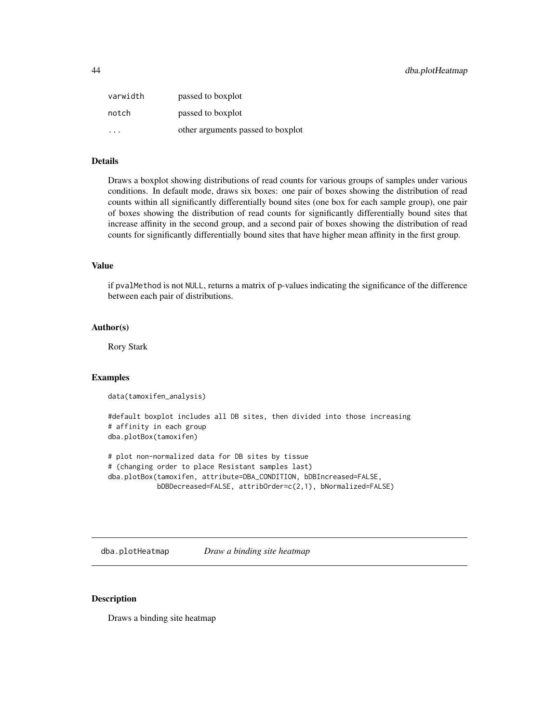| varwidth | passed to boxplot                 |
|----------|-----------------------------------|
| notch    | passed to boxplot                 |
| .        | other arguments passed to boxplot |

# Details

Draws a boxplot showing distributions of read counts for various groups of samples under various conditions. In default mode, draws six boxes: one pair of boxes showing the distribution of read counts within all significantly differentially bound sites (one box for each sample group), one pair of boxes showing the distribution of read counts for significantly differentially bound sites that increase affinity in the second group, and a second pair of boxes showing the distribution of read counts for significantly differentially bound sites that have higher mean affinity in the first group.

# Value

if pvalMethod is not NULL, returns a matrix of p-values indicating the significance of the difference between each pair of distributions.

## Author(s)

Rory Stark

#### Examples

```
data(tamoxifen_analysis)
```

```
#default boxplot includes all DB sites, then divided into those increasing
# affinity in each group
dba.plotBox(tamoxifen)
```

```
# plot non-normalized data for DB sites by tissue
# (changing order to place Resistant samples last)
dba.plotBox(tamoxifen, attribute=DBA_CONDITION, bDBIncreased=FALSE,
           bDBDecreased=FALSE, attribOrder=c(2,1), bNormalized=FALSE)
```
<span id="page-43-0"></span>dba.plotHeatmap *Draw a binding site heatmap*

# Description

Draws a binding site heatmap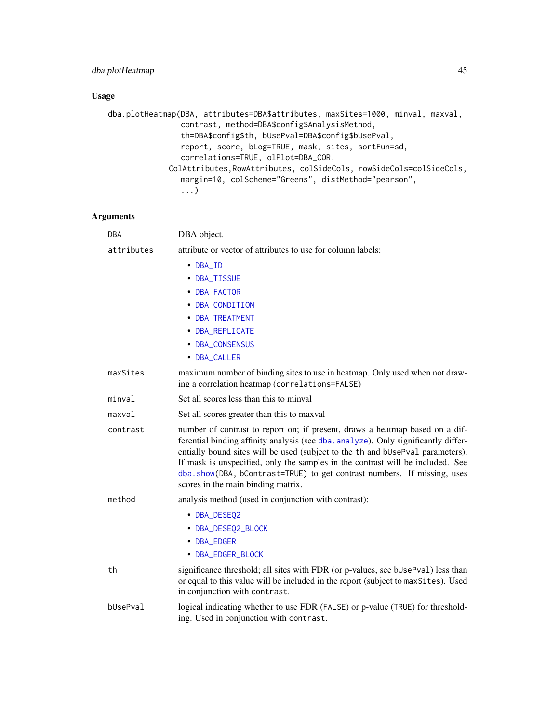# dba.plotHeatmap 45

# Usage

```
dba.plotHeatmap(DBA, attributes=DBA$attributes, maxSites=1000, minval, maxval,
                contrast, method=DBA$config$AnalysisMethod,
                th=DBA$config$th, bUsePval=DBA$config$bUsePval,
                report, score, bLog=TRUE, mask, sites, sortFun=sd,
                correlations=TRUE, olPlot=DBA_COR,
             ColAttributes,RowAttributes, colSideCols, rowSideCols=colSideCols,
                margin=10, colScheme="Greens", distMethod="pearson",
                ...)
```

| <b>DBA</b> | DBA object.                                                                                                                                                                                                                                                                                                                                                                                                                                             |
|------------|---------------------------------------------------------------------------------------------------------------------------------------------------------------------------------------------------------------------------------------------------------------------------------------------------------------------------------------------------------------------------------------------------------------------------------------------------------|
| attributes | attribute or vector of attributes to use for column labels:                                                                                                                                                                                                                                                                                                                                                                                             |
|            | $\bullet$ DBA_ID                                                                                                                                                                                                                                                                                                                                                                                                                                        |
|            | • DBA_TISSUE                                                                                                                                                                                                                                                                                                                                                                                                                                            |
|            | • DBA_FACTOR                                                                                                                                                                                                                                                                                                                                                                                                                                            |
|            | • DBA_CONDITION                                                                                                                                                                                                                                                                                                                                                                                                                                         |
|            | • DBA_TREATMENT                                                                                                                                                                                                                                                                                                                                                                                                                                         |
|            | • DBA_REPLICATE                                                                                                                                                                                                                                                                                                                                                                                                                                         |
|            | • DBA_CONSENSUS                                                                                                                                                                                                                                                                                                                                                                                                                                         |
|            | • DBA_CALLER                                                                                                                                                                                                                                                                                                                                                                                                                                            |
| maxSites   | maximum number of binding sites to use in heatmap. Only used when not draw-<br>ing a correlation heatmap (correlations=FALSE)                                                                                                                                                                                                                                                                                                                           |
| minval     | Set all scores less than this to minval                                                                                                                                                                                                                                                                                                                                                                                                                 |
| maxval     | Set all scores greater than this to maxval                                                                                                                                                                                                                                                                                                                                                                                                              |
| contrast   | number of contrast to report on; if present, draws a heatmap based on a dif-<br>ferential binding affinity analysis (see dba. analyze). Only significantly differ-<br>entially bound sites will be used (subject to the th and bUsePval parameters).<br>If mask is unspecified, only the samples in the contrast will be included. See<br>dba.show(DBA, bContrast=TRUE) to get contrast numbers. If missing, uses<br>scores in the main binding matrix. |
| method     | analysis method (used in conjunction with contrast):                                                                                                                                                                                                                                                                                                                                                                                                    |
|            | • DBA_DESEQ2                                                                                                                                                                                                                                                                                                                                                                                                                                            |
|            | • DBA_DESEQ2_BLOCK                                                                                                                                                                                                                                                                                                                                                                                                                                      |
|            | • DBA_EDGER                                                                                                                                                                                                                                                                                                                                                                                                                                             |
|            | • DBA_EDGER_BLOCK                                                                                                                                                                                                                                                                                                                                                                                                                                       |
| th         | significance threshold; all sites with FDR (or p-values, see bUsePval) less than<br>or equal to this value will be included in the report (subject to maxSites). Used<br>in conjunction with contrast.                                                                                                                                                                                                                                                  |
| bUsePval   | logical indicating whether to use FDR (FALSE) or p-value (TRUE) for threshold-<br>ing. Used in conjunction with contrast.                                                                                                                                                                                                                                                                                                                               |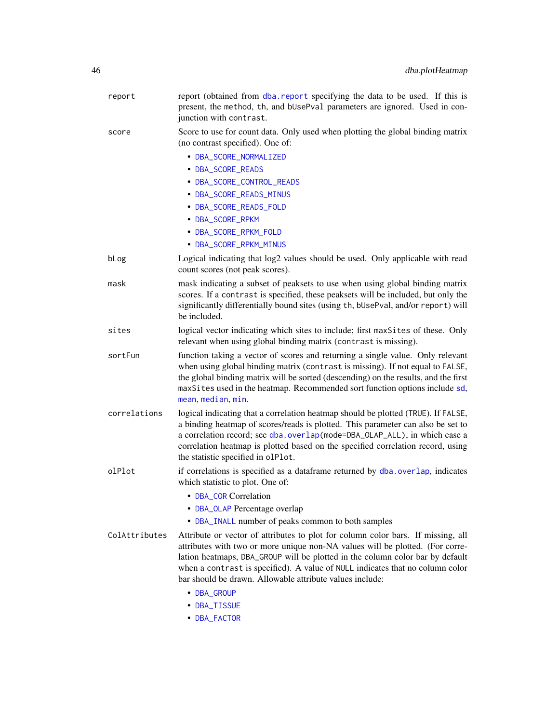| report        | report (obtained from dba. report specifying the data to be used. If this is<br>present, the method, th, and bUsePval parameters are ignored. Used in con-<br>junction with contrast.                                                                                                                                                                                                                          |
|---------------|----------------------------------------------------------------------------------------------------------------------------------------------------------------------------------------------------------------------------------------------------------------------------------------------------------------------------------------------------------------------------------------------------------------|
| score         | Score to use for count data. Only used when plotting the global binding matrix<br>(no contrast specified). One of:                                                                                                                                                                                                                                                                                             |
|               | • DBA_SCORE_NORMALIZED                                                                                                                                                                                                                                                                                                                                                                                         |
|               | • DBA_SCORE_READS                                                                                                                                                                                                                                                                                                                                                                                              |
|               | • DBA_SCORE_CONTROL_READS                                                                                                                                                                                                                                                                                                                                                                                      |
|               | • DBA_SCORE_READS_MINUS                                                                                                                                                                                                                                                                                                                                                                                        |
|               | • DBA_SCORE_READS_FOLD                                                                                                                                                                                                                                                                                                                                                                                         |
|               | • DBA_SCORE_RPKM                                                                                                                                                                                                                                                                                                                                                                                               |
|               | • DBA_SCORE_RPKM_FOLD                                                                                                                                                                                                                                                                                                                                                                                          |
|               | • DBA_SCORE_RPKM_MINUS                                                                                                                                                                                                                                                                                                                                                                                         |
| bLog          | Logical indicating that log2 values should be used. Only applicable with read<br>count scores (not peak scores).                                                                                                                                                                                                                                                                                               |
| mask          | mask indicating a subset of peaksets to use when using global binding matrix<br>scores. If a contrast is specified, these peaksets will be included, but only the<br>significantly differentially bound sites (using th, bUsePval, and/or report) will<br>be included.                                                                                                                                         |
| sites         | logical vector indicating which sites to include; first maxSites of these. Only<br>relevant when using global binding matrix (contrast is missing).                                                                                                                                                                                                                                                            |
| sortFun       | function taking a vector of scores and returning a single value. Only relevant<br>when using global binding matrix (contrast is missing). If not equal to FALSE,<br>the global binding matrix will be sorted (descending) on the results, and the first<br>maxSites used in the heatmap. Recommended sort function options include sd,<br>mean, median, min.                                                   |
| correlations  | logical indicating that a correlation heatmap should be plotted (TRUE). If FALSE,<br>a binding heatmap of scores/reads is plotted. This parameter can also be set to<br>a correlation record; see dba.overlap(mode=DBA_OLAP_ALL), in which case a<br>correlation heatmap is plotted based on the specified correlation record, using<br>the statistic specified in olPlot.                                     |
| olPlot        | if correlations is specified as a dataframe returned by dba.overlap, indicates<br>which statistic to plot. One of:                                                                                                                                                                                                                                                                                             |
|               | • DBA_COR Correlation                                                                                                                                                                                                                                                                                                                                                                                          |
|               | • DBA_OLAP Percentage overlap                                                                                                                                                                                                                                                                                                                                                                                  |
|               | • DBA_INALL number of peaks common to both samples                                                                                                                                                                                                                                                                                                                                                             |
| ColAttributes | Attribute or vector of attributes to plot for column color bars. If missing, all<br>attributes with two or more unique non-NA values will be plotted. (For corre-<br>lation heatmaps, DBA_GROUP will be plotted in the column color bar by default<br>when a contrast is specified). A value of NULL indicates that no column color<br>bar should be drawn. Allowable attribute values include:<br>• DBA_GROUP |
|               | • DBA_TISSUE                                                                                                                                                                                                                                                                                                                                                                                                   |
|               | • DBA_FACTOR                                                                                                                                                                                                                                                                                                                                                                                                   |
|               |                                                                                                                                                                                                                                                                                                                                                                                                                |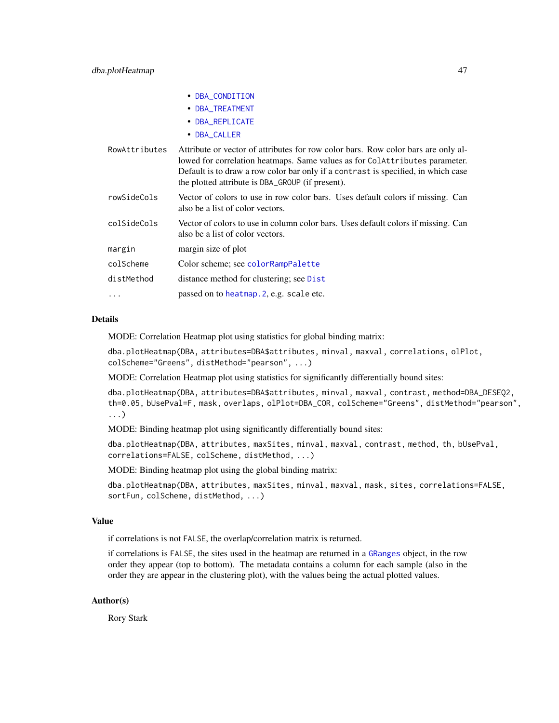|               | • DBA_CONDITION                                                                                                                                                                                                                                                                                           |
|---------------|-----------------------------------------------------------------------------------------------------------------------------------------------------------------------------------------------------------------------------------------------------------------------------------------------------------|
|               | • DBA_TREATMENT                                                                                                                                                                                                                                                                                           |
|               | • DBA_REPLICATE                                                                                                                                                                                                                                                                                           |
|               | • DBA_CALLER                                                                                                                                                                                                                                                                                              |
| RowAttributes | Attribute or vector of attributes for row color bars. Row color bars are only al-<br>lowed for correlation heatmaps. Same values as for ColAttributes parameter.<br>Default is to draw a row color bar only if a contrast is specified, in which case<br>the plotted attribute is DBA_GROUP (if present). |
| rowSideCols   | Vector of colors to use in row color bars. Uses default colors if missing. Can<br>also be a list of color vectors.                                                                                                                                                                                        |
| colSideCols   | Vector of colors to use in column color bars. Uses default colors if missing. Can<br>also be a list of color vectors.                                                                                                                                                                                     |
| margin        | margin size of plot                                                                                                                                                                                                                                                                                       |
| colScheme     | Color scheme; see colorRampPalette                                                                                                                                                                                                                                                                        |
| distMethod    | distance method for clustering; see Dist                                                                                                                                                                                                                                                                  |
| .             | passed on to heatmap. 2, e.g. scale etc.                                                                                                                                                                                                                                                                  |

## Details

MODE: Correlation Heatmap plot using statistics for global binding matrix:

dba.plotHeatmap(DBA, attributes=DBA\$attributes, minval, maxval, correlations, olPlot, colScheme="Greens", distMethod="pearson", ...)

MODE: Correlation Heatmap plot using statistics for significantly differentially bound sites:

dba.plotHeatmap(DBA, attributes=DBA\$attributes, minval, maxval, contrast, method=DBA\_DESEQ2, th=0.05, bUsePval=F, mask, overlaps, olPlot=DBA\_COR, colScheme="Greens", distMethod="pearson", ...)

MODE: Binding heatmap plot using significantly differentially bound sites:

dba.plotHeatmap(DBA, attributes, maxSites, minval, maxval, contrast, method, th, bUsePval, correlations=FALSE, colScheme, distMethod, ...)

MODE: Binding heatmap plot using the global binding matrix:

dba.plotHeatmap(DBA, attributes, maxSites, minval, maxval, mask, sites, correlations=FALSE, sortFun, colScheme, distMethod, ...)

## Value

if correlations is not FALSE, the overlap/correlation matrix is returned.

if correlations is FALSE, the sites used in the heatmap are returned in a [GRanges](#page-0-0) object, in the row order they appear (top to bottom). The metadata contains a column for each sample (also in the order they are appear in the clustering plot), with the values being the actual plotted values.

## Author(s)

Rory Stark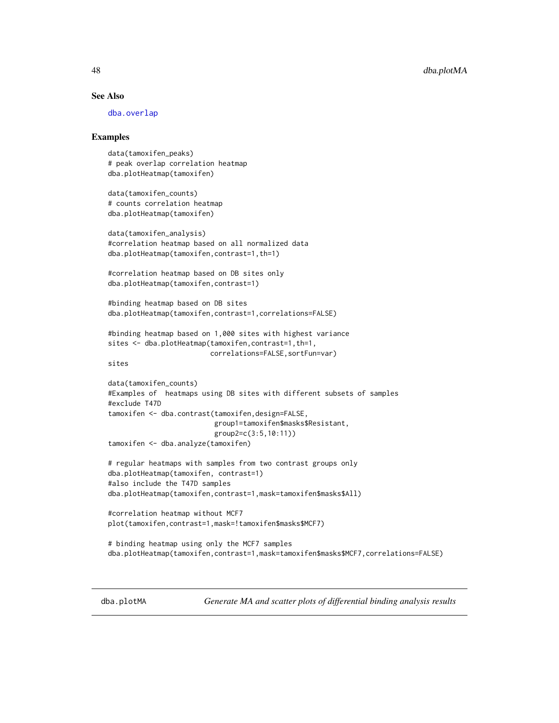## See Also

[dba.overlap](#page-33-0)

## Examples

```
data(tamoxifen_peaks)
# peak overlap correlation heatmap
dba.plotHeatmap(tamoxifen)
```
data(tamoxifen\_counts) # counts correlation heatmap dba.plotHeatmap(tamoxifen)

```
data(tamoxifen_analysis)
#correlation heatmap based on all normalized data
dba.plotHeatmap(tamoxifen,contrast=1,th=1)
```
#correlation heatmap based on DB sites only dba.plotHeatmap(tamoxifen,contrast=1)

#binding heatmap based on DB sites dba.plotHeatmap(tamoxifen,contrast=1,correlations=FALSE)

```
#binding heatmap based on 1,000 sites with highest variance
sites <- dba.plotHeatmap(tamoxifen, contrast=1, th=1,
                         correlations=FALSE,sortFun=var)
```
sites

```
data(tamoxifen_counts)
#Examples of heatmaps using DB sites with different subsets of samples
#exclude T47D
tamoxifen <- dba.contrast(tamoxifen,design=FALSE,
                          group1=tamoxifen$masks$Resistant,
                          group2=c(3:5,10:11))
```
tamoxifen <- dba.analyze(tamoxifen)

```
# regular heatmaps with samples from two contrast groups only
dba.plotHeatmap(tamoxifen, contrast=1)
#also include the T47D samples
dba.plotHeatmap(tamoxifen,contrast=1,mask=tamoxifen$masks$All)
```

```
#correlation heatmap without MCF7
plot(tamoxifen,contrast=1,mask=!tamoxifen$masks$MCF7)
```

```
# binding heatmap using only the MCF7 samples
dba.plotHeatmap(tamoxifen,contrast=1,mask=tamoxifen$masks$MCF7,correlations=FALSE)
```
<span id="page-47-0"></span>dba.plotMA *Generate MA and scatter plots of differential binding analysis results*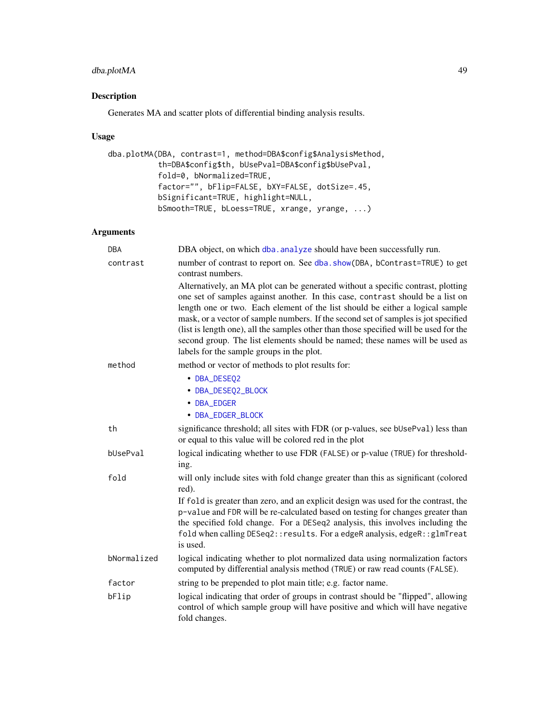# dba.plotMA 49

# Description

Generates MA and scatter plots of differential binding analysis results.

# Usage

```
dba.plotMA(DBA, contrast=1, method=DBA$config$AnalysisMethod,
           th=DBA$config$th, bUsePval=DBA$config$bUsePval,
           fold=0, bNormalized=TRUE,
           factor="", bFlip=FALSE, bXY=FALSE, dotSize=.45,
          bSignificant=TRUE, highlight=NULL,
          bSmooth=TRUE, bLoess=TRUE, xrange, yrange, ...)
```

| <b>DBA</b>  | DBA object, on which dba. analyze should have been successfully run.                                                                                                                                                                                                                                                                                                                                                                                                                                                                                            |
|-------------|-----------------------------------------------------------------------------------------------------------------------------------------------------------------------------------------------------------------------------------------------------------------------------------------------------------------------------------------------------------------------------------------------------------------------------------------------------------------------------------------------------------------------------------------------------------------|
| contrast    | number of contrast to report on. See dba. show(DBA, bContrast=TRUE) to get<br>contrast numbers.                                                                                                                                                                                                                                                                                                                                                                                                                                                                 |
|             | Alternatively, an MA plot can be generated without a specific contrast, plotting<br>one set of samples against another. In this case, contrast should be a list on<br>length one or two. Each element of the list should be either a logical sample<br>mask, or a vector of sample numbers. If the second set of samples is jot specified<br>(list is length one), all the samples other than those specified will be used for the<br>second group. The list elements should be named; these names will be used as<br>labels for the sample groups in the plot. |
| method      | method or vector of methods to plot results for:                                                                                                                                                                                                                                                                                                                                                                                                                                                                                                                |
|             | • DBA_DESEQ2                                                                                                                                                                                                                                                                                                                                                                                                                                                                                                                                                    |
|             | • DBA_DESEQ2_BLOCK                                                                                                                                                                                                                                                                                                                                                                                                                                                                                                                                              |
|             | • DBA_EDGER                                                                                                                                                                                                                                                                                                                                                                                                                                                                                                                                                     |
|             | • DBA_EDGER_BLOCK                                                                                                                                                                                                                                                                                                                                                                                                                                                                                                                                               |
| th          | significance threshold; all sites with FDR (or p-values, see bUsePval) less than<br>or equal to this value will be colored red in the plot                                                                                                                                                                                                                                                                                                                                                                                                                      |
| bUsePval    | logical indicating whether to use FDR (FALSE) or p-value (TRUE) for threshold-<br>ing.                                                                                                                                                                                                                                                                                                                                                                                                                                                                          |
| fold        | will only include sites with fold change greater than this as significant (colored<br>red).                                                                                                                                                                                                                                                                                                                                                                                                                                                                     |
|             | If fold is greater than zero, and an explicit design was used for the contrast, the<br>p-value and FDR will be re-calculated based on testing for changes greater than<br>the specified fold change. For a DESeq2 analysis, this involves including the<br>fold when calling DESeq2:: results. For a edgeR analysis, edgeR:: glmTreat<br>is used.                                                                                                                                                                                                               |
| bNormalized | logical indicating whether to plot normalized data using normalization factors<br>computed by differential analysis method (TRUE) or raw read counts (FALSE).                                                                                                                                                                                                                                                                                                                                                                                                   |
| factor      | string to be prepended to plot main title; e.g. factor name.                                                                                                                                                                                                                                                                                                                                                                                                                                                                                                    |
| bFlip       | logical indicating that order of groups in contrast should be "flipped", allowing<br>control of which sample group will have positive and which will have negative<br>fold changes.                                                                                                                                                                                                                                                                                                                                                                             |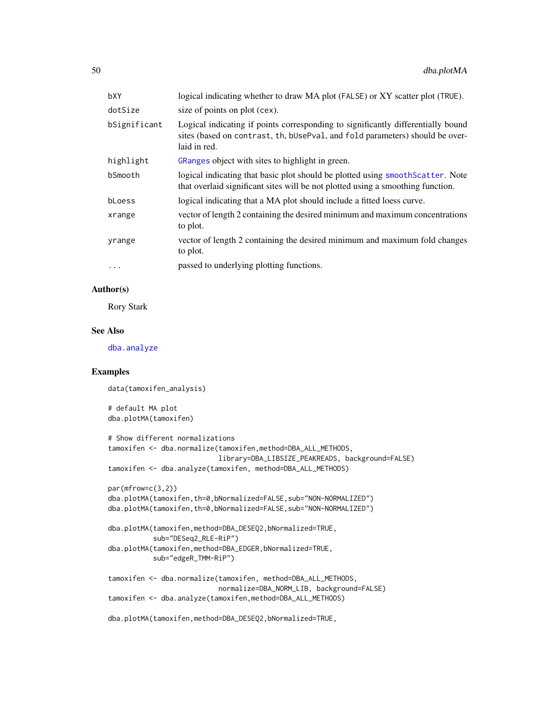| logical indicating whether to draw MA plot (FALSE) or XY scatter plot (TRUE).                                                                                                    |
|----------------------------------------------------------------------------------------------------------------------------------------------------------------------------------|
| size of points on plot (cex).                                                                                                                                                    |
| Logical indicating if points corresponding to significantly differentially bound<br>sites (based on contrast, th, bUsePval, and fold parameters) should be over-<br>laid in red. |
| GRanges object with sites to highlight in green.                                                                                                                                 |
| logical indicating that basic plot should be plotted using smooth Scatter. Note<br>that overlaid significant sites will be not plotted using a smoothing function.               |
| logical indicating that a MA plot should include a fitted loess curve.                                                                                                           |
| vector of length 2 containing the desired minimum and maximum concentrations<br>to plot.                                                                                         |
| vector of length 2 containing the desired minimum and maximum fold changes<br>to plot.                                                                                           |
| passed to underlying plotting functions.                                                                                                                                         |
|                                                                                                                                                                                  |

## Author(s)

Rory Stark

# See Also

[dba.analyze](#page-11-0)

# Examples

```
data(tamoxifen_analysis)
# default MA plot
dba.plotMA(tamoxifen)
# Show different normalizations
tamoxifen <- dba.normalize(tamoxifen,method=DBA_ALL_METHODS,
                           library=DBA_LIBSIZE_PEAKREADS, background=FALSE)
tamoxifen <- dba.analyze(tamoxifen, method=DBA_ALL_METHODS)
par(mfrow=c(3,2))
dba.plotMA(tamoxifen,th=0,bNormalized=FALSE,sub="NON-NORMALIZED")
dba.plotMA(tamoxifen,th=0,bNormalized=FALSE,sub="NON-NORMALIZED")
dba.plotMA(tamoxifen,method=DBA_DESEQ2,bNormalized=TRUE,
           sub="DESeq2_RLE-RiP")
dba.plotMA(tamoxifen,method=DBA_EDGER,bNormalized=TRUE,
           sub="edgeR_TMM-RiP")
tamoxifen <- dba.normalize(tamoxifen, method=DBA_ALL_METHODS,
                           normalize=DBA_NORM_LIB, background=FALSE)
tamoxifen <- dba.analyze(tamoxifen,method=DBA_ALL_METHODS)
dba.plotMA(tamoxifen,method=DBA_DESEQ2,bNormalized=TRUE,
```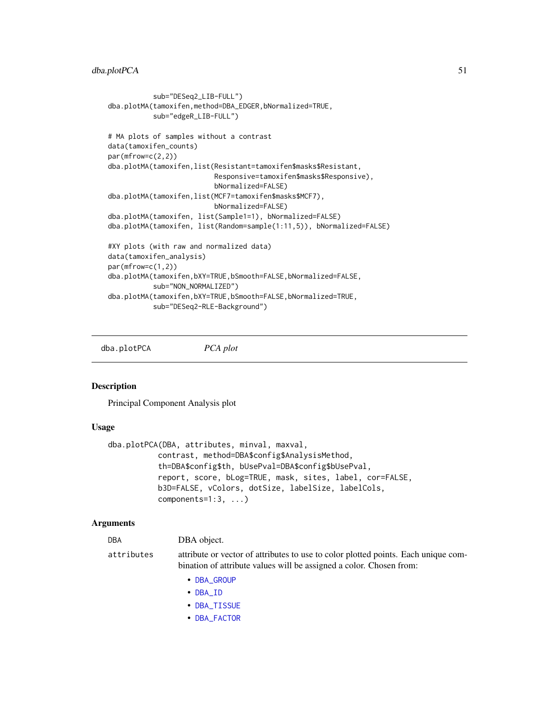```
sub="DESeq2_LIB-FULL")
dba.plotMA(tamoxifen,method=DBA_EDGER,bNormalized=TRUE,
           sub="edgeR_LIB-FULL")
# MA plots of samples without a contrast
data(tamoxifen_counts)
par(mfrow=c(2,2))
dba.plotMA(tamoxifen,list(Resistant=tamoxifen$masks$Resistant,
                          Responsive=tamoxifen$masks$Responsive),
                          bNormalized=FALSE)
dba.plotMA(tamoxifen,list(MCF7=tamoxifen$masks$MCF7),
                          bNormalized=FALSE)
dba.plotMA(tamoxifen, list(Sample1=1), bNormalized=FALSE)
dba.plotMA(tamoxifen, list(Random=sample(1:11,5)), bNormalized=FALSE)
#XY plots (with raw and normalized data)
data(tamoxifen_analysis)
par(mfrow=c(1,2))
dba.plotMA(tamoxifen,bXY=TRUE,bSmooth=FALSE,bNormalized=FALSE,
           sub="NON_NORMALIZED")
dba.plotMA(tamoxifen,bXY=TRUE,bSmooth=FALSE,bNormalized=TRUE,
           sub="DESeq2-RLE-Background")
```
<span id="page-50-0"></span>dba.plotPCA *PCA plot*

# Description

Principal Component Analysis plot

## Usage

```
dba.plotPCA(DBA, attributes, minval, maxval,
           contrast, method=DBA$config$AnalysisMethod,
           th=DBA$config$th, bUsePval=DBA$config$bUsePval,
           report, score, bLog=TRUE, mask, sites, label, cor=FALSE,
           b3D=FALSE, vColors, dotSize, labelSize, labelCols,
           components=1:3, ...)
```
#### Arguments

DBA **DBA** object.

attributes attribute or vector of attributes to use to color plotted points. Each unique combination of attribute values will be assigned a color. Chosen from:

- [DBA\\_GROUP](#page-68-0)
- [DBA\\_ID](#page-68-0)
- [DBA\\_TISSUE](#page-68-0)
- [DBA\\_FACTOR](#page-68-0)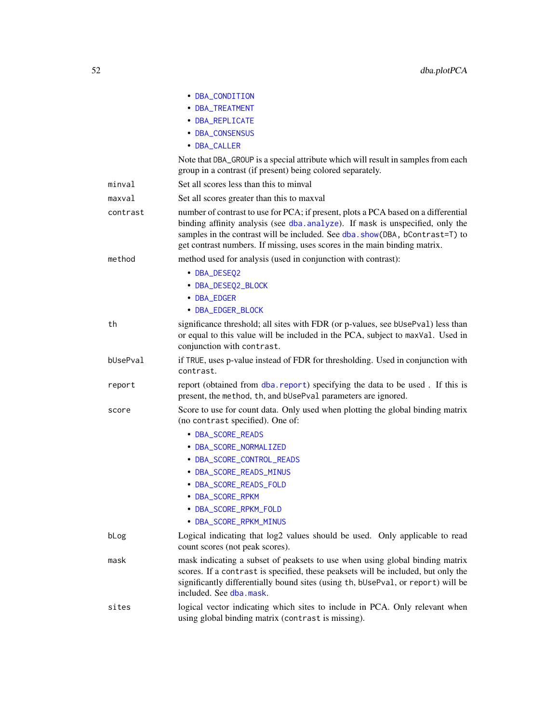|          | • DBA_CONDITION                                                                                                                                                                                                                                                                                                                   |
|----------|-----------------------------------------------------------------------------------------------------------------------------------------------------------------------------------------------------------------------------------------------------------------------------------------------------------------------------------|
|          | • DBA_TREATMENT                                                                                                                                                                                                                                                                                                                   |
|          | • DBA_REPLICATE                                                                                                                                                                                                                                                                                                                   |
|          |                                                                                                                                                                                                                                                                                                                                   |
|          | • DBA_CONSENSUS                                                                                                                                                                                                                                                                                                                   |
|          | • DBA_CALLER                                                                                                                                                                                                                                                                                                                      |
|          | Note that DBA_GROUP is a special attribute which will result in samples from each<br>group in a contrast (if present) being colored separately.                                                                                                                                                                                   |
| minval   | Set all scores less than this to minval                                                                                                                                                                                                                                                                                           |
| maxval   | Set all scores greater than this to maxval                                                                                                                                                                                                                                                                                        |
| contrast | number of contrast to use for PCA; if present, plots a PCA based on a differential<br>binding affinity analysis (see dba. analyze). If mask is unspecified, only the<br>samples in the contrast will be included. See dba. show(DBA, bContrast=T) to<br>get contrast numbers. If missing, uses scores in the main binding matrix. |
| method   | method used for analysis (used in conjunction with contrast):                                                                                                                                                                                                                                                                     |
|          | • DBA_DESEQ2                                                                                                                                                                                                                                                                                                                      |
|          | • DBA_DESEQ2_BLOCK                                                                                                                                                                                                                                                                                                                |
|          | • DBA_EDGER                                                                                                                                                                                                                                                                                                                       |
|          | • DBA_EDGER_BLOCK                                                                                                                                                                                                                                                                                                                 |
| th       | significance threshold; all sites with FDR (or p-values, see bUsePval) less than<br>or equal to this value will be included in the PCA, subject to maxVal. Used in<br>conjunction with contrast.                                                                                                                                  |
| bUsePval | if TRUE, uses p-value instead of FDR for thresholding. Used in conjunction with<br>contrast.                                                                                                                                                                                                                                      |
| report   | report (obtained from dba. report) specifying the data to be used. If this is<br>present, the method, th, and bUsePval parameters are ignored.                                                                                                                                                                                    |
| score    | Score to use for count data. Only used when plotting the global binding matrix<br>(no contrast specified). One of:                                                                                                                                                                                                                |
|          | • DBA_SCORE_READS                                                                                                                                                                                                                                                                                                                 |
|          | • DBA_SCORE_NORMALIZED                                                                                                                                                                                                                                                                                                            |
|          | • DBA_SCORE_CONTROL_READS                                                                                                                                                                                                                                                                                                         |
|          | • DBA_SCORE_READS_MINUS                                                                                                                                                                                                                                                                                                           |
|          | • DBA_SCORE_READS_FOLD                                                                                                                                                                                                                                                                                                            |
|          | • DBA_SCORE_RPKM                                                                                                                                                                                                                                                                                                                  |
|          | • DBA_SCORE_RPKM_FOLD                                                                                                                                                                                                                                                                                                             |
|          | • DBA_SCORE_RPKM_MINUS                                                                                                                                                                                                                                                                                                            |
| bLog     | Logical indicating that log2 values should be used. Only applicable to read<br>count scores (not peak scores).                                                                                                                                                                                                                    |
| mask     | mask indicating a subset of peaksets to use when using global binding matrix<br>scores. If a contrast is specified, these peaksets will be included, but only the<br>significantly differentially bound sites (using th, bUsePval, or report) will be<br>included. See dba.mask.                                                  |
| sites    | logical vector indicating which sites to include in PCA. Only relevant when<br>using global binding matrix (contrast is missing).                                                                                                                                                                                                 |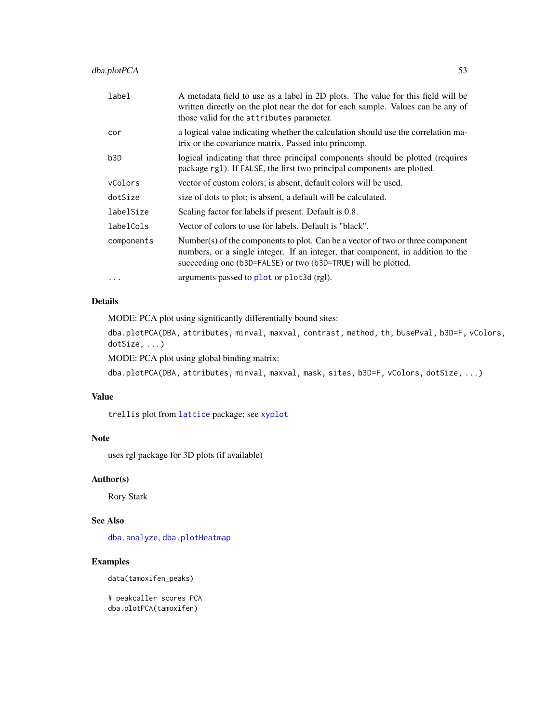| label      | A metadata field to use as a label in 2D plots. The value for this field will be<br>written directly on the plot near the dot for each sample. Values can be any of<br>those valid for the attributes parameter.                   |
|------------|------------------------------------------------------------------------------------------------------------------------------------------------------------------------------------------------------------------------------------|
| cor        | a logical value indicating whether the calculation should use the correlation ma-<br>trix or the covariance matrix. Passed into princomp.                                                                                          |
| b3D        | logical indicating that three principal components should be plotted (requires<br>package rg1). If FALSE, the first two principal components are plotted.                                                                          |
| vColors    | vector of custom colors; is absent, default colors will be used.                                                                                                                                                                   |
| dotSize    | size of dots to plot; is absent, a default will be calculated.                                                                                                                                                                     |
| labelSize  | Scaling factor for labels if present. Default is 0.8.                                                                                                                                                                              |
| labelCols  | Vector of colors to use for labels. Default is "black".                                                                                                                                                                            |
| components | Number(s) of the components to plot. Can be a vector of two or three component<br>numbers, or a single integer. If an integer, that component, in addition to the<br>succeeding one (b3D=FALSE) or two (b3D=TRUE) will be plotted. |
| $\cdots$   | arguments passed to plot or plot 3d (rgl).                                                                                                                                                                                         |

# Details

MODE: PCA plot using significantly differentially bound sites:

dba.plotPCA(DBA, attributes, minval, maxval, contrast, method, th, bUsePval, b3D=F, vColors, dotSize, ...)

MODE: PCA plot using global binding matrix:

dba.plotPCA(DBA, attributes, minval, maxval, mask, sites, b3D=F, vColors, dotSize, ...)

# Value

trellis plot from [lattice](#page-0-0) package; see [xyplot](#page-0-0)

# Note

uses rgl package for 3D plots (if available)

## Author(s)

Rory Stark

## See Also

[dba.analyze](#page-11-0), [dba.plotHeatmap](#page-43-0)

# Examples

data(tamoxifen\_peaks)

# peakcaller scores PCA dba.plotPCA(tamoxifen)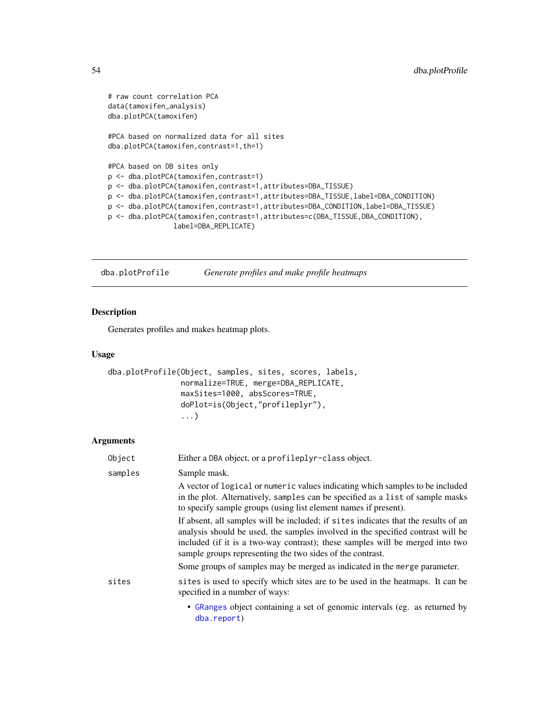```
# raw count correlation PCA
data(tamoxifen_analysis)
dba.plotPCA(tamoxifen)
#PCA based on normalized data for all sites
dba.plotPCA(tamoxifen,contrast=1,th=1)
#PCA based on DB sites only
p <- dba.plotPCA(tamoxifen,contrast=1)
p <- dba.plotPCA(tamoxifen,contrast=1,attributes=DBA_TISSUE)
p <- dba.plotPCA(tamoxifen,contrast=1,attributes=DBA_TISSUE,label=DBA_CONDITION)
p <- dba.plotPCA(tamoxifen,contrast=1,attributes=DBA_CONDITION,label=DBA_TISSUE)
p <- dba.plotPCA(tamoxifen,contrast=1,attributes=c(DBA_TISSUE,DBA_CONDITION),
                label=DBA_REPLICATE)
```
<span id="page-53-0"></span>dba.plotProfile *Generate profiles and make profile heatmaps*

# Description

Generates profiles and makes heatmap plots.

#### Usage

```
dba.plotProfile(Object, samples, sites, scores, labels,
                normalize=TRUE, merge=DBA_REPLICATE,
                maxSites=1000, absScores=TRUE,
                doPlot=is(Object,"profileplyr"),
                ...)
```

| Object  | Either a DBA object, or a profileplyr-class object.                                                                                                                                                                                                                                                                                                                                              |
|---------|--------------------------------------------------------------------------------------------------------------------------------------------------------------------------------------------------------------------------------------------------------------------------------------------------------------------------------------------------------------------------------------------------|
| samples | Sample mask.                                                                                                                                                                                                                                                                                                                                                                                     |
|         | A vector of logical or numeric values indicating which samples to be included<br>in the plot. Alternatively, samples can be specified as a list of sample masks<br>to specify sample groups (using list element names if present).                                                                                                                                                               |
|         | If absent, all samples will be included; if sites indicates that the results of an<br>analysis should be used, the samples involved in the specified contrast will be<br>included (if it is a two-way contrast); these samples will be merged into two<br>sample groups representing the two sides of the contrast.<br>Some groups of samples may be merged as indicated in the merge parameter. |
|         |                                                                                                                                                                                                                                                                                                                                                                                                  |
| sites   | sites is used to specify which sites are to be used in the heatmaps. It can be<br>specified in a number of ways:                                                                                                                                                                                                                                                                                 |
|         | • GRanges object containing a set of genomic intervals (eg. as returned by<br>dba.report)                                                                                                                                                                                                                                                                                                        |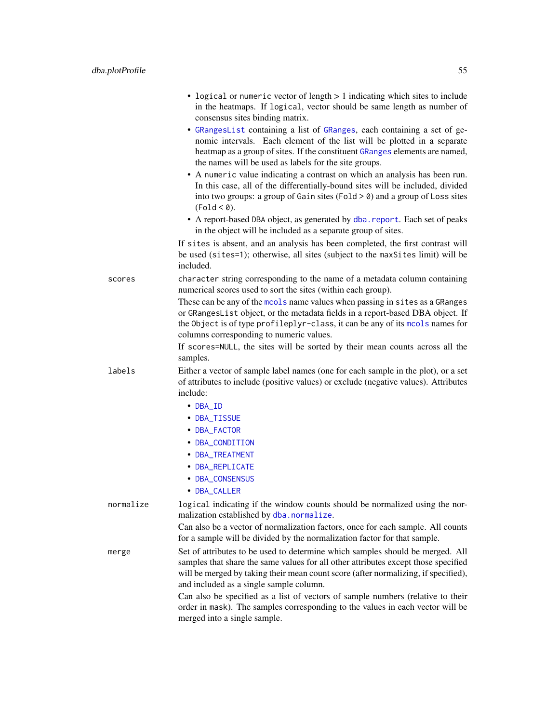|           | • logical or numeric vector of length > 1 indicating which sites to include<br>in the heatmaps. If logical, vector should be same length as number of<br>consensus sites binding matrix.                                                                                                             |
|-----------|------------------------------------------------------------------------------------------------------------------------------------------------------------------------------------------------------------------------------------------------------------------------------------------------------|
|           | · GRangesList containing a list of GRanges, each containing a set of ge-<br>nomic intervals. Each element of the list will be plotted in a separate<br>heatmap as a group of sites. If the constituent GRanges elements are named,<br>the names will be used as labels for the site groups.          |
|           | • A numeric value indicating a contrast on which an analysis has been run.<br>In this case, all of the differentially-bound sites will be included, divided<br>into two groups: a group of Gain sites (Fold $>$ 0) and a group of Loss sites<br>(Fold < 0).                                          |
|           | • A report-based DBA object, as generated by dba. report. Each set of peaks<br>in the object will be included as a separate group of sites.                                                                                                                                                          |
|           | If sites is absent, and an analysis has been completed, the first contrast will<br>be used (sites=1); otherwise, all sites (subject to the maxSites limit) will be<br>included.                                                                                                                      |
| scores    | character string corresponding to the name of a metadata column containing<br>numerical scores used to sort the sites (within each group).                                                                                                                                                           |
|           | These can be any of the mools name values when passing in sites as a GRanges<br>or GRangesList object, or the metadata fields in a report-based DBA object. If<br>the Object is of type profileplyr-class, it can be any of its mools names for<br>columns corresponding to numeric values.          |
|           | If scores=NULL, the sites will be sorted by their mean counts across all the<br>samples.                                                                                                                                                                                                             |
| labels    | Either a vector of sample label names (one for each sample in the plot), or a set<br>of attributes to include (positive values) or exclude (negative values). Attributes<br>include:                                                                                                                 |
|           | $\cdot$ DBA_ID                                                                                                                                                                                                                                                                                       |
|           | • DBA_TISSUE                                                                                                                                                                                                                                                                                         |
|           | • DBA_FACTOR                                                                                                                                                                                                                                                                                         |
|           | • DBA_CONDITION<br>• DBA_TREATMENT                                                                                                                                                                                                                                                                   |
|           | • DBA_REPLICATE                                                                                                                                                                                                                                                                                      |
|           | • DBA_CONSENSUS                                                                                                                                                                                                                                                                                      |
|           | • DBA_CALLER                                                                                                                                                                                                                                                                                         |
| normalize | logical indicating if the window counts should be normalized using the nor-<br>malization established by dba.normalize.                                                                                                                                                                              |
|           | Can also be a vector of normalization factors, once for each sample. All counts<br>for a sample will be divided by the normalization factor for that sample.                                                                                                                                         |
| merge     | Set of attributes to be used to determine which samples should be merged. All<br>samples that share the same values for all other attributes except those specified<br>will be merged by taking their mean count score (after normalizing, if specified),<br>and included as a single sample column. |
|           | Can also be specified as a list of vectors of sample numbers (relative to their<br>order in mask). The samples corresponding to the values in each vector will be<br>merged into a single sample.                                                                                                    |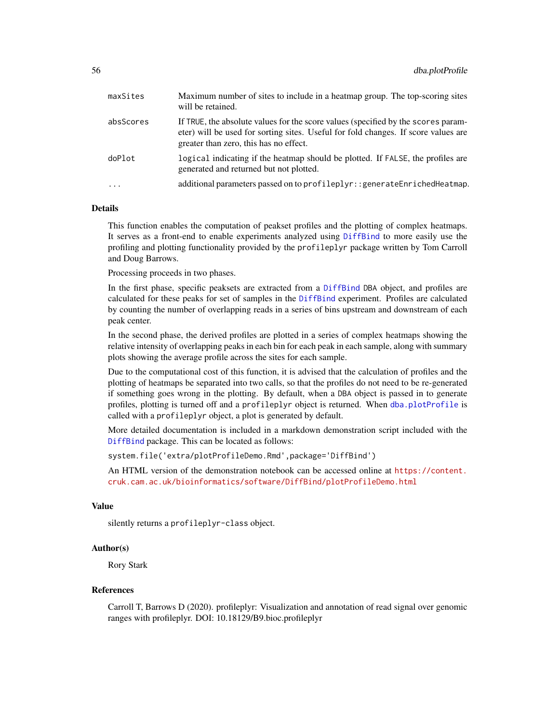| maxSites  | Maximum number of sites to include in a heatmap group. The top-scoring sites<br>will be retained.                                                                                                                 |
|-----------|-------------------------------------------------------------------------------------------------------------------------------------------------------------------------------------------------------------------|
| absScores | If TRUE, the absolute values for the score values (specified by the scores param-<br>eter) will be used for sorting sites. Useful for fold changes. If score values are<br>greater than zero, this has no effect. |
| doPlot    | logical indicating if the heatmap should be plotted. If FALSE, the profiles are<br>generated and returned but not plotted.                                                                                        |
| $\cdots$  | additional parameters passed on to profileplyr: : generateEnrichedHeatmap.                                                                                                                                        |

# Details

This function enables the computation of peakset profiles and the plotting of complex heatmaps. It serves as a front-end to enable experiments analyzed using [DiffBind](#page-2-0) to more easily use the profiling and plotting functionality provided by the profileplyr package written by Tom Carroll and Doug Barrows.

Processing proceeds in two phases.

In the first phase, specific peaksets are extracted from a [DiffBind](#page-2-0) DBA object, and profiles are calculated for these peaks for set of samples in the [DiffBind](#page-2-0) experiment. Profiles are calculated by counting the number of overlapping reads in a series of bins upstream and downstream of each peak center.

In the second phase, the derived profiles are plotted in a series of complex heatmaps showing the relative intensity of overlapping peaks in each bin for each peak in each sample, along with summary plots showing the average profile across the sites for each sample.

Due to the computational cost of this function, it is advised that the calculation of profiles and the plotting of heatmaps be separated into two calls, so that the profiles do not need to be re-generated if something goes wrong in the plotting. By default, when a DBA object is passed in to generate profiles, plotting is turned off and a profileplyr object is returned. When [dba.plotProfile](#page-53-0) is called with a profileplyr object, a plot is generated by default.

More detailed documentation is included in a markdown demonstration script included with the [DiffBind](#page-2-0) package. This can be located as follows:

system.file('extra/plotProfileDemo.Rmd',package='DiffBind')

An HTML version of the demonstration notebook can be accessed online at [https://content.](https://content.cruk.cam.ac.uk/bioinformatics/software/DiffBind/plotProfileDemo.html) [cruk.cam.ac.uk/bioinformatics/software/DiffBind/plotProfileDemo.html](https://content.cruk.cam.ac.uk/bioinformatics/software/DiffBind/plotProfileDemo.html)

# Value

silently returns a profileplyr-class object.

## Author(s)

Rory Stark

#### References

Carroll T, Barrows D (2020). profileplyr: Visualization and annotation of read signal over genomic ranges with profileplyr. DOI: 10.18129/B9.bioc.profileplyr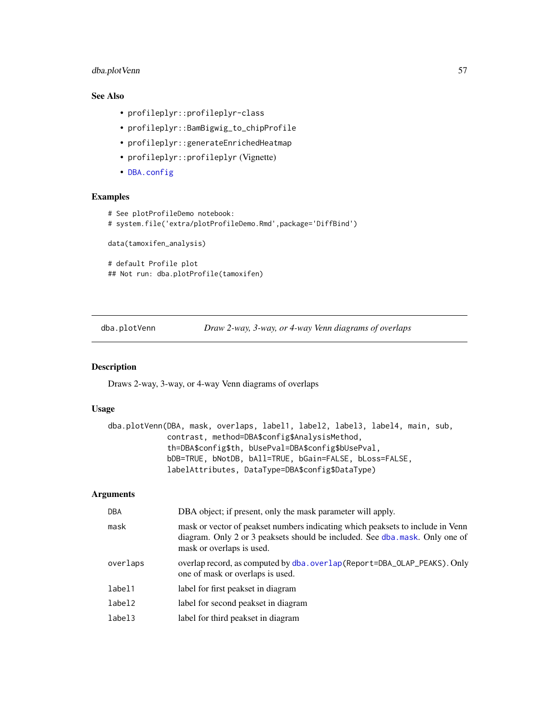# dba.plotVenn 57

# See Also

- profileplyr::profileplyr-class
- profileplyr::BamBigwig\_to\_chipProfile
- profileplyr::generateEnrichedHeatmap
- profileplyr::profileplyr (Vignette)
- [DBA.config](#page-7-0)

## Examples

```
# See plotProfileDemo notebook:
# system.file('extra/plotProfileDemo.Rmd',package='DiffBind')
data(tamoxifen_analysis)
# default Profile plot
## Not run: dba.plotProfile(tamoxifen)
```
<span id="page-56-0"></span>dba.plotVenn *Draw 2-way, 3-way, or 4-way Venn diagrams of overlaps*

# Description

Draws 2-way, 3-way, or 4-way Venn diagrams of overlaps

# Usage

```
dba.plotVenn(DBA, mask, overlaps, label1, label2, label3, label4, main, sub,
            contrast, method=DBA$config$AnalysisMethod,
             th=DBA$config$th, bUsePval=DBA$config$bUsePval,
            bDB=TRUE, bNotDB, bAll=TRUE, bGain=FALSE, bLoss=FALSE,
             labelAttributes, DataType=DBA$config$DataType)
```

| <b>DBA</b> | DBA object; if present, only the mask parameter will apply.                                                                                                                                |
|------------|--------------------------------------------------------------------------------------------------------------------------------------------------------------------------------------------|
| mask       | mask or vector of peakset numbers indicating which peaksets to include in Venn<br>diagram. Only 2 or 3 peaksets should be included. See dba.mask. Only one of<br>mask or overlaps is used. |
| overlaps   | overlap record, as computed by dba.overlap(Report=DBA_OLAP_PEAKS). Only<br>one of mask or overlaps is used.                                                                                |
| label1     | label for first peakset in diagram                                                                                                                                                         |
| label2     | label for second peakset in diagram                                                                                                                                                        |
| label3     | label for third peakset in diagram                                                                                                                                                         |
|            |                                                                                                                                                                                            |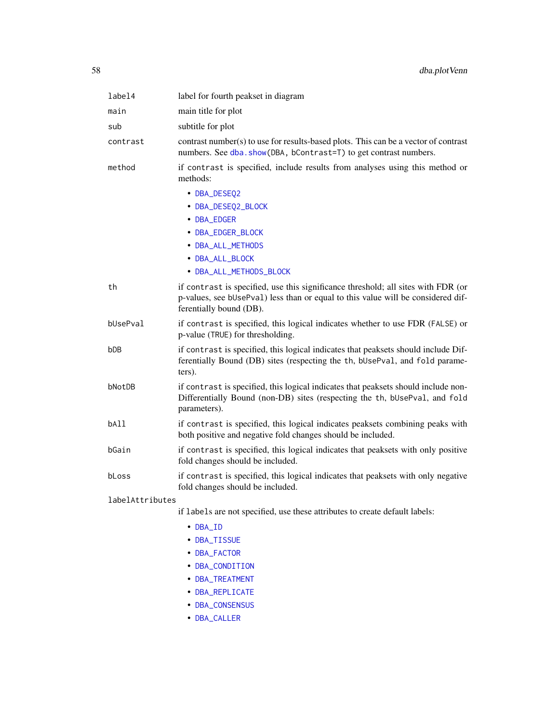| label4          | label for fourth peakset in diagram                                                                                                                                                              |
|-----------------|--------------------------------------------------------------------------------------------------------------------------------------------------------------------------------------------------|
| main            | main title for plot                                                                                                                                                                              |
| sub             | subtitle for plot                                                                                                                                                                                |
| contrast        | contrast number(s) to use for results-based plots. This can be a vector of contrast<br>numbers. See dba. show(DBA, bContrast=T) to get contrast numbers.                                         |
| method          | if contrast is specified, include results from analyses using this method or<br>methods:                                                                                                         |
|                 | • DBA_DESEQ2<br>• DBA_DESEQ2_BLOCK<br>• DBA_EDGER<br>• DBA_EDGER_BLOCK<br>• DBA_ALL_METHODS<br>• DBA_ALL_BLOCK<br>• DBA_ALL_METHODS_BLOCK                                                        |
| th              | if contrast is specified, use this significance threshold; all sites with FDR (or<br>p-values, see bUsePval) less than or equal to this value will be considered dif-<br>ferentially bound (DB). |
| bUsePval        | if contrast is specified, this logical indicates whether to use FDR (FALSE) or<br>p-value (TRUE) for thresholding.                                                                               |
| bDB             | if contrast is specified, this logical indicates that peaksets should include Dif-<br>ferentially Bound (DB) sites (respecting the th, bUsePval, and fold parame-<br>ters).                      |
| bNotDB          | if contrast is specified, this logical indicates that peaksets should include non-<br>Differentially Bound (non-DB) sites (respecting the th, bUsePval, and fold<br>parameters).                 |
| bA11            | if contrast is specified, this logical indicates peaksets combining peaks with<br>both positive and negative fold changes should be included.                                                    |
| bGain           | if contrast is specified, this logical indicates that peaksets with only positive<br>fold changes should be included.                                                                            |
| bLoss           | if contrast is specified, this logical indicates that peaksets with only negative<br>fold changes should be included.                                                                            |
| labelAttributes |                                                                                                                                                                                                  |
|                 | if labels are not specified, use these attributes to create default labels:                                                                                                                      |
|                 | • DBA_ID                                                                                                                                                                                         |

- [DBA\\_TISSUE](#page-68-0)
- [DBA\\_FACTOR](#page-68-0)
- [DBA\\_CONDITION](#page-68-0)
- [DBA\\_TREATMENT](#page-68-0)
- [DBA\\_REPLICATE](#page-68-0)
- [DBA\\_CONSENSUS](#page-68-0)
- [DBA\\_CALLER](#page-68-0)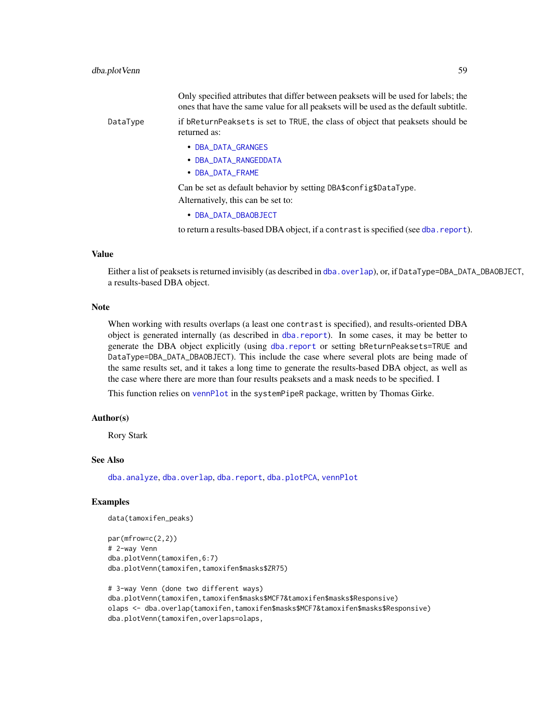|          | Only specified attributes that differ between peaksets will be used for labels; the<br>ones that have the same value for all peaksets will be used as the default subtitle. |
|----------|-----------------------------------------------------------------------------------------------------------------------------------------------------------------------------|
| DataType | if bReturnPeaksets is set to TRUE, the class of object that peaksets should be<br>returned as:                                                                              |
|          | • DBA_DATA_GRANGES                                                                                                                                                          |
|          | • DBA_DATA_RANGEDDATA                                                                                                                                                       |
|          | • DBA_DATA_FRAME                                                                                                                                                            |
|          | Can be set as default behavior by setting DBA\$ config\$DataType.                                                                                                           |
|          | Alternatively, this can be set to:                                                                                                                                          |
|          |                                                                                                                                                                             |

• [DBA\\_DATA\\_DBAOBJECT](#page-68-0)

to return a results-based DBA object, if a contrast is specified (see [dba.report](#page-61-0)).

#### Value

Either a list of peaksets is returned invisibly (as described in [dba.overlap](#page-33-0)), or, if DataType=DBA\_DATA\_DBAOBJECT, a results-based DBA object.

## Note

When working with results overlaps (a least one contrast is specified), and results-oriented DBA object is generated internally (as described in [dba.report](#page-61-0)). In some cases, it may be better to generate the DBA object explicitly (using [dba.report](#page-61-0) or setting bReturnPeaksets=TRUE and DataType=DBA\_DATA\_DBAOBJECT). This include the case where several plots are being made of the same results set, and it takes a long time to generate the results-based DBA object, as well as the case where there are more than four results peaksets and a mask needs to be specified. I

This function relies on [vennPlot](#page-0-0) in the systemPipeR package, written by Thomas Girke.

## Author(s)

Rory Stark

## See Also

[dba.analyze](#page-11-0), [dba.overlap](#page-33-0), [dba.report](#page-61-0), [dba.plotPCA](#page-50-0), [vennPlot](#page-0-0)

# Examples

data(tamoxifen\_peaks)

```
par(mfrow=c(2,2))
# 2-way Venn
dba.plotVenn(tamoxifen,6:7)
dba.plotVenn(tamoxifen,tamoxifen$masks$ZR75)
```

```
# 3-way Venn (done two different ways)
dba.plotVenn(tamoxifen,tamoxifen$masks$MCF7&tamoxifen$masks$Responsive)
olaps <- dba.overlap(tamoxifen,tamoxifen$masks$MCF7&tamoxifen$masks$Responsive)
dba.plotVenn(tamoxifen,overlaps=olaps,
```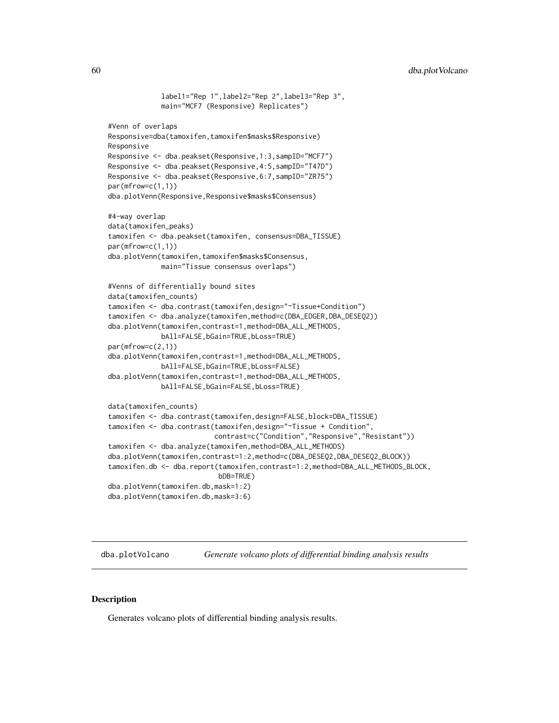```
label1="Rep 1",label2="Rep 2",label3="Rep 3",
            main="MCF7 (Responsive) Replicates")
#Venn of overlaps
Responsive=dba(tamoxifen,tamoxifen$masks$Responsive)
Responsive
Responsive <- dba.peakset(Responsive,1:3,sampID="MCF7")
Responsive <- dba.peakset(Responsive,4:5,sampID="T47D")
Responsive <- dba.peakset(Responsive,6:7,sampID="ZR75")
par(mfrow=c(1,1))
dba.plotVenn(Responsive,Responsive$masks$Consensus)
#4-way overlap
data(tamoxifen_peaks)
tamoxifen <- dba.peakset(tamoxifen, consensus=DBA_TISSUE)
par(mfrow=c(1,1))
dba.plotVenn(tamoxifen,tamoxifen$masks$Consensus,
            main="Tissue consensus overlaps")
#Venns of differentially bound sites
data(tamoxifen_counts)
tamoxifen <- dba.contrast(tamoxifen,design="~Tissue+Condition")
tamoxifen <- dba.analyze(tamoxifen,method=c(DBA_EDGER,DBA_DESEQ2))
dba.plotVenn(tamoxifen,contrast=1,method=DBA_ALL_METHODS,
            bAll=FALSE,bGain=TRUE,bLoss=TRUE)
par(mfrow=c(2,1))
dba.plotVenn(tamoxifen,contrast=1,method=DBA_ALL_METHODS,
            bAll=FALSE,bGain=TRUE,bLoss=FALSE)
dba.plotVenn(tamoxifen,contrast=1,method=DBA_ALL_METHODS,
            bAll=FALSE,bGain=FALSE,bLoss=TRUE)
data(tamoxifen_counts)
tamoxifen <- dba.contrast(tamoxifen,design=FALSE,block=DBA_TISSUE)
tamoxifen <- dba.contrast(tamoxifen,design="~Tissue + Condition",
                          contrast=c("Condition","Responsive","Resistant"))
tamoxifen <- dba.analyze(tamoxifen,method=DBA_ALL_METHODS)
dba.plotVenn(tamoxifen,contrast=1:2,method=c(DBA_DESEQ2,DBA_DESEQ2_BLOCK))
tamoxifen.db <- dba.report(tamoxifen,contrast=1:2,method=DBA_ALL_METHODS_BLOCK,
                           bDB=TRUE)
dba.plotVenn(tamoxifen.db,mask=1:2)
dba.plotVenn(tamoxifen.db,mask=3:6)
```
dba.plotVolcano *Generate volcano plots of differential binding analysis results*

## **Description**

Generates volcano plots of differential binding analysis results.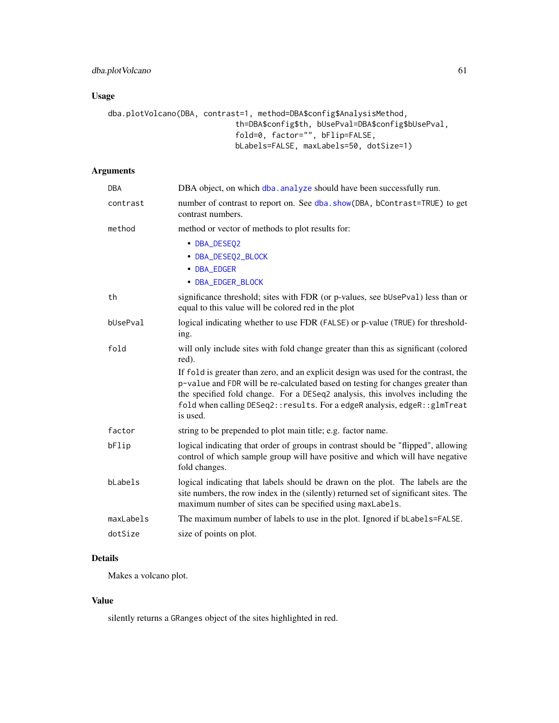# Usage

```
dba.plotVolcano(DBA, contrast=1, method=DBA$config$AnalysisMethod,
                            th=DBA$config$th, bUsePval=DBA$config$bUsePval,
                            fold=0, factor="", bFlip=FALSE,
                            bLabels=FALSE, maxLabels=50, dotSize=1)
```
# Arguments

| DBA       | DBA object, on which dba. analyze should have been successfully run.                                                                                                                                                                                                                                                                              |
|-----------|---------------------------------------------------------------------------------------------------------------------------------------------------------------------------------------------------------------------------------------------------------------------------------------------------------------------------------------------------|
| contrast  | number of contrast to report on. See dba. show(DBA, bContrast=TRUE) to get<br>contrast numbers.                                                                                                                                                                                                                                                   |
| method    | method or vector of methods to plot results for:                                                                                                                                                                                                                                                                                                  |
|           | • DBA_DESEQ2                                                                                                                                                                                                                                                                                                                                      |
|           | • DBA_DESEQ2_BLOCK                                                                                                                                                                                                                                                                                                                                |
|           | • DBA_EDGER                                                                                                                                                                                                                                                                                                                                       |
|           | • DBA_EDGER_BLOCK                                                                                                                                                                                                                                                                                                                                 |
| th        | significance threshold; sites with FDR (or p-values, see bUsePval) less than or<br>equal to this value will be colored red in the plot                                                                                                                                                                                                            |
| bUsePval  | logical indicating whether to use FDR (FALSE) or p-value (TRUE) for threshold-<br>ing.                                                                                                                                                                                                                                                            |
| fold      | will only include sites with fold change greater than this as significant (colored<br>red).                                                                                                                                                                                                                                                       |
|           | If fold is greater than zero, and an explicit design was used for the contrast, the<br>p-value and FDR will be re-calculated based on testing for changes greater than<br>the specified fold change. For a DESeq2 analysis, this involves including the<br>fold when calling DESeq2:: results. For a edgeR analysis, edgeR:: glmTreat<br>is used. |
| factor    | string to be prepended to plot main title; e.g. factor name.                                                                                                                                                                                                                                                                                      |
| bFlip     | logical indicating that order of groups in contrast should be "flipped", allowing<br>control of which sample group will have positive and which will have negative<br>fold changes.                                                                                                                                                               |
| bLabels   | logical indicating that labels should be drawn on the plot. The labels are the<br>site numbers, the row index in the (silently) returned set of significant sites. The<br>maximum number of sites can be specified using maxLabels.                                                                                                               |
| maxLabels | The maximum number of labels to use in the plot. Ignored if bLabels=FALSE.                                                                                                                                                                                                                                                                        |
| dotSize   | size of points on plot.                                                                                                                                                                                                                                                                                                                           |
|           |                                                                                                                                                                                                                                                                                                                                                   |

# Details

Makes a volcano plot.

# Value

silently returns a GRanges object of the sites highlighted in red.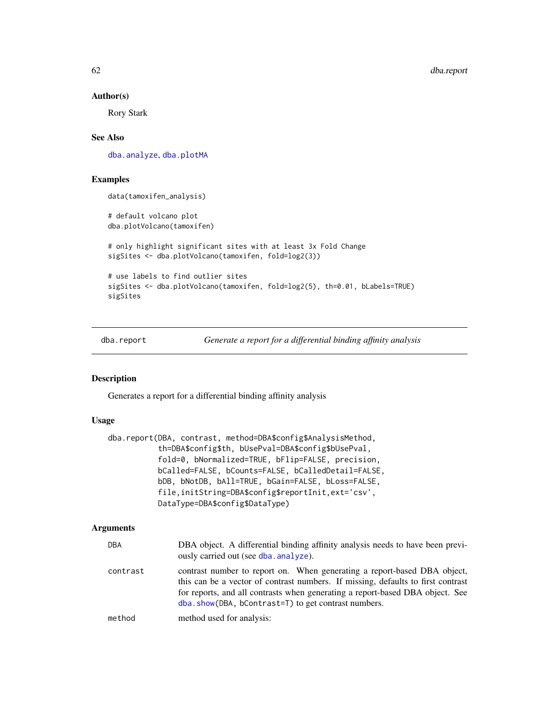#### Author(s)

Rory Stark

## See Also

[dba.analyze](#page-11-0), [dba.plotMA](#page-47-0)

# Examples

data(tamoxifen\_analysis)

# default volcano plot dba.plotVolcano(tamoxifen)

# only highlight significant sites with at least 3x Fold Change sigSites <- dba.plotVolcano(tamoxifen, fold=log2(3))

```
# use labels to find outlier sites
sigSites <- dba.plotVolcano(tamoxifen, fold=log2(5), th=0.01, bLabels=TRUE)
sigSites
```
<span id="page-61-0"></span>dba.report *Generate a report for a differential binding affinity analysis*

#### Description

Generates a report for a differential binding affinity analysis

## Usage

```
dba.report(DBA, contrast, method=DBA$config$AnalysisMethod,
           th=DBA$config$th, bUsePval=DBA$config$bUsePval,
           fold=0, bNormalized=TRUE, bFlip=FALSE, precision,
          bCalled=FALSE, bCounts=FALSE, bCalledDetail=FALSE,
          bDB, bNotDB, bAll=TRUE, bGain=FALSE, bLoss=FALSE,
           file,initString=DBA$config$reportInit,ext='csv',
          DataType=DBA$config$DataType)
```

| DBA      | DBA object. A differential binding affinity analysis needs to have been previ-<br>ously carried out (see dba. analyze).                                                                                                                                                                              |
|----------|------------------------------------------------------------------------------------------------------------------------------------------------------------------------------------------------------------------------------------------------------------------------------------------------------|
| contrast | contrast number to report on. When generating a report-based DBA object,<br>this can be a vector of contrast numbers. If missing, defaults to first contrast<br>for reports, and all contrasts when generating a report-based DBA object. See<br>dba.show(DBA, bContrast=T) to get contrast numbers. |
| method   | method used for analysis:                                                                                                                                                                                                                                                                            |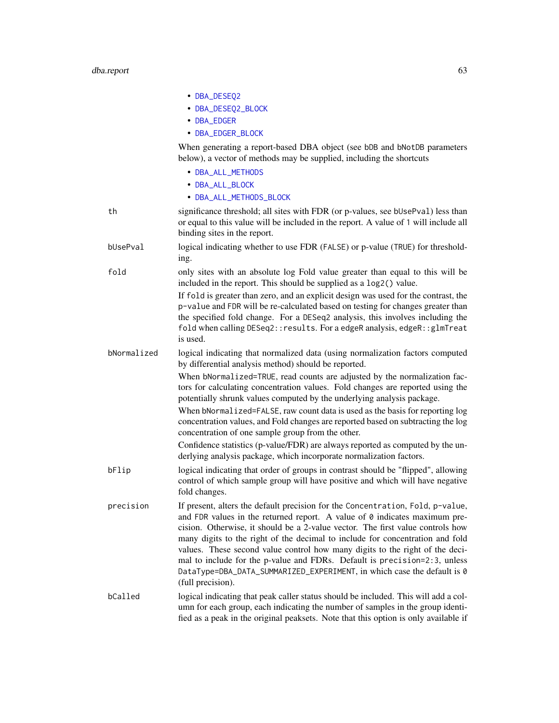|             | • DBA_DESEQ2                                                                                                                                                                                                                                                                                                                                                                                                                                                                                                                                                                                        |
|-------------|-----------------------------------------------------------------------------------------------------------------------------------------------------------------------------------------------------------------------------------------------------------------------------------------------------------------------------------------------------------------------------------------------------------------------------------------------------------------------------------------------------------------------------------------------------------------------------------------------------|
|             | • DBA_DESEQ2_BLOCK                                                                                                                                                                                                                                                                                                                                                                                                                                                                                                                                                                                  |
|             | • DBA_EDGER                                                                                                                                                                                                                                                                                                                                                                                                                                                                                                                                                                                         |
|             | • DBA_EDGER_BLOCK                                                                                                                                                                                                                                                                                                                                                                                                                                                                                                                                                                                   |
|             | When generating a report-based DBA object (see bDB and bNotDB parameters<br>below), a vector of methods may be supplied, including the shortcuts                                                                                                                                                                                                                                                                                                                                                                                                                                                    |
|             | • DBA_ALL_METHODS                                                                                                                                                                                                                                                                                                                                                                                                                                                                                                                                                                                   |
|             | • DBA_ALL_BLOCK                                                                                                                                                                                                                                                                                                                                                                                                                                                                                                                                                                                     |
|             | • DBA_ALL_METHODS_BLOCK                                                                                                                                                                                                                                                                                                                                                                                                                                                                                                                                                                             |
| th          | significance threshold; all sites with FDR (or p-values, see bUsePval) less than<br>or equal to this value will be included in the report. A value of 1 will include all<br>binding sites in the report.                                                                                                                                                                                                                                                                                                                                                                                            |
| bUsePval    | logical indicating whether to use FDR (FALSE) or p-value (TRUE) for threshold-<br>ing.                                                                                                                                                                                                                                                                                                                                                                                                                                                                                                              |
| fold        | only sites with an absolute log Fold value greater than equal to this will be<br>included in the report. This should be supplied as a log2() value.                                                                                                                                                                                                                                                                                                                                                                                                                                                 |
|             | If fold is greater than zero, and an explicit design was used for the contrast, the<br>p-value and FDR will be re-calculated based on testing for changes greater than<br>the specified fold change. For a DESeq2 analysis, this involves including the<br>fold when calling DESeq2:: results. For a edgeR analysis, edgeR:: glmTreat<br>is used.                                                                                                                                                                                                                                                   |
| bNormalized | logical indicating that normalized data (using normalization factors computed<br>by differential analysis method) should be reported.                                                                                                                                                                                                                                                                                                                                                                                                                                                               |
|             | When bNormalized=TRUE, read counts are adjusted by the normalization fac-<br>tors for calculating concentration values. Fold changes are reported using the<br>potentially shrunk values computed by the underlying analysis package.                                                                                                                                                                                                                                                                                                                                                               |
|             | When bNormalized=FALSE, raw count data is used as the basis for reporting log<br>concentration values, and Fold changes are reported based on subtracting the log<br>concentration of one sample group from the other.                                                                                                                                                                                                                                                                                                                                                                              |
|             | Confidence statistics (p-value/FDR) are always reported as computed by the un-<br>derlying analysis package, which incorporate normalization factors.                                                                                                                                                                                                                                                                                                                                                                                                                                               |
| bFlip       | logical indicating that order of groups in contrast should be "flipped", allowing<br>control of which sample group will have positive and which will have negative<br>fold changes.                                                                                                                                                                                                                                                                                                                                                                                                                 |
| precision   | If present, alters the default precision for the Concentration, Fold, p-value,<br>and FDR values in the returned report. A value of $\theta$ indicates maximum pre-<br>cision. Otherwise, it should be a 2-value vector. The first value controls how<br>many digits to the right of the decimal to include for concentration and fold<br>values. These second value control how many digits to the right of the deci-<br>mal to include for the p-value and FDRs. Default is precision=2:3, unless<br>DataType=DBA_DATA_SUMMARIZED_EXPERIMENT, in which case the default is 0<br>(full precision). |
| bCalled     | logical indicating that peak caller status should be included. This will add a col-<br>umn for each group, each indicating the number of samples in the group identi-<br>fied as a peak in the original peaksets. Note that this option is only available if                                                                                                                                                                                                                                                                                                                                        |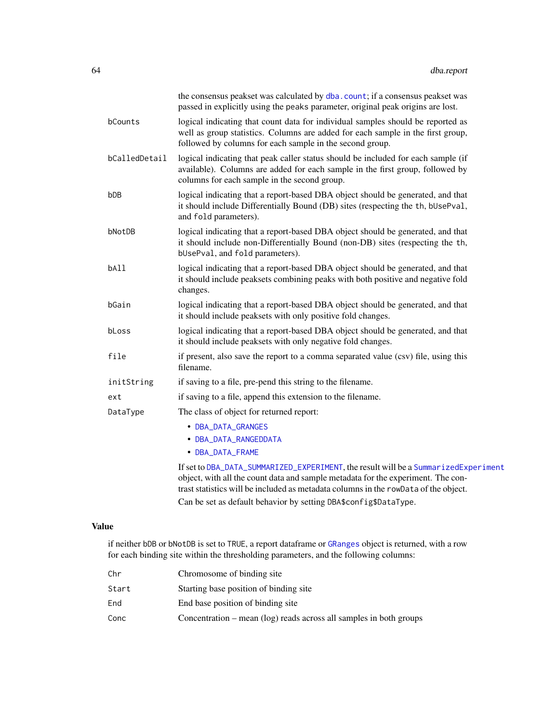|               | the consensus peakset was calculated by dba. count; if a consensus peakset was<br>passed in explicitly using the peaks parameter, original peak origins are lost.                                                                                              |
|---------------|----------------------------------------------------------------------------------------------------------------------------------------------------------------------------------------------------------------------------------------------------------------|
| bCounts       | logical indicating that count data for individual samples should be reported as<br>well as group statistics. Columns are added for each sample in the first group,<br>followed by columns for each sample in the second group.                                 |
| bCalledDetail | logical indicating that peak caller status should be included for each sample (if<br>available). Columns are added for each sample in the first group, followed by<br>columns for each sample in the second group.                                             |
| bDB           | logical indicating that a report-based DBA object should be generated, and that<br>it should include Differentially Bound (DB) sites (respecting the th, bUsePval,<br>and fold parameters).                                                                    |
| bNotDB        | logical indicating that a report-based DBA object should be generated, and that<br>it should include non-Differentially Bound (non-DB) sites (respecting the th,<br>bUsePval, and fold parameters).                                                            |
| bAll          | logical indicating that a report-based DBA object should be generated, and that<br>it should include peaksets combining peaks with both positive and negative fold<br>changes.                                                                                 |
| bGain         | logical indicating that a report-based DBA object should be generated, and that<br>it should include peaksets with only positive fold changes.                                                                                                                 |
| bLoss         | logical indicating that a report-based DBA object should be generated, and that<br>it should include peaksets with only negative fold changes.                                                                                                                 |
| file          | if present, also save the report to a comma separated value (csv) file, using this<br>filename.                                                                                                                                                                |
| initString    | if saving to a file, pre-pend this string to the filename.                                                                                                                                                                                                     |
| ext           | if saving to a file, append this extension to the filename.                                                                                                                                                                                                    |
| DataType      | The class of object for returned report:                                                                                                                                                                                                                       |
|               | • DBA_DATA_GRANGES                                                                                                                                                                                                                                             |
|               | • DBA_DATA_RANGEDDATA                                                                                                                                                                                                                                          |
|               | • DBA_DATA_FRAME                                                                                                                                                                                                                                               |
|               | If set to DBA_DATA_SUMMARIZED_EXPERIMENT, the result will be a SummarizedExperiment<br>object, with all the count data and sample metadata for the experiment. The con-<br>trast statistics will be included as metadata columns in the rowData of the object. |
|               | Can be set as default behavior by setting DBA\$config\$DataType.                                                                                                                                                                                               |

# Value

if neither bDB or bNotDB is set to TRUE, a report dataframe or [GRanges](#page-0-0) object is returned, with a row for each binding site within the thresholding parameters, and the following columns:

| Chr   | Chromosome of binding site                                           |
|-------|----------------------------------------------------------------------|
| Start | Starting base position of binding site                               |
| End   | End base position of binding site                                    |
| Conc  | Concentration $-$ mean (log) reads across all samples in both groups |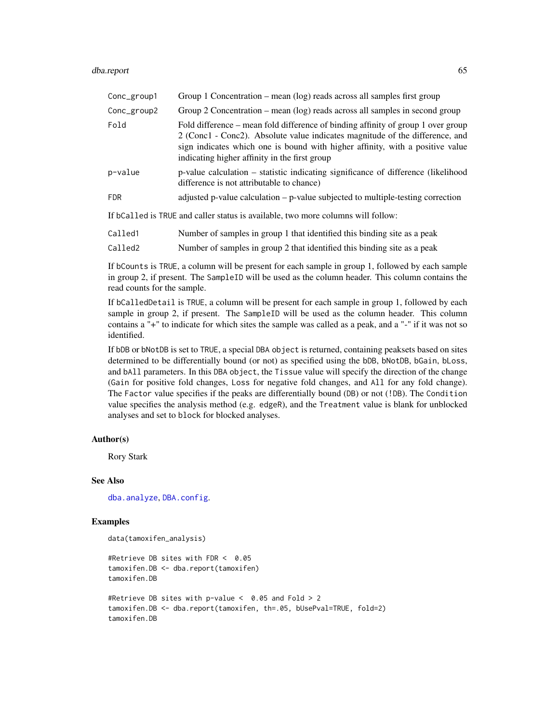#### dba.report 65

| Conc_group1         | Group 1 Concentration – mean $(\log)$ reads across all samples first group                                                                                                                                                                                                                         |
|---------------------|----------------------------------------------------------------------------------------------------------------------------------------------------------------------------------------------------------------------------------------------------------------------------------------------------|
| Conc_group2         | Group 2 Concentration – mean (log) reads across all samples in second group                                                                                                                                                                                                                        |
| Fold                | Fold difference – mean fold difference of binding affinity of group 1 over group<br>2 (Conc1 - Conc2). Absolute value indicates magnitude of the difference, and<br>sign indicates which one is bound with higher affinity, with a positive value<br>indicating higher affinity in the first group |
| p-value             | p-value calculation – statistic indicating significance of difference (likelihood<br>difference is not attributable to chance)                                                                                                                                                                     |
| <b>FDR</b>          | adjusted p-value calculation $-$ p-value subjected to multiple-testing correction                                                                                                                                                                                                                  |
|                     | If bCalled is TRUE and caller status is available, two more columns will follow:                                                                                                                                                                                                                   |
| Called <sub>1</sub> | Number of samples in group 1 that identified this binding site as a peak                                                                                                                                                                                                                           |

| Called2 | Number of samples in group 2 that identified this binding site as a peak |  |  |  |  |
|---------|--------------------------------------------------------------------------|--|--|--|--|

If bCounts is TRUE, a column will be present for each sample in group 1, followed by each sample in group 2, if present. The SampleID will be used as the column header. This column contains the read counts for the sample.

If bCalledDetail is TRUE, a column will be present for each sample in group 1, followed by each sample in group 2, if present. The SampleID will be used as the column header. This column contains a "+" to indicate for which sites the sample was called as a peak, and a "-" if it was not so identified.

If bDB or bNotDB is set to TRUE, a special DBA object is returned, containing peaksets based on sites determined to be differentially bound (or not) as specified using the bDB, bNotDB, bGain, bLoss, and bAll parameters. In this DBA object, the Tissue value will specify the direction of the change (Gain for positive fold changes, Loss for negative fold changes, and All for any fold change). The Factor value specifies if the peaks are differentially bound (DB) or not (!DB). The Condition value specifies the analysis method (e.g. edgeR), and the Treatment value is blank for unblocked analyses and set to block for blocked analyses.

## Author(s)

Rory Stark

## See Also

[dba.analyze](#page-11-0), [DBA.config](#page-7-0).

#### Examples

```
data(tamoxifen_analysis)
```

```
#Retrieve DB sites with FDR < 0.05
tamoxifen.DB <- dba.report(tamoxifen)
tamoxifen.DB
#Retrieve DB sites with p-value < 0.05 and Fold > 2
tamoxifen.DB <- dba.report(tamoxifen, th=.05, bUsePval=TRUE, fold=2)
tamoxifen.DB
```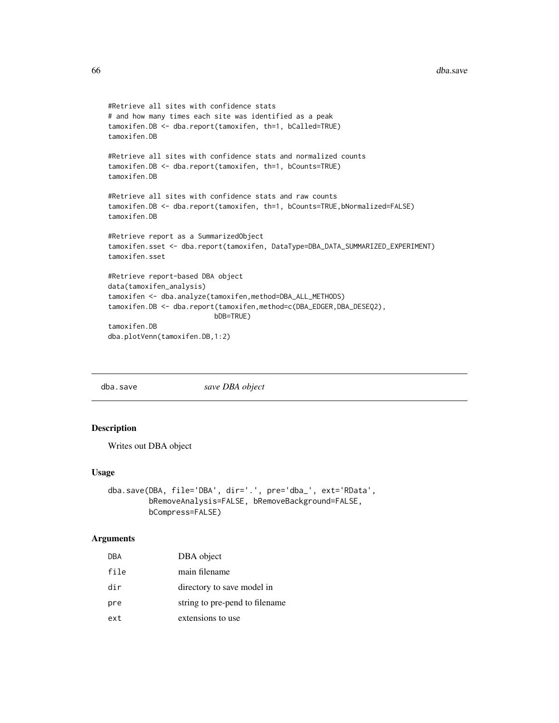```
#Retrieve all sites with confidence stats
# and how many times each site was identified as a peak
tamoxifen.DB <- dba.report(tamoxifen, th=1, bCalled=TRUE)
tamoxifen.DB
#Retrieve all sites with confidence stats and normalized counts
tamoxifen.DB <- dba.report(tamoxifen, th=1, bCounts=TRUE)
tamoxifen.DB
#Retrieve all sites with confidence stats and raw counts
tamoxifen.DB <- dba.report(tamoxifen, th=1, bCounts=TRUE, bNormalized=FALSE)
tamoxifen.DB
#Retrieve report as a SummarizedObject
tamoxifen.sset <- dba.report(tamoxifen, DataType=DBA_DATA_SUMMARIZED_EXPERIMENT)
tamoxifen.sset
#Retrieve report-based DBA object
data(tamoxifen_analysis)
tamoxifen <- dba.analyze(tamoxifen,method=DBA_ALL_METHODS)
tamoxifen.DB <- dba.report(tamoxifen,method=c(DBA_EDGER,DBA_DESEQ2),
                          bDB=TRUE)
tamoxifen.DB
dba.plotVenn(tamoxifen.DB,1:2)
```
dba.save *save DBA object*

# Description

Writes out DBA object

## Usage

```
dba.save(DBA, file='DBA', dir='.', pre='dba_', ext='RData',
         bRemoveAnalysis=FALSE, bRemoveBackground=FALSE,
         bCompress=FALSE)
```

| DBA  | DBA object                     |
|------|--------------------------------|
| file | main filename                  |
| dir  | directory to save model in     |
| pre  | string to pre-pend to filename |
| ext  | extensions to use              |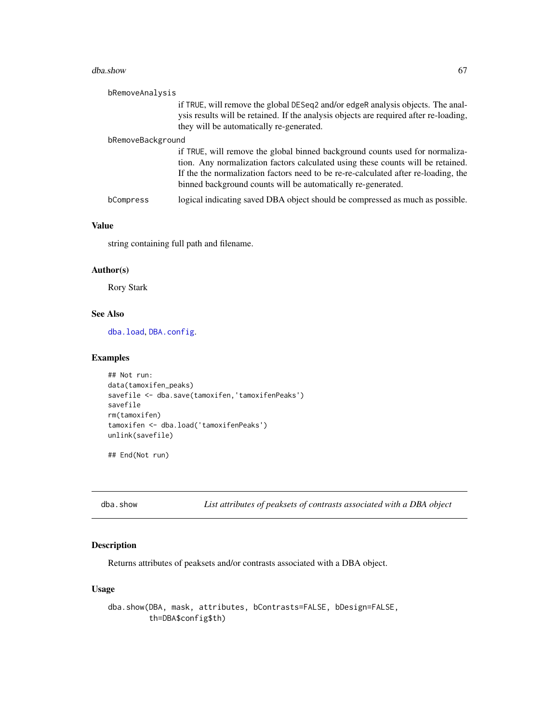#### dba.show 67

| bRemoveAnalysis   |                                                                                                                                                                                                                                                                                                                       |
|-------------------|-----------------------------------------------------------------------------------------------------------------------------------------------------------------------------------------------------------------------------------------------------------------------------------------------------------------------|
|                   | if TRUE, will remove the global DESeq2 and/or edgeR analysis objects. The anal-<br>ysis results will be retained. If the analysis objects are required after re-loading,<br>they will be automatically re-generated.                                                                                                  |
| bRemoveBackground |                                                                                                                                                                                                                                                                                                                       |
|                   | if TRUE, will remove the global binned background counts used for normaliza-<br>tion. Any normalization factors calculated using these counts will be retained.<br>If the the normalization factors need to be re-re-calculated after re-loading, the<br>binned background counts will be automatically re-generated. |
| bCompress         | logical indicating saved DBA object should be compressed as much as possible.                                                                                                                                                                                                                                         |

# Value

string containing full path and filename.

## Author(s)

Rory Stark

# See Also

[dba.load](#page-25-0), [DBA.config](#page-7-0).

## Examples

```
## Not run:
data(tamoxifen_peaks)
savefile <- dba.save(tamoxifen,'tamoxifenPeaks')
savefile
rm(tamoxifen)
tamoxifen <- dba.load('tamoxifenPeaks')
unlink(savefile)
```
## End(Not run)

<span id="page-66-0"></span>dba.show *List attributes of peaksets of contrasts associated with a DBA object*

# Description

Returns attributes of peaksets and/or contrasts associated with a DBA object.

# Usage

```
dba.show(DBA, mask, attributes, bContrasts=FALSE, bDesign=FALSE,
        th=DBA$config$th)
```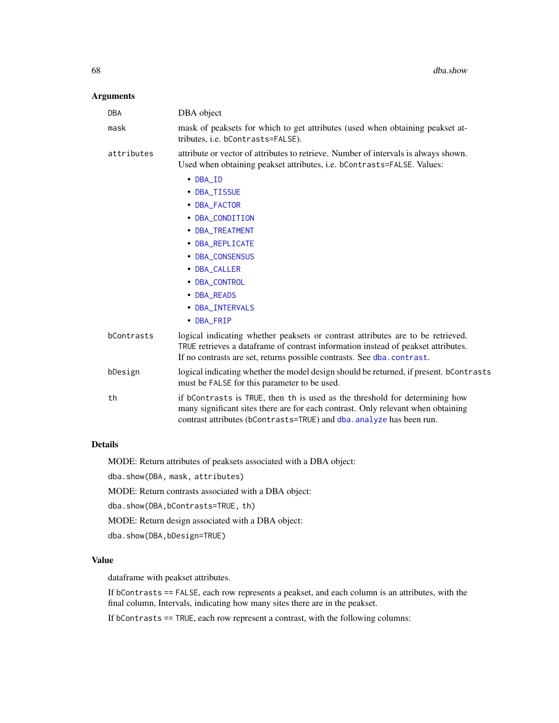## Arguments

| <b>DBA</b> | DBA object                                                                                                                                                                                                                                     |
|------------|------------------------------------------------------------------------------------------------------------------------------------------------------------------------------------------------------------------------------------------------|
| mask       | mask of peaksets for which to get attributes (used when obtaining peakset at-<br>tributes, i.e. bContrasts=FALSE).                                                                                                                             |
| attributes | attribute or vector of attributes to retrieve. Number of intervals is always shown.<br>Used when obtaining peakset attributes, i.e. bContrasts=FALSE. Values:                                                                                  |
|            | • DBA_ID                                                                                                                                                                                                                                       |
|            | • DBA_TISSUE                                                                                                                                                                                                                                   |
|            | • DBA_FACTOR                                                                                                                                                                                                                                   |
|            | • DBA_CONDITION                                                                                                                                                                                                                                |
|            | • DBA_TREATMENT                                                                                                                                                                                                                                |
|            | • DBA_REPLICATE                                                                                                                                                                                                                                |
|            | • DBA_CONSENSUS                                                                                                                                                                                                                                |
|            | • DBA_CALLER                                                                                                                                                                                                                                   |
|            | • DBA_CONTROL                                                                                                                                                                                                                                  |
|            | • DBA_READS                                                                                                                                                                                                                                    |
|            | • DBA_INTERVALS                                                                                                                                                                                                                                |
|            | • DBA_FRIP                                                                                                                                                                                                                                     |
| bContrasts | logical indicating whether peaksets or contrast attributes are to be retrieved.<br>TRUE retrieves a dataframe of contrast information instead of peakset attributes.<br>If no contrasts are set, returns possible contrasts. See dba.contrast. |
| bDesign    | logical indicating whether the model design should be returned, if present. bContrasts<br>must be FALSE for this parameter to be used.                                                                                                         |
| th         | if bContrasts is TRUE, then th is used as the threshold for determining how<br>many significant sites there are for each contrast. Only relevant when obtaining<br>contrast attributes (bContrasts=TRUE) and dba. analyze has been run.        |

## Details

MODE: Return attributes of peaksets associated with a DBA object:

dba.show(DBA, mask, attributes)

MODE: Return contrasts associated with a DBA object:

dba.show(DBA,bContrasts=TRUE, th)

MODE: Return design associated with a DBA object:

dba.show(DBA,bDesign=TRUE)

# Value

dataframe with peakset attributes.

If bContrasts == FALSE, each row represents a peakset, and each column is an attributes, with the final column, Intervals, indicating how many sites there are in the peakset.

If bContrasts == TRUE, each row represent a contrast, with the following columns: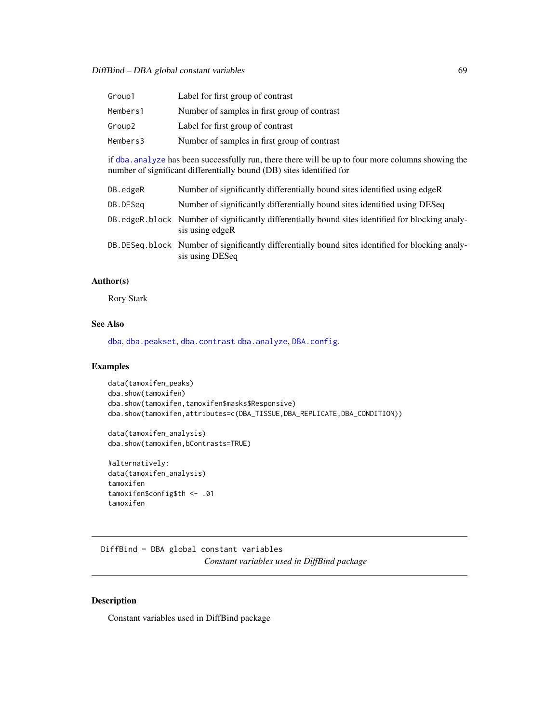DiffBind – DBA global constant variables 69

| Group1   | Label for first group of contrast            |
|----------|----------------------------------------------|
| Members1 | Number of samples in first group of contrast |
| Group2   | Label for first group of contrast            |
| Members3 | Number of samples in first group of contrast |

if [dba.analyze](#page-11-0) has been successfully run, there there will be up to four more columns showing the number of significant differentially bound (DB) sites identified for

| DB.edgeR | Number of significantly differentially bound sites identified using edgeR                                             |
|----------|-----------------------------------------------------------------------------------------------------------------------|
| DB.DESeq | Number of significantly differentially bound sites identified using DESeq                                             |
|          | DB edgeR block Number of significantly differentially bound sites identified for blocking analy-<br>sis using edgeR   |
|          | DB. DESeg. block Number of significantly differentially bound sites identified for blocking analy-<br>sis using DESeq |

# Author(s)

Rory Stark

# See Also

[dba](#page-3-0), [dba.peakset](#page-36-0), [dba.contrast](#page-16-0) [dba.analyze](#page-11-0), [DBA.config](#page-7-0).

# Examples

```
data(tamoxifen_peaks)
dba.show(tamoxifen)
dba.show(tamoxifen,tamoxifen$masks$Responsive)
dba.show(tamoxifen,attributes=c(DBA_TISSUE,DBA_REPLICATE,DBA_CONDITION))
```
data(tamoxifen\_analysis) dba.show(tamoxifen,bContrasts=TRUE)

```
#alternatively:
data(tamoxifen_analysis)
tamoxifen
tamoxifen$config$th <- .01
tamoxifen
```
DiffBind – DBA global constant variables *Constant variables used in DiffBind package*

# <span id="page-68-0"></span>Description

Constant variables used in DiffBind package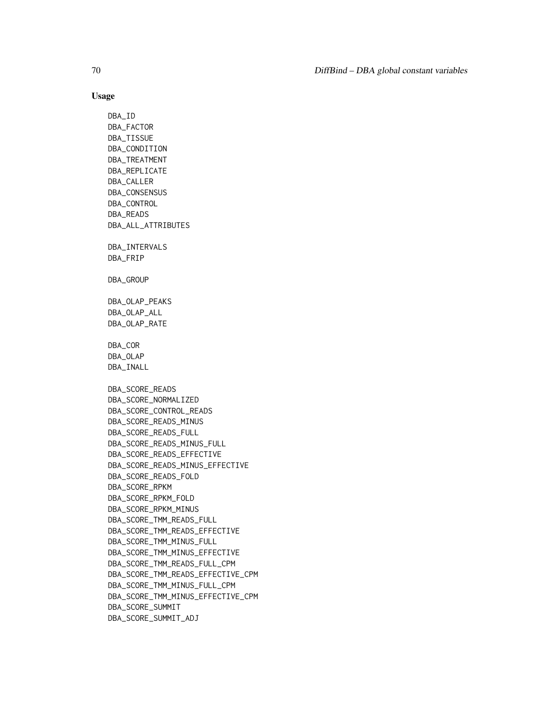## Usage

DBA\_ID DBA\_FACTOR DBA\_TISSUE DBA\_CONDITION DBA\_TREATMENT DBA\_REPLICATE DBA\_CALLER DBA\_CONSENSUS DBA\_CONTROL DBA\_READS DBA\_ALL\_ATTRIBUTES DBA\_INTERVALS DBA\_FRIP DBA\_GROUP DBA\_OLAP\_PEAKS DBA\_OLAP\_ALL DBA\_OLAP\_RATE DBA\_COR DBA\_OLAP DBA\_INALL DBA\_SCORE\_READS DBA\_SCORE\_NORMALIZED DBA\_SCORE\_CONTROL\_READS DBA\_SCORE\_READS\_MINUS DBA\_SCORE\_READS\_FULL DBA\_SCORE\_READS\_MINUS\_FULL DBA\_SCORE\_READS\_EFFECTIVE DBA\_SCORE\_READS\_MINUS\_EFFECTIVE DBA\_SCORE\_READS\_FOLD DBA\_SCORE\_RPKM DBA\_SCORE\_RPKM\_FOLD DBA\_SCORE\_RPKM\_MINUS DBA\_SCORE\_TMM\_READS\_FULL DBA\_SCORE\_TMM\_READS\_EFFECTIVE DBA\_SCORE\_TMM\_MINUS\_FULL DBA\_SCORE\_TMM\_MINUS\_EFFECTIVE DBA\_SCORE\_TMM\_READS\_FULL\_CPM DBA\_SCORE\_TMM\_READS\_EFFECTIVE\_CPM DBA\_SCORE\_TMM\_MINUS\_FULL\_CPM DBA\_SCORE\_TMM\_MINUS\_EFFECTIVE\_CPM DBA\_SCORE\_SUMMIT DBA\_SCORE\_SUMMIT\_ADJ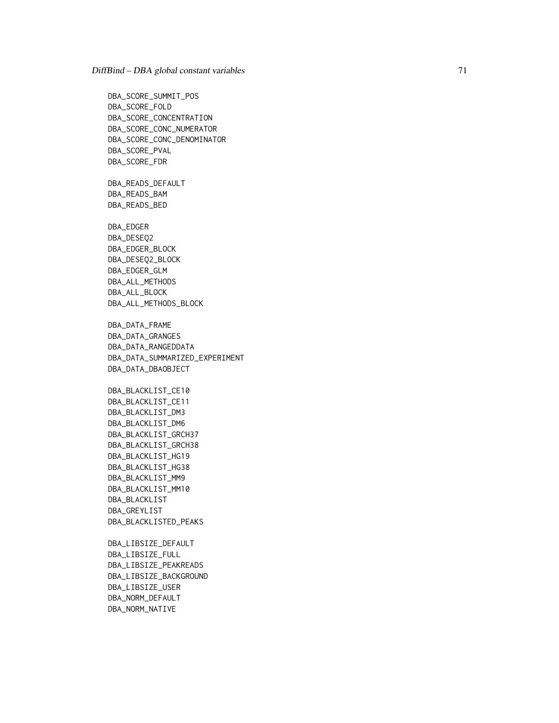DBA\_SCORE\_SUMMIT\_POS DBA\_SCORE\_FOLD DBA\_SCORE\_CONCENTRATION DBA\_SCORE\_CONC\_NUMERATOR DBA\_SCORE\_CONC\_DENOMINATOR DBA\_SCORE\_PVAL DBA\_SCORE\_FDR DBA\_READS\_DEFAULT DBA\_READS\_BAM DBA\_READS\_BED DBA\_EDGER DBA\_DESEQ2 DBA\_EDGER\_BLOCK DBA\_DESEQ2\_BLOCK DBA\_EDGER\_GLM DBA\_ALL\_METHODS DBA\_ALL\_BLOCK DBA\_ALL\_METHODS\_BLOCK DBA\_DATA\_FRAME DBA\_DATA\_GRANGES DBA\_DATA\_RANGEDDATA DBA\_DATA\_SUMMARIZED\_EXPERIMENT DBA\_DATA\_DBAOBJECT DBA\_BLACKLIST\_CE10 DBA\_BLACKLIST\_CE11 DBA\_BLACKLIST\_DM3 DBA\_BLACKLIST\_DM6 DBA\_BLACKLIST\_GRCH37 DBA\_BLACKLIST\_GRCH38 DBA\_BLACKLIST\_HG19 DBA\_BLACKLIST\_HG38 DBA\_BLACKLIST\_MM9 DBA\_BLACKLIST\_MM10 DBA\_BLACKLIST DBA\_GREYLIST DBA\_BLACKLISTED\_PEAKS DBA\_LIBSIZE\_DEFAULT DBA\_LIBSIZE\_FULL DBA\_LIBSIZE\_PEAKREADS DBA\_LIBSIZE\_BACKGROUND

DBA\_LIBSIZE\_USER DBA\_NORM\_DEFAULT

DBA\_NORM\_NATIVE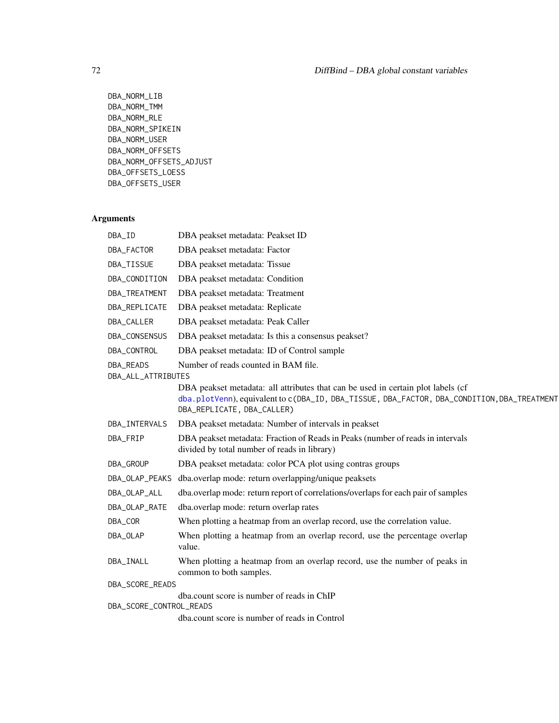```
DBA_NORM_LIB
DBA_NORM_TMM
DBA_NORM_RLE
DBA_NORM_SPIKEIN
DBA_NORM_USER
DBA_NORM_OFFSETS
DBA_NORM_OFFSETS_ADJUST
DBA_OFFSETS_LOESS
DBA_OFFSETS_USER
```

| DBA_ID                          | DBA peakset metadata: Peakset ID                                                                                                                                                                              |
|---------------------------------|---------------------------------------------------------------------------------------------------------------------------------------------------------------------------------------------------------------|
| DBA_FACTOR                      | DBA peakset metadata: Factor                                                                                                                                                                                  |
| DBA_TISSUE                      | DBA peakset metadata: Tissue                                                                                                                                                                                  |
| DBA_CONDITION                   | DBA peakset metadata: Condition                                                                                                                                                                               |
| DBA_TREATMENT                   | DBA peakset metadata: Treatment                                                                                                                                                                               |
| DBA_REPLICATE                   | DBA peakset metadata: Replicate                                                                                                                                                                               |
| DBA_CALLER                      | DBA peakset metadata: Peak Caller                                                                                                                                                                             |
| DBA_CONSENSUS                   | DBA peakset metadata: Is this a consensus peakset?                                                                                                                                                            |
| DBA_CONTROL                     | DBA peakset metadata: ID of Control sample                                                                                                                                                                    |
| DBA_READS<br>DBA_ALL_ATTRIBUTES | Number of reads counted in BAM file.                                                                                                                                                                          |
|                                 | DBA peakset metadata: all attributes that can be used in certain plot labels (cf<br>dba.plotVenn), equivalent to c(DBA_ID, DBA_TISSUE, DBA_FACTOR, DBA_CONDITION, DBA_TREATMENT<br>DBA_REPLICATE, DBA_CALLER) |
| DBA_INTERVALS                   | DBA peakset metadata: Number of intervals in peakset                                                                                                                                                          |
| DBA_FRIP                        | DBA peakset metadata: Fraction of Reads in Peaks (number of reads in intervals<br>divided by total number of reads in library)                                                                                |
| DBA_GROUP                       | DBA peakset metadata: color PCA plot using contras groups                                                                                                                                                     |
| DBA_OLAP_PEAKS                  | dba.overlap mode: return overlapping/unique peaksets                                                                                                                                                          |
| DBA_OLAP_ALL                    | dba.overlap mode: return report of correlations/overlaps for each pair of samples                                                                                                                             |
| DBA_OLAP_RATE                   | dba.overlap mode: return overlap rates                                                                                                                                                                        |
| DBA_COR                         | When plotting a heatmap from an overlap record, use the correlation value.                                                                                                                                    |
| DBA_OLAP                        | When plotting a heatmap from an overlap record, use the percentage overlap<br>value.                                                                                                                          |
| DBA_INALL                       | When plotting a heatmap from an overlap record, use the number of peaks in<br>common to both samples.                                                                                                         |
| DBA_SCORE_READS                 |                                                                                                                                                                                                               |
| DBA_SCORE_CONTROL_READS         | dba.count score is number of reads in ChIP                                                                                                                                                                    |
|                                 | dba.count score is number of reads in Control                                                                                                                                                                 |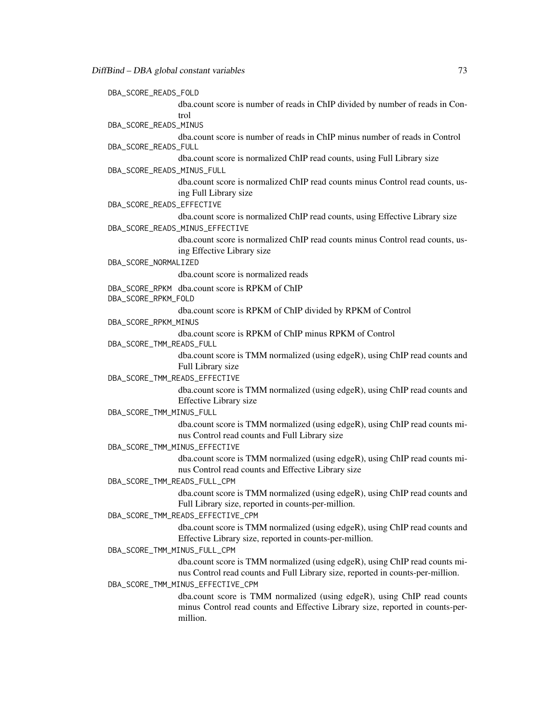| DBA_SCORE_READS_FOLD |                                                                                                                                                                        |
|----------------------|------------------------------------------------------------------------------------------------------------------------------------------------------------------------|
|                      | dba.count score is number of reads in ChIP divided by number of reads in Con-                                                                                          |
|                      | trol                                                                                                                                                                   |
|                      | DBA_SCORE_READS_MINUS                                                                                                                                                  |
| DBA_SCORE_READS_FULL | dba.count score is number of reads in ChIP minus number of reads in Control                                                                                            |
|                      | dba.count score is normalized ChIP read counts, using Full Library size                                                                                                |
|                      | DBA_SCORE_READS_MINUS_FULL                                                                                                                                             |
|                      | dba.count score is normalized ChIP read counts minus Control read counts, us-<br>ing Full Library size                                                                 |
|                      | DBA_SCORE_READS_EFFECTIVE                                                                                                                                              |
|                      | dba.count score is normalized ChIP read counts, using Effective Library size<br>DBA_SCORE_READS_MINUS_EFFECTIVE                                                        |
|                      | dba.count score is normalized ChIP read counts minus Control read counts, us-<br>ing Effective Library size                                                            |
| DBA_SCORE_NORMALIZED |                                                                                                                                                                        |
|                      | dba.count score is normalized reads                                                                                                                                    |
| DBA_SCORE_RPKM_FOLD  | DBA_SCORE_RPKM dba.count score is RPKM of ChIP                                                                                                                         |
|                      | dba.count score is RPKM of ChIP divided by RPKM of Control                                                                                                             |
| DBA_SCORE_RPKM_MINUS |                                                                                                                                                                        |
|                      | dba.count score is RPKM of ChIP minus RPKM of Control<br>DBA_SCORE_TMM_READS_FULL                                                                                      |
|                      | dba.count score is TMM normalized (using edgeR), using ChIP read counts and<br>Full Library size                                                                       |
|                      | DBA_SCORE_TMM_READS_EFFECTIVE                                                                                                                                          |
|                      | dba.count score is TMM normalized (using edgeR), using ChIP read counts and<br><b>Effective Library size</b>                                                           |
|                      | DBA_SCORE_TMM_MINUS_FULL                                                                                                                                               |
|                      | dba.count score is TMM normalized (using edgeR), using ChIP read counts mi-<br>nus Control read counts and Full Library size                                           |
|                      | DBA_SCORE_TMM_MINUS_EFFECTIVE                                                                                                                                          |
|                      | dba.count score is TMM normalized (using edgeR), using ChIP read counts mi-<br>nus Control read counts and Effective Library size                                      |
|                      | DBA_SCORE_TMM_READS_FULL_CPM<br>dba.count score is TMM normalized (using edgeR), using ChIP read counts and                                                            |
|                      | Full Library size, reported in counts-per-million.                                                                                                                     |
|                      | DBA_SCORE_TMM_READS_EFFECTIVE_CPM                                                                                                                                      |
|                      | dba.count score is TMM normalized (using edgeR), using ChIP read counts and<br>Effective Library size, reported in counts-per-million.<br>DBA_SCORE_TMM_MINUS_FULL_CPM |
|                      | dba.count score is TMM normalized (using edgeR), using ChIP read counts mi-                                                                                            |
|                      | nus Control read counts and Full Library size, reported in counts-per-million.<br>DBA_SCORE_TMM_MINUS_EFFECTIVE_CPM                                                    |
|                      | dba.count score is TMM normalized (using edgeR), using ChIP read counts<br>minus Control read counts and Effective Library size, reported in counts-per-<br>million.   |
|                      |                                                                                                                                                                        |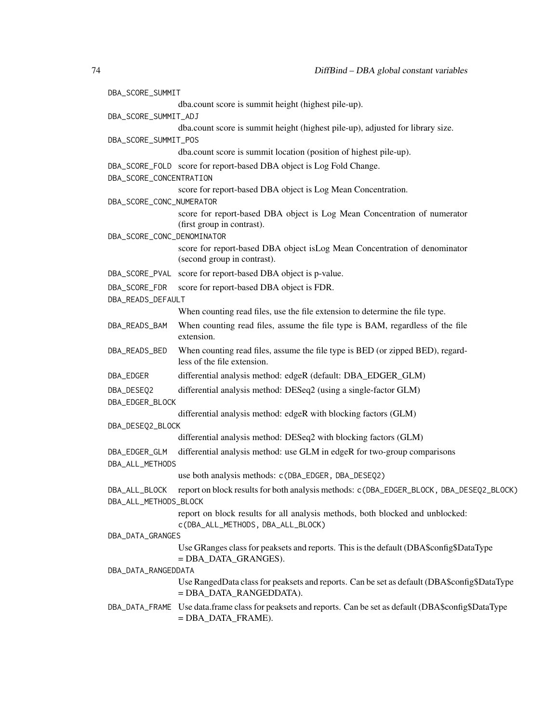| DBA_SCORE_SUMMIT                       |                                                                                                                                    |
|----------------------------------------|------------------------------------------------------------------------------------------------------------------------------------|
|                                        | dba.count score is summit height (highest pile-up).                                                                                |
| DBA_SCORE_SUMMIT_ADJ                   |                                                                                                                                    |
|                                        | dba.count score is summit height (highest pile-up), adjusted for library size.                                                     |
| DBA_SCORE_SUMMIT_POS                   |                                                                                                                                    |
|                                        | dba.count score is summit location (position of highest pile-up).                                                                  |
|                                        | DBA_SCORE_FOLD score for report-based DBA object is Log Fold Change.                                                               |
| DBA_SCORE_CONCENTRATION                | score for report-based DBA object is Log Mean Concentration.                                                                       |
| DBA_SCORE_CONC_NUMERATOR               |                                                                                                                                    |
|                                        | score for report-based DBA object is Log Mean Concentration of numerator                                                           |
|                                        | (first group in contrast).                                                                                                         |
| DBA_SCORE_CONC_DENOMINATOR             |                                                                                                                                    |
|                                        | score for report-based DBA object is Log Mean Concentration of denominator<br>(second group in contrast).                          |
|                                        | DBA_SCORE_PVAL score for report-based DBA object is p-value.                                                                       |
| DBA_SCORE_FDR                          | score for report-based DBA object is FDR.                                                                                          |
| DBA_READS_DEFAULT                      |                                                                                                                                    |
|                                        | When counting read files, use the file extension to determine the file type.                                                       |
| DBA_READS_BAM                          | When counting read files, assume the file type is BAM, regardless of the file<br>extension.                                        |
| DBA_READS_BED                          | When counting read files, assume the file type is BED (or zipped BED), regard-<br>less of the file extension.                      |
| DBA_EDGER                              | differential analysis method: edgeR (default: DBA_EDGER_GLM)                                                                       |
| DBA_DESEQ2                             | differential analysis method: DESeq2 (using a single-factor GLM)                                                                   |
| DBA_EDGER_BLOCK                        |                                                                                                                                    |
|                                        | differential analysis method: edgeR with blocking factors (GLM)                                                                    |
| DBA_DESEQ2_BLOCK                       |                                                                                                                                    |
|                                        | differential analysis method: DESeq2 with blocking factors (GLM)                                                                   |
| DBA_EDGER_GLM<br>DBA_ALL_METHODS       | differential analysis method: use GLM in edgeR for two-group comparisons                                                           |
|                                        | use both analysis methods: c(DBA_EDGER, DBA_DESEQ2)                                                                                |
| DBA_ALL_BLOCK<br>DBA_ALL_METHODS_BLOCK | report on block results for both analysis methods: c(DBA_EDGER_BLOCK, DBA_DESEQ2_BLOCK)                                            |
|                                        | report on block results for all analysis methods, both blocked and unblocked:<br>c(DBA_ALL_METHODS, DBA_ALL_BLOCK)                 |
| DBA_DATA_GRANGES                       |                                                                                                                                    |
|                                        | Use GRanges class for peaksets and reports. This is the default (DBA\$config\$DataType<br>$=$ DBA_DATA_GRANGES).                   |
| DBA_DATA_RANGEDDATA                    |                                                                                                                                    |
|                                        | Use RangedData class for peaksets and reports. Can be set as default (DBA\$config\$DataType)<br>= DBA DATA RANGEDDATA).            |
|                                        | DBA_DATA_FRAME Use data.frame class for peaksets and reports. Can be set as default (DBA\$config\$DataType<br>$=$ DBA_DATA_FRAME). |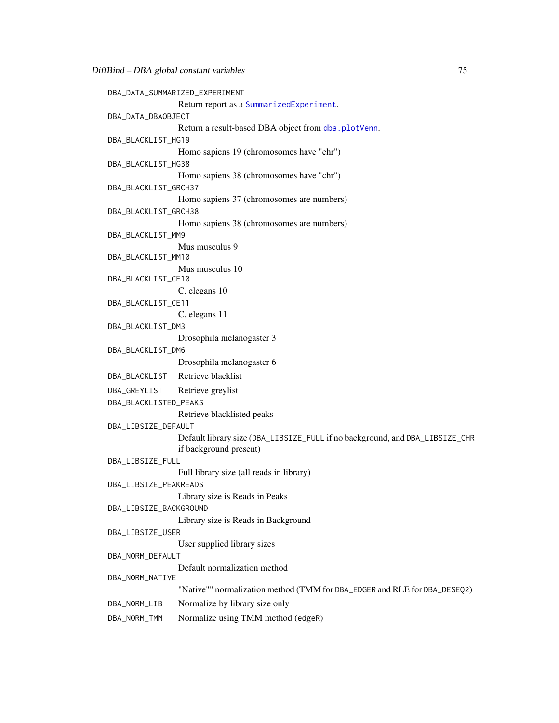```
DBA_DATA_SUMMARIZED_EXPERIMENT
                Return report as a SummarizedExperiment.
DBA_DATA_DBAOBJECT
                dba.plotVenn.
DBA_BLACKLIST_HG19
                Homo sapiens 19 (chromosomes have "chr")
DBA_BLACKLIST_HG38
                Homo sapiens 38 (chromosomes have "chr")
DBA_BLACKLIST_GRCH37
                Homo sapiens 37 (chromosomes are numbers)
DBA_BLACKLIST_GRCH38
                Homo sapiens 38 (chromosomes are numbers)
DBA_BLACKLIST_MM9
                Mus musculus 9
DBA_BLACKLIST_MM10
                Mus musculus 10
DBA_BLACKLIST_CE10
                C. elegans 10
DBA_BLACKLIST_CE11
                C. elegans 11
DBA_BLACKLIST_DM3
                Drosophila melanogaster 3
DBA_BLACKLIST_DM6
                Drosophila melanogaster 6
DBA_BLACKLIST Retrieve blacklist
DBA_GREYLIST Retrieve greylist
DBA_BLACKLISTED_PEAKS
                Retrieve blacklisted peaks
DBA_LIBSIZE_DEFAULT
                Default library size (DBA_LIBSIZE_FULL if no background, and DBA_LIBSIZE_CHR
                if background present)
DBA_LIBSIZE_FULL
                Full library size (all reads in library)
DBA_LIBSIZE_PEAKREADS
                Library size is Reads in Peaks
DBA_LIBSIZE_BACKGROUND
                Library size is Reads in Background
DBA_LIBSIZE_USER
                User supplied library sizes
DBA_NORM_DEFAULT
                Default normalization method
DBA_NORM_NATIVE
                "Native"" normalization method (TMM for DBA_EDGER and RLE for DBA_DESEQ2)
DBA_NORM_LIB Normalize by library size only
DBA_NORM_TMM Normalize using TMM method (edgeR)
```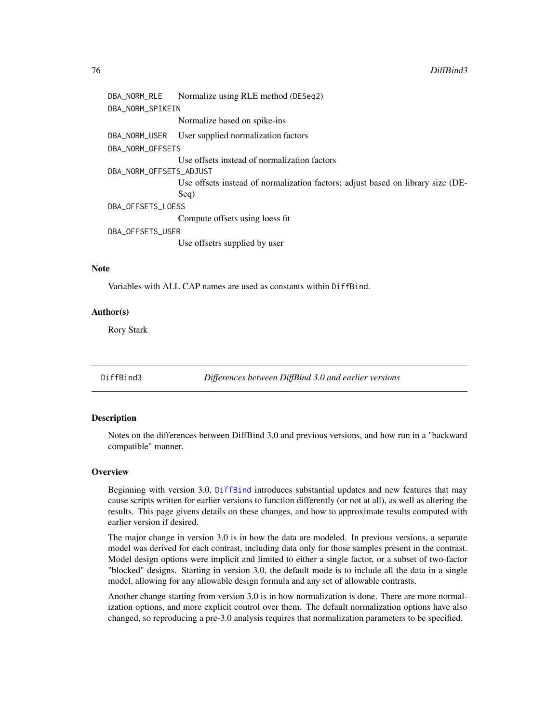## <span id="page-75-0"></span>76 DiffBind3

```
DBA_NORM_RLE Normalize using RLE method (DESeq2)
DBA_NORM_SPIKEIN
                 Normalize based on spike-ins
DBA_NORM_USER User supplied normalization factors
DBA_NORM_OFFSETS
                 Use offsets instead of normalization factors
DBA_NORM_OFFSETS_ADJUST
                 Use offsets instead of normalization factors; adjust based on library size (DE-
                 Seq)
DBA_OFFSETS_LOESS
                 Compute offsets using loess fit
DBA_OFFSETS_USER
                 Use offsetrs supplied by user
```
# **Note**

Variables with ALL CAP names are used as constants within DiffBind.

## Author(s)

Rory Stark

DiffBind3 *Differences between DiffBind 3.0 and earlier versions*

#### Description

Notes on the differences between DiffBind 3.0 and previous versions, and how run in a "backward compatible" manner.

#### **Overview**

Beginning with version 3.0, [DiffBind](#page-2-0) introduces substantial updates and new features that may cause scripts written for earlier versions to function differently (or not at all), as well as altering the results. This page givens details on these changes, and how to approximate results computed with earlier version if desired.

The major change in version 3.0 is in how the data are modeled. In previous versions, a separate model was derived for each contrast, including data only for those samples present in the contrast. Model design options were implicit and limited to either a single factor, or a subset of two-factor "blocked" designs. Starting in version 3.0, the default mode is to include all the data in a single model, allowing for any allowable design formula and any set of allowable contrasts.

Another change starting from version 3.0 is in how normalization is done. There are more normalization options, and more explicit control over them. The default normalization options have also changed, so reproducing a pre-3.0 analysis requires that normalization parameters to be specified.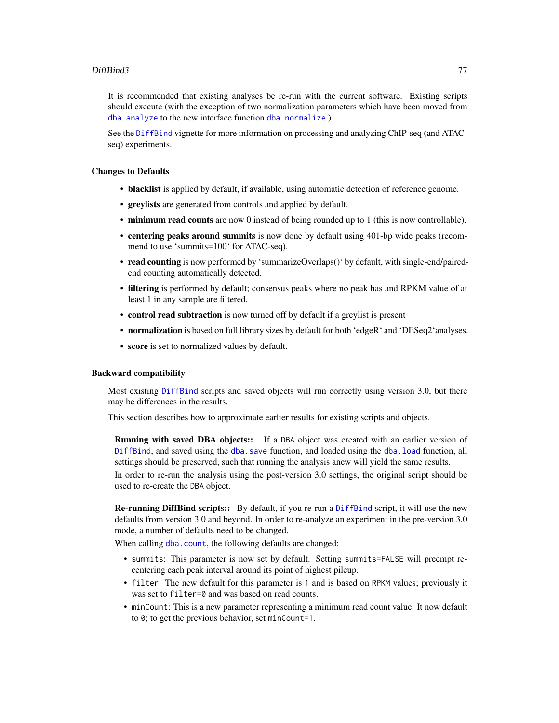# <span id="page-76-0"></span>DiffBind3 77

It is recommended that existing analyses be re-run with the current software. Existing scripts should execute (with the exception of two normalization parameters which have been moved from [dba.analyze](#page-11-0) to the new interface function [dba.normalize](#page-28-0).)

See the [DiffBind](#page-2-0) vignette for more information on processing and analyzing ChIP-seq (and ATACseq) experiments.

# Changes to Defaults

- blacklist is applied by default, if available, using automatic detection of reference genome.
- greylists are generated from controls and applied by default.
- minimum read counts are now 0 instead of being rounded up to 1 (this is now controllable).
- centering peaks around summits is now done by default using 401-bp wide peaks (recommend to use 'summits=100' for ATAC-seq).
- read counting is now performed by 'summarizeOverlaps()' by default, with single-end/pairedend counting automatically detected.
- filtering is performed by default; consensus peaks where no peak has and RPKM value of at least 1 in any sample are filtered.
- control read subtraction is now turned off by default if a greylist is present
- normalization is based on full library sizes by default for both 'edgeR' and 'DESeq2'analyses.
- score is set to normalized values by default.

#### Backward compatibility

Most existing [DiffBind](#page-2-0) scripts and saved objects will run correctly using version 3.0, but there may be differences in the results.

This section describes how to approximate earlier results for existing scripts and objects.

Running with saved DBA objects:: If a DBA object was created with an earlier version of [DiffBind](#page-2-0), and saved using the [dba.save](#page-65-0) function, and loaded using the [dba.load](#page-25-0) function, all settings should be preserved, such that running the analysis anew will yield the same results.

In order to re-run the analysis using the post-version 3.0 settings, the original script should be used to re-create the DBA object.

Re-running DiffBind scripts:: By default, if you re-run a [DiffBind](#page-2-0) script, it will use the new defaults from version 3.0 and beyond. In order to re-analyze an experiment in the pre-version 3.0 mode, a number of defaults need to be changed.

When calling [dba.count](#page-21-0), the following defaults are changed:

- summits: This parameter is now set by default. Setting summits=FALSE will preempt recentering each peak interval around its point of highest pileup.
- filter: The new default for this parameter is 1 and is based on RPKM values; previously it was set to filter=0 and was based on read counts.
- minCount: This is a new parameter representing a minimum read count value. It now default to 0; to get the previous behavior, set minCount=1.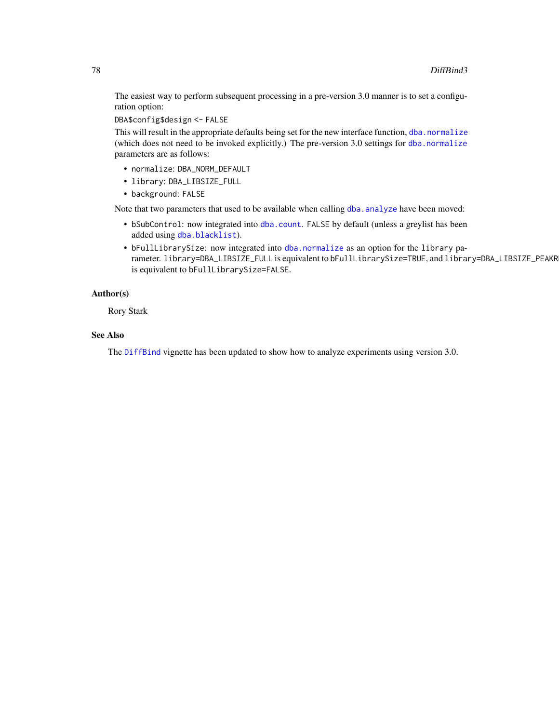The easiest way to perform subsequent processing in a pre-version 3.0 manner is to set a configuration option:

DBA\$config\$design <- FALSE

This will result in the appropriate defaults being set for the new interface function, [dba.normalize](#page-28-0) (which does not need to be invoked explicitly.) The pre-version 3.0 settings for [dba.normalize](#page-28-0) parameters are as follows:

- normalize: DBA\_NORM\_DEFAULT
- library: DBA\_LIBSIZE\_FULL

• background: FALSE

Note that two parameters that used to be available when calling dba. analyze have been moved:

- bSubControl: now integrated into [dba.count](#page-21-0). FALSE by default (unless a greylist has been added using [dba.blacklist](#page-13-0)).
- bFullLibrarySize: now integrated into [dba.normalize](#page-28-0) as an option for the library parameter. library=DBA\_LIBSIZE\_FULL is equivalent to bFullLibrarySize=TRUE, and library=DBA\_LIBSIZE\_PEAKR is equivalent to bFullLibrarySize=FALSE.

# Author(s)

Rory Stark

# See Also

The [DiffBind](#page-2-0) vignette has been updated to show how to analyze experiments using version 3.0.

<span id="page-77-0"></span>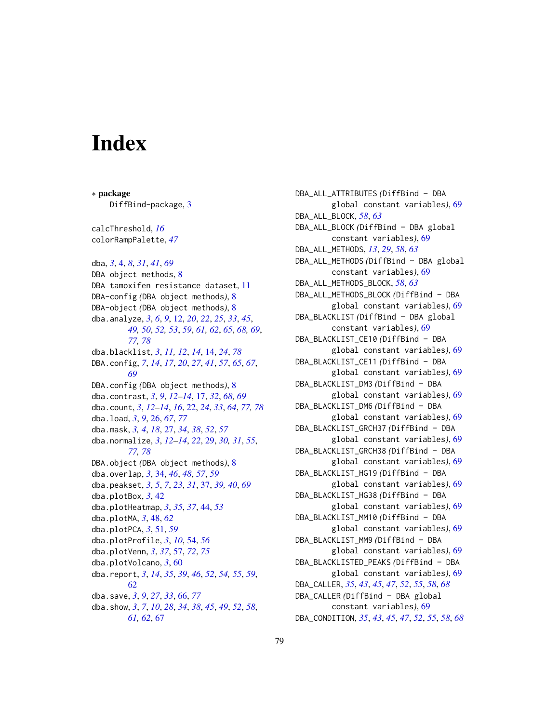# **Index**

∗ package DiffBind-package, [3](#page-2-1) calcThreshold, *[16](#page-15-0)* colorRampPalette, *[47](#page-46-0)* dba, *[3](#page-2-1)*, [4,](#page-3-0) *[8](#page-7-0)*, *[31](#page-30-0)*, *[41](#page-40-0)*, *[69](#page-68-0)* DBA object methods, [8](#page-7-0) DBA tamoxifen resistance dataset, [11](#page-10-0) DBA-config *(*DBA object methods*)*, [8](#page-7-0) DBA-object *(*DBA object methods*)*, [8](#page-7-0) dba.analyze, *[3](#page-2-1)*, *[6](#page-5-0)*, *[9](#page-8-0)*, [12,](#page-11-1) *[20](#page-19-0)*, *[22](#page-21-1)*, *[25](#page-24-0)*, *[33](#page-32-0)*, *[45](#page-44-0)*, *[49,](#page-48-0) [50](#page-49-0)*, *[52,](#page-51-0) [53](#page-52-0)*, *[59](#page-58-0)*, *[61,](#page-60-0) [62](#page-61-0)*, *[65](#page-64-0)*, *[68,](#page-67-0) [69](#page-68-0)*, *[77,](#page-76-0) [78](#page-77-0)* dba.blacklist, *[3](#page-2-1)*, *[11,](#page-10-0) [12](#page-11-1)*, *[14](#page-13-1)*, [14,](#page-13-1) *[24](#page-23-0)*, *[78](#page-77-0)* DBA.config, *[7](#page-6-0)*, *[14](#page-13-1)*, *[17](#page-16-0)*, *[20](#page-19-0)*, *[27](#page-26-0)*, *[41](#page-40-0)*, *[57](#page-56-1)*, *[65](#page-64-0)*, *[67](#page-66-0)*, *[69](#page-68-0)* DBA.config *(*DBA object methods*)*, [8](#page-7-0) dba.contrast, *[3](#page-2-1)*, *[9](#page-8-0)*, *[12–](#page-11-1)[14](#page-13-1)*, [17,](#page-16-0) *[32](#page-31-0)*, *[68,](#page-67-0) [69](#page-68-0)* dba.count, *[3](#page-2-1)*, *[12–](#page-11-1)[14](#page-13-1)*, *[16](#page-15-0)*, [22,](#page-21-1) *[24](#page-23-0)*, *[33](#page-32-0)*, *[64](#page-63-0)*, *[77,](#page-76-0) [78](#page-77-0)* dba.load, *[3](#page-2-1)*, *[9](#page-8-0)*, [26,](#page-25-1) *[67](#page-66-0)*, *[77](#page-76-0)* dba.mask, *[3,](#page-2-1) [4](#page-3-0)*, *[18](#page-17-0)*, [27,](#page-26-0) *[34](#page-33-0)*, *[38](#page-37-0)*, *[52](#page-51-0)*, *[57](#page-56-1)* dba.normalize, *[3](#page-2-1)*, *[12](#page-11-1)[–14](#page-13-1)*, *[22](#page-21-1)*, [29,](#page-28-1) *[30,](#page-29-0) [31](#page-30-0)*, *[55](#page-54-0)*, *[77,](#page-76-0) [78](#page-77-0)* DBA.object *(*DBA object methods*)*, [8](#page-7-0) dba.overlap, *[3](#page-2-1)*, [34,](#page-33-0) *[46](#page-45-0)*, *[48](#page-47-0)*, *[57](#page-56-1)*, *[59](#page-58-0)* dba.peakset, *[3](#page-2-1)*, *[5](#page-4-0)*, *[7](#page-6-0)*, *[23](#page-22-0)*, *[31](#page-30-0)*, [37,](#page-36-0) *[39,](#page-38-0) [40](#page-39-0)*, *[69](#page-68-0)* dba.plotBox, *[3](#page-2-1)*, [42](#page-41-0) dba.plotHeatmap, *[3](#page-2-1)*, *[35](#page-34-0)*, *[37](#page-36-0)*, [44,](#page-43-0) *[53](#page-52-0)* dba.plotMA, *[3](#page-2-1)*, [48,](#page-47-0) *[62](#page-61-0)* dba.plotPCA, *[3](#page-2-1)*, [51,](#page-50-0) *[59](#page-58-0)* dba.plotProfile, *[3](#page-2-1)*, *[10](#page-9-0)*, [54,](#page-53-0) *[56](#page-55-0)* dba.plotVenn, *[3](#page-2-1)*, *[37](#page-36-0)*, [57,](#page-56-1) *[72](#page-71-0)*, *[75](#page-74-0)* dba.plotVolcano, *[3](#page-2-1)*, [60](#page-59-0) dba.report, *[3](#page-2-1)*, *[14](#page-13-1)*, *[35](#page-34-0)*, *[39](#page-38-0)*, *[46](#page-45-0)*, *[52](#page-51-0)*, *[54,](#page-53-0) [55](#page-54-0)*, *[59](#page-58-0)*, [62](#page-61-0) dba.save, *[3](#page-2-1)*, *[9](#page-8-0)*, *[27](#page-26-0)*, *[33](#page-32-0)*, [66,](#page-65-1) *[77](#page-76-0)* dba.show, *[3](#page-2-1)*, *[7](#page-6-0)*, *[10](#page-9-0)*, *[28](#page-27-0)*, *[34](#page-33-0)*, *[38](#page-37-0)*, *[45](#page-44-0)*, *[49](#page-48-0)*, *[52](#page-51-0)*, *[58](#page-57-0)*, *[61,](#page-60-0) [62](#page-61-0)*, [67](#page-66-0)

DBA\_ALL\_ATTRIBUTES *(*DiffBind – DBA global constant variables*)*, [69](#page-68-0) DBA\_ALL\_BLOCK, *[58](#page-57-0)*, *[63](#page-62-0)* DBA\_ALL\_BLOCK *(*DiffBind – DBA global constant variables*)*, [69](#page-68-0) DBA\_ALL\_METHODS, *[13](#page-12-0)*, *[29](#page-28-1)*, *[58](#page-57-0)*, *[63](#page-62-0)* DBA\_ALL\_METHODS *(*DiffBind – DBA global constant variables*)*, [69](#page-68-0) DBA\_ALL\_METHODS\_BLOCK, *[58](#page-57-0)*, *[63](#page-62-0)* DBA\_ALL\_METHODS\_BLOCK *(*DiffBind – DBA global constant variables*)*, [69](#page-68-0) DBA\_BLACKLIST *(*DiffBind – DBA global constant variables*)*, [69](#page-68-0) DBA\_BLACKLIST\_CE10 *(*DiffBind – DBA global constant variables*)*, [69](#page-68-0) DBA\_BLACKLIST\_CE11 *(*DiffBind – DBA global constant variables*)*, [69](#page-68-0) DBA\_BLACKLIST\_DM3 *(*DiffBind – DBA global constant variables*)*, [69](#page-68-0) DBA\_BLACKLIST\_DM6 *(*DiffBind – DBA global constant variables*)*, [69](#page-68-0) DBA\_BLACKLIST\_GRCH37 *(*DiffBind – DBA global constant variables*)*, [69](#page-68-0) DBA\_BLACKLIST\_GRCH38 *(*DiffBind – DBA global constant variables*)*, [69](#page-68-0) DBA\_BLACKLIST\_HG19 *(*DiffBind – DBA global constant variables*)*, [69](#page-68-0) DBA\_BLACKLIST\_HG38 *(*DiffBind – DBA global constant variables*)*, [69](#page-68-0) DBA\_BLACKLIST\_MM10 *(*DiffBind – DBA global constant variables*)*, [69](#page-68-0) DBA\_BLACKLIST\_MM9 *(*DiffBind – DBA global constant variables*)*, [69](#page-68-0) DBA\_BLACKLISTED\_PEAKS *(*DiffBind – DBA global constant variables*)*, [69](#page-68-0) DBA\_CALLER, *[35](#page-34-0)*, *[43](#page-42-0)*, *[45](#page-44-0)*, *[47](#page-46-0)*, *[52](#page-51-0)*, *[55](#page-54-0)*, *[58](#page-57-0)*, *[68](#page-67-0)* DBA\_CALLER *(*DiffBind – DBA global constant variables*)*, [69](#page-68-0) DBA\_CONDITION, *[35](#page-34-0)*, *[43](#page-42-0)*, *[45](#page-44-0)*, *[47](#page-46-0)*, *[52](#page-51-0)*, *[55](#page-54-0)*, *[58](#page-57-0)*, *[68](#page-67-0)*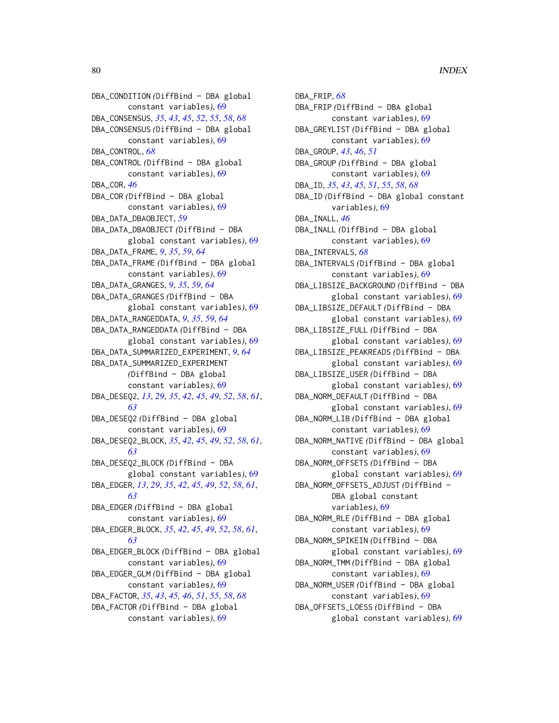DBA\_CONDITION *(*DiffBind – DBA global constant variables*)*, [69](#page-68-0) DBA\_CONSENSUS, *[35](#page-34-0)*, *[43](#page-42-0)*, *[45](#page-44-0)*, *[52](#page-51-0)*, *[55](#page-54-0)*, *[58](#page-57-0)*, *[68](#page-67-0)* DBA\_CONSENSUS *(*DiffBind – DBA global constant variables*)*, [69](#page-68-0) DBA\_CONTROL, *[68](#page-67-0)* DBA\_CONTROL *(*DiffBind – DBA global constant variables*)*, [69](#page-68-0) DBA\_COR, *[46](#page-45-0)* DBA\_COR *(*DiffBind – DBA global constant variables*)*, [69](#page-68-0) DBA\_DATA\_DBAOBJECT, *[59](#page-58-0)* DBA\_DATA\_DBAOBJECT *(*DiffBind – DBA global constant variables*)*, [69](#page-68-0) DBA\_DATA\_FRAME, *[9](#page-8-0)*, *[35](#page-34-0)*, *[59](#page-58-0)*, *[64](#page-63-0)* DBA\_DATA\_FRAME *(*DiffBind – DBA global constant variables*)*, [69](#page-68-0) DBA\_DATA\_GRANGES, *[9](#page-8-0)*, *[35](#page-34-0)*, *[59](#page-58-0)*, *[64](#page-63-0)* DBA\_DATA\_GRANGES *(*DiffBind – DBA global constant variables*)*, [69](#page-68-0) DBA\_DATA\_RANGEDDATA, *[9](#page-8-0)*, *[35](#page-34-0)*, *[59](#page-58-0)*, *[64](#page-63-0)* DBA\_DATA\_RANGEDDATA *(*DiffBind – DBA global constant variables*)*, [69](#page-68-0) DBA\_DATA\_SUMMARIZED\_EXPERIMENT, *[9](#page-8-0)*, *[64](#page-63-0)* DBA\_DATA\_SUMMARIZED\_EXPERIMENT *(*DiffBind – DBA global constant variables*)*, [69](#page-68-0) DBA\_DESEQ2, *[13](#page-12-0)*, *[29](#page-28-1)*, *[35](#page-34-0)*, *[42](#page-41-0)*, *[45](#page-44-0)*, *[49](#page-48-0)*, *[52](#page-51-0)*, *[58](#page-57-0)*, *[61](#page-60-0)*, *[63](#page-62-0)* DBA\_DESEQ2 *(*DiffBind – DBA global constant variables*)*, [69](#page-68-0) DBA\_DESEQ2\_BLOCK, *[35](#page-34-0)*, *[42](#page-41-0)*, *[45](#page-44-0)*, *[49](#page-48-0)*, *[52](#page-51-0)*, *[58](#page-57-0)*, *[61](#page-60-0)*, *[63](#page-62-0)* DBA\_DESEQ2\_BLOCK *(*DiffBind – DBA global constant variables*)*, [69](#page-68-0) DBA\_EDGER, *[13](#page-12-0)*, *[29](#page-28-1)*, *[35](#page-34-0)*, *[42](#page-41-0)*, *[45](#page-44-0)*, *[49](#page-48-0)*, *[52](#page-51-0)*, *[58](#page-57-0)*, *[61](#page-60-0)*, *[63](#page-62-0)* DBA\_EDGER *(*DiffBind – DBA global constant variables*)*, [69](#page-68-0) DBA\_EDGER\_BLOCK, *[35](#page-34-0)*, *[42](#page-41-0)*, *[45](#page-44-0)*, *[49](#page-48-0)*, *[52](#page-51-0)*, *[58](#page-57-0)*, *[61](#page-60-0)*, *[63](#page-62-0)* DBA\_EDGER\_BLOCK *(*DiffBind – DBA global constant variables*)*, [69](#page-68-0) DBA\_EDGER\_GLM *(*DiffBind – DBA global constant variables*)*, [69](#page-68-0) DBA\_FACTOR, *[35](#page-34-0)*, *[43](#page-42-0)*, *[45,](#page-44-0) [46](#page-45-0)*, *[51](#page-50-0)*, *[55](#page-54-0)*, *[58](#page-57-0)*, *[68](#page-67-0)* DBA\_FACTOR *(*DiffBind – DBA global constant variables*)*, [69](#page-68-0)

DBA\_FRIP, *[68](#page-67-0)* DBA\_FRIP *(*DiffBind – DBA global constant variables*)*, [69](#page-68-0) DBA\_GREYLIST *(*DiffBind – DBA global constant variables*)*, [69](#page-68-0) DBA\_GROUP, *[43](#page-42-0)*, *[46](#page-45-0)*, *[51](#page-50-0)* DBA\_GROUP *(*DiffBind – DBA global constant variables*)*, [69](#page-68-0) DBA\_ID, *[35](#page-34-0)*, *[43](#page-42-0)*, *[45](#page-44-0)*, *[51](#page-50-0)*, *[55](#page-54-0)*, *[58](#page-57-0)*, *[68](#page-67-0)* DBA\_ID *(*DiffBind – DBA global constant variables*)*, [69](#page-68-0) DBA\_INALL, *[46](#page-45-0)* DBA\_INALL *(*DiffBind – DBA global constant variables*)*, [69](#page-68-0) DBA\_INTERVALS, *[68](#page-67-0)* DBA\_INTERVALS *(*DiffBind – DBA global constant variables*)*, [69](#page-68-0) DBA\_LIBSIZE\_BACKGROUND *(*DiffBind – DBA global constant variables*)*, [69](#page-68-0) DBA\_LIBSIZE\_DEFAULT *(*DiffBind – DBA global constant variables*)*, [69](#page-68-0) DBA\_LIBSIZE\_FULL *(*DiffBind – DBA global constant variables*)*, [69](#page-68-0) DBA\_LIBSIZE\_PEAKREADS *(*DiffBind – DBA global constant variables*)*, [69](#page-68-0) DBA\_LIBSIZE\_USER *(*DiffBind – DBA global constant variables*)*, [69](#page-68-0) DBA\_NORM\_DEFAULT *(*DiffBind – DBA global constant variables*)*, [69](#page-68-0) DBA\_NORM\_LIB *(*DiffBind – DBA global constant variables*)*, [69](#page-68-0) DBA\_NORM\_NATIVE *(*DiffBind – DBA global constant variables*)*, [69](#page-68-0) DBA\_NORM\_OFFSETS *(*DiffBind – DBA global constant variables*)*, [69](#page-68-0) DBA\_NORM\_OFFSETS\_ADJUST *(*DiffBind – DBA global constant variables*)*, [69](#page-68-0) DBA\_NORM\_RLE *(*DiffBind – DBA global constant variables*)*, [69](#page-68-0) DBA\_NORM\_SPIKEIN *(*DiffBind – DBA global constant variables*)*, [69](#page-68-0) DBA\_NORM\_TMM *(*DiffBind – DBA global constant variables*)*, [69](#page-68-0) DBA\_NORM\_USER *(*DiffBind – DBA global constant variables*)*, [69](#page-68-0) DBA\_OFFSETS\_LOESS *(*DiffBind – DBA global constant variables*)*, [69](#page-68-0)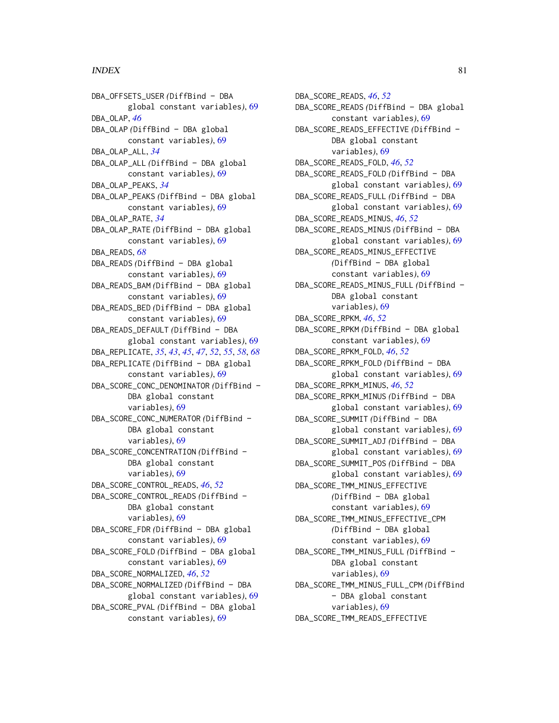# INDEX  $81$

DBA\_OFFSETS\_USER *(*DiffBind – DBA global constant variables*)*, [69](#page-68-0) DBA\_OLAP, *[46](#page-45-0)* DBA\_OLAP *(*DiffBind – DBA global constant variables*)*, [69](#page-68-0) DBA\_OLAP\_ALL, *[34](#page-33-0)* DBA\_OLAP\_ALL *(*DiffBind – DBA global constant variables*)*, [69](#page-68-0) DBA\_OLAP\_PEAKS, *[34](#page-33-0)* DBA\_OLAP\_PEAKS *(*DiffBind – DBA global constant variables*)*, [69](#page-68-0) DBA\_OLAP\_RATE, *[34](#page-33-0)* DBA\_OLAP\_RATE *(*DiffBind – DBA global constant variables*)*, [69](#page-68-0) DBA\_READS, *[68](#page-67-0)* DBA\_READS *(*DiffBind – DBA global constant variables*)*, [69](#page-68-0) DBA\_READS\_BAM *(*DiffBind – DBA global constant variables*)*, [69](#page-68-0) DBA\_READS\_BED *(*DiffBind – DBA global constant variables*)*, [69](#page-68-0) DBA\_READS\_DEFAULT *(*DiffBind – DBA global constant variables*)*, [69](#page-68-0) DBA\_REPLICATE, *[35](#page-34-0)*, *[43](#page-42-0)*, *[45](#page-44-0)*, *[47](#page-46-0)*, *[52](#page-51-0)*, *[55](#page-54-0)*, *[58](#page-57-0)*, *[68](#page-67-0)* DBA\_REPLICATE *(*DiffBind – DBA global constant variables*)*, [69](#page-68-0) DBA\_SCORE\_CONC\_DENOMINATOR *(*DiffBind – DBA global constant variables*)*, [69](#page-68-0) DBA\_SCORE\_CONC\_NUMERATOR *(*DiffBind – DBA global constant variables*)*, [69](#page-68-0) DBA\_SCORE\_CONCENTRATION *(*DiffBind – DBA global constant variables*)*, [69](#page-68-0) DBA\_SCORE\_CONTROL\_READS, *[46](#page-45-0)*, *[52](#page-51-0)* DBA\_SCORE\_CONTROL\_READS *(*DiffBind – DBA global constant variables*)*, [69](#page-68-0) DBA\_SCORE\_FDR *(*DiffBind – DBA global constant variables*)*, [69](#page-68-0) DBA\_SCORE\_FOLD *(*DiffBind – DBA global constant variables*)*, [69](#page-68-0) DBA\_SCORE\_NORMALIZED, *[46](#page-45-0)*, *[52](#page-51-0)* DBA\_SCORE\_NORMALIZED *(*DiffBind – DBA global constant variables*)*, [69](#page-68-0) DBA\_SCORE\_PVAL *(*DiffBind – DBA global constant variables*)*, [69](#page-68-0)

DBA\_SCORE\_READS, *[46](#page-45-0)*, *[52](#page-51-0)* DBA\_SCORE\_READS *(*DiffBind – DBA global constant variables*)*, [69](#page-68-0) DBA\_SCORE\_READS\_EFFECTIVE *(*DiffBind – DBA global constant variables*)*, [69](#page-68-0) DBA\_SCORE\_READS\_FOLD, *[46](#page-45-0)*, *[52](#page-51-0)* DBA\_SCORE\_READS\_FOLD *(*DiffBind – DBA global constant variables*)*, [69](#page-68-0) DBA\_SCORE\_READS\_FULL *(*DiffBind – DBA global constant variables*)*, [69](#page-68-0) DBA\_SCORE\_READS\_MINUS, *[46](#page-45-0)*, *[52](#page-51-0)* DBA\_SCORE\_READS\_MINUS *(*DiffBind – DBA global constant variables*)*, [69](#page-68-0) DBA\_SCORE\_READS\_MINUS\_EFFECTIVE *(*DiffBind – DBA global constant variables*)*, [69](#page-68-0) DBA\_SCORE\_READS\_MINUS\_FULL *(*DiffBind – DBA global constant variables*)*, [69](#page-68-0) DBA\_SCORE\_RPKM, *[46](#page-45-0)*, *[52](#page-51-0)* DBA\_SCORE\_RPKM *(*DiffBind – DBA global constant variables*)*, [69](#page-68-0) DBA\_SCORE\_RPKM\_FOLD, *[46](#page-45-0)*, *[52](#page-51-0)* DBA\_SCORE\_RPKM\_FOLD *(*DiffBind – DBA global constant variables*)*, [69](#page-68-0) DBA\_SCORE\_RPKM\_MINUS, *[46](#page-45-0)*, *[52](#page-51-0)* DBA\_SCORE\_RPKM\_MINUS *(*DiffBind – DBA global constant variables*)*, [69](#page-68-0) DBA\_SCORE\_SUMMIT *(*DiffBind – DBA global constant variables*)*, [69](#page-68-0) DBA\_SCORE\_SUMMIT\_ADJ *(*DiffBind – DBA global constant variables*)*, [69](#page-68-0) DBA\_SCORE\_SUMMIT\_POS *(*DiffBind – DBA global constant variables*)*, [69](#page-68-0) DBA\_SCORE\_TMM\_MINUS\_EFFECTIVE *(*DiffBind – DBA global constant variables*)*, [69](#page-68-0) DBA\_SCORE\_TMM\_MINUS\_EFFECTIVE\_CPM *(*DiffBind – DBA global constant variables*)*, [69](#page-68-0) DBA\_SCORE\_TMM\_MINUS\_FULL *(*DiffBind – DBA global constant variables*)*, [69](#page-68-0) DBA\_SCORE\_TMM\_MINUS\_FULL\_CPM *(*DiffBind – DBA global constant variables*)*, [69](#page-68-0) DBA\_SCORE\_TMM\_READS\_EFFECTIVE